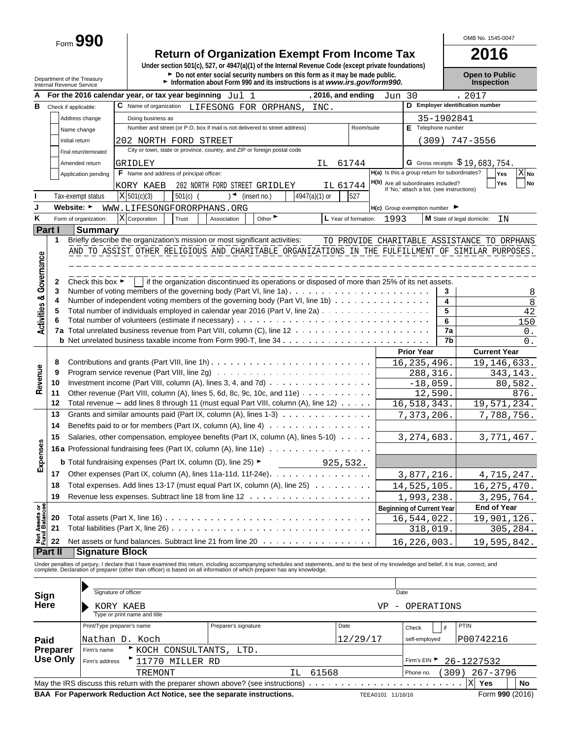Form **990**

# **Return of Organization Exempt From Income Tax**<br>
Under section 501(c), 527, or 4947(a)(1) of the Internal Revenue Code (except private foundations)

Department of the Treasury **Depen to Public**<br>Department of the Treasury **Depen to Public**<br>Internal Revenue Service **Depen to Public Depen internal Revenue Service internal Revenue Service <b>Depen to Public** 

OMB No. 1545-0047

|                   |  | , han ia i mana |  |
|-------------------|--|-----------------|--|
| <b>Inspection</b> |  |                 |  |

| A                                      |         | For the 2016 calendar year, or tax year beginning $Jul$ 1            |                      |                               |                                                 |                      |                                                                                                                                                                                                                        |               | , 2016, and ending   | Jun 30                         |                                                                                   |            | , 2017                                                                                             |
|----------------------------------------|---------|----------------------------------------------------------------------|----------------------|-------------------------------|-------------------------------------------------|----------------------|------------------------------------------------------------------------------------------------------------------------------------------------------------------------------------------------------------------------|---------------|----------------------|--------------------------------|-----------------------------------------------------------------------------------|------------|----------------------------------------------------------------------------------------------------|
| в                                      |         | Check if applicable:                                                 |                      | <b>C</b> Name of organization |                                                 |                      | LIFESONG FOR ORPHANS,                                                                                                                                                                                                  | INC.          |                      |                                |                                                                                   |            | D Employer identification number                                                                   |
|                                        |         | Address change                                                       |                      | Doing business as             |                                                 |                      |                                                                                                                                                                                                                        |               |                      |                                |                                                                                   | 35-1902841 |                                                                                                    |
|                                        |         | Name change                                                          |                      |                               |                                                 |                      | Number and street (or P.O. box if mail is not delivered to street address)                                                                                                                                             |               | Room/suite           |                                | E Telephone number                                                                |            |                                                                                                    |
|                                        |         | Initial return                                                       |                      |                               | 202 NORTH FORD STREET                           |                      |                                                                                                                                                                                                                        |               |                      |                                | (309)                                                                             |            | 747-3556                                                                                           |
|                                        |         | Final return/terminated                                              |                      |                               |                                                 |                      | City or town, state or province, country, and ZIP or foreign postal code                                                                                                                                               |               |                      |                                |                                                                                   |            |                                                                                                    |
|                                        |         | Amended return                                                       |                      | GRIDLEY                       |                                                 |                      |                                                                                                                                                                                                                        | IL.           | 61744                |                                |                                                                                   |            | G Gross receipts $$19,683,754$ .                                                                   |
|                                        |         | Application pending                                                  |                      |                               | <b>F</b> Name and address of principal officer: |                      |                                                                                                                                                                                                                        |               |                      |                                | H(a) Is this a group return for subordinates?                                     |            | $X_{N0}$<br>Yes                                                                                    |
|                                        |         |                                                                      |                      |                               |                                                 |                      |                                                                                                                                                                                                                        |               |                      |                                |                                                                                   |            | <b>No</b><br>Yes                                                                                   |
|                                        |         |                                                                      |                      | KORY KAEB<br>X 501(c)(3)      |                                                 |                      | 202 NORTH FORD STREET GRIDLEY<br>$\leq$ (insert no.)                                                                                                                                                                   | 4947(a)(1) or | IL 61744<br>527      |                                | H(b) Are all subordinates included?<br>If 'No,' attach a list. (see instructions) |            |                                                                                                    |
|                                        |         | Tax-exempt status                                                    |                      |                               | $501(c)$ (                                      |                      |                                                                                                                                                                                                                        |               |                      |                                |                                                                                   |            |                                                                                                    |
| J                                      |         | Website: $\blacktriangleright$                                       |                      |                               | WWW.LIFESONGFORORPHANS.ORG                      |                      |                                                                                                                                                                                                                        |               |                      |                                | $H(c)$ Group exemption number $\blacktriangleright$                               |            |                                                                                                    |
| κ                                      |         | Form of organization:                                                |                      | $X$ Corporation               | Trust                                           | Association          | Other                                                                                                                                                                                                                  |               | L Year of formation: | 1993                           |                                                                                   |            | M State of legal domicile:<br>ΙN                                                                   |
|                                        | Part I  | <b>Summary</b>                                                       |                      |                               |                                                 |                      |                                                                                                                                                                                                                        |               |                      |                                |                                                                                   |            |                                                                                                    |
|                                        | 1       |                                                                      |                      |                               |                                                 |                      | Briefly describe the organization's mission or most significant activities:                                                                                                                                            |               |                      |                                |                                                                                   |            | TO PROVIDE CHARITABLE ASSISTANCE TO ORPHANS                                                        |
|                                        |         |                                                                      |                      |                               |                                                 |                      |                                                                                                                                                                                                                        |               |                      |                                |                                                                                   |            | AND TO ASSIST OTHER RELIGIOUS AND CHARITABLE ORGANIZATIONS IN THE FULFILLMENT OF SIMILAR PURPOSES. |
| <b>Activities &amp; Governance</b>     |         |                                                                      |                      |                               |                                                 |                      |                                                                                                                                                                                                                        |               |                      |                                |                                                                                   |            |                                                                                                    |
|                                        |         |                                                                      |                      |                               |                                                 |                      |                                                                                                                                                                                                                        |               |                      |                                |                                                                                   |            |                                                                                                    |
|                                        | 2<br>3  | Check this box $\blacktriangleright$                                 |                      |                               |                                                 |                      | if the organization discontinued its operations or disposed of more than 25% of its net assets.<br>Number of voting members of the governing body (Part VI, line 1a) $\dots \dots \dots \dots \dots \dots \dots \dots$ |               |                      |                                |                                                                                   |            |                                                                                                    |
|                                        | 4       |                                                                      |                      |                               |                                                 |                      | Number of independent voting members of the governing body (Part VI, line 1b) $\cdots$                                                                                                                                 |               |                      |                                |                                                                                   | 3<br>4     | 8                                                                                                  |
|                                        | 5       |                                                                      |                      |                               |                                                 |                      | Total number of individuals employed in calendar year 2016 (Part V, line 2a)                                                                                                                                           |               |                      |                                |                                                                                   | 5          | 8<br>42                                                                                            |
|                                        |         |                                                                      |                      |                               |                                                 |                      |                                                                                                                                                                                                                        |               |                      |                                |                                                                                   | 6          | 150                                                                                                |
|                                        |         |                                                                      |                      |                               |                                                 |                      |                                                                                                                                                                                                                        |               |                      |                                |                                                                                   | 7a         | 0.                                                                                                 |
|                                        |         |                                                                      |                      |                               |                                                 |                      |                                                                                                                                                                                                                        |               |                      |                                |                                                                                   | 7b         | 0.                                                                                                 |
|                                        |         |                                                                      |                      |                               |                                                 |                      |                                                                                                                                                                                                                        |               |                      |                                | <b>Prior Year</b>                                                                 |            | <b>Current Year</b>                                                                                |
|                                        | 8       |                                                                      |                      |                               |                                                 |                      |                                                                                                                                                                                                                        |               |                      |                                | 16, 235, 496.                                                                     |            | 19, 146, 633.                                                                                      |
| Revenue                                | 9       |                                                                      |                      |                               |                                                 |                      | Program service revenue (Part VIII, line 2g) $\ldots \ldots \ldots \ldots \ldots \ldots \ldots \ldots \ldots \ldots$                                                                                                   |               |                      |                                | 288,316.                                                                          |            | 343,143.                                                                                           |
|                                        | 10      |                                                                      |                      |                               |                                                 |                      | Investment income (Part VIII, column (A), lines 3, 4, and 7d) $\ldots \ldots \ldots \ldots \ldots$                                                                                                                     |               |                      |                                | $-18,059.$                                                                        |            | 80,582.                                                                                            |
|                                        | 11      |                                                                      |                      |                               |                                                 |                      | Other revenue (Part VIII, column (A), lines 5, 6d, 8c, 9c, 10c, and 11e) $\ldots \ldots \ldots$                                                                                                                        |               |                      |                                | 12,590.                                                                           |            | 876.                                                                                               |
|                                        | 12      |                                                                      |                      |                               |                                                 |                      | Total revenue $-$ add lines 8 through 11 (must equal Part VIII, column (A), line 12) $\ldots$ .                                                                                                                        |               |                      |                                | 16,518,343.                                                                       |            | 19,571,234.                                                                                        |
|                                        | 13      |                                                                      |                      |                               |                                                 |                      | Grants and similar amounts paid (Part IX, column (A), lines $1-3$ ) $\ldots$                                                                                                                                           |               |                      |                                | 7,373,206.                                                                        |            | 7,788,756.                                                                                         |
|                                        | 14      |                                                                      |                      |                               |                                                 |                      | Benefits paid to or for members (Part IX, column $(A)$ , line $A$ ) $\cdots$                                                                                                                                           |               |                      |                                |                                                                                   |            |                                                                                                    |
|                                        | 15      |                                                                      |                      |                               |                                                 |                      | Salaries, other compensation, employee benefits (Part IX, column (A), lines 5-10)                                                                                                                                      |               |                      |                                | 3, 274, 683.                                                                      |            |                                                                                                    |
|                                        |         |                                                                      |                      |                               |                                                 |                      |                                                                                                                                                                                                                        |               |                      |                                |                                                                                   |            | 3,771,467.                                                                                         |
|                                        |         |                                                                      |                      |                               |                                                 |                      | 16a Professional fundraising fees (Part IX, column (A), line 11e)                                                                                                                                                      |               |                      |                                |                                                                                   |            |                                                                                                    |
| Expenses                               |         | <b>b</b> Total fundraising expenses (Part IX, column (D), line 25) ► |                      |                               |                                                 |                      |                                                                                                                                                                                                                        |               | 925,532.             |                                |                                                                                   |            |                                                                                                    |
|                                        | 17      |                                                                      |                      |                               |                                                 |                      | Other expenses (Part IX, column (A), lines 11a-11d, 11f-24e). $\ldots$                                                                                                                                                 |               |                      |                                | 3,877,216.                                                                        |            | 4,715,247.                                                                                         |
|                                        | 18      |                                                                      |                      |                               |                                                 |                      | Total expenses. Add lines 13-17 (must equal Part IX, column (A), line 25)                                                                                                                                              |               |                      |                                | 14,525,105.                                                                       |            | 16, 275, 470.                                                                                      |
|                                        | 19      |                                                                      |                      |                               |                                                 |                      |                                                                                                                                                                                                                        |               |                      |                                | 1,993,238.                                                                        |            | 3, 295, 764.                                                                                       |
|                                        |         |                                                                      |                      |                               |                                                 |                      |                                                                                                                                                                                                                        |               |                      |                                | <b>Beginning of Current Year</b>                                                  |            | <b>End of Year</b>                                                                                 |
|                                        | 20      |                                                                      |                      |                               |                                                 |                      | Total assets (Part X, line 16) $\ldots \ldots \ldots \ldots \ldots \ldots \ldots \ldots$                                                                                                                               |               |                      |                                | 16,544,022.                                                                       |            | 19,901,126.                                                                                        |
|                                        | 21      | Total liabilities (Part X, line 26)                                  |                      |                               |                                                 |                      |                                                                                                                                                                                                                        |               |                      |                                | 318,019.                                                                          |            | 305,284.                                                                                           |
| <b>Net Assets or<br/>Fund Balances</b> | 22      |                                                                      |                      |                               |                                                 |                      | Net assets or fund balances. Subtract line 21 from line 20                                                                                                                                                             |               |                      |                                | 16,226,003.                                                                       |            | 19,595,842.                                                                                        |
|                                        | Part II | <b>Signature Block</b>                                               |                      |                               |                                                 |                      |                                                                                                                                                                                                                        |               |                      |                                |                                                                                   |            |                                                                                                    |
|                                        |         |                                                                      |                      |                               |                                                 |                      | Under penalties of perjury, I declare that I have examined this return, including accompanying schedules and statements, and to the best of my knowledge and belief, it is true, correct, and                          |               |                      |                                |                                                                                   |            |                                                                                                    |
|                                        |         |                                                                      |                      |                               |                                                 |                      | complete. Declaration of preparer (other than officer) is based on all information of which preparer has any knowledge.                                                                                                |               |                      |                                |                                                                                   |            |                                                                                                    |
|                                        |         |                                                                      |                      |                               |                                                 |                      |                                                                                                                                                                                                                        |               |                      |                                |                                                                                   |            |                                                                                                    |
| Sign                                   |         |                                                                      | Signature of officer |                               |                                                 |                      |                                                                                                                                                                                                                        |               |                      |                                | Date                                                                              |            |                                                                                                    |
| Here                                   |         |                                                                      |                      | KORY KAEB                     |                                                 |                      |                                                                                                                                                                                                                        |               |                      | VP<br>$\overline{\phantom{m}}$ | OPERATIONS                                                                        |            |                                                                                                    |
|                                        |         |                                                                      |                      | Type or print name and title  |                                                 |                      |                                                                                                                                                                                                                        |               |                      |                                |                                                                                   |            |                                                                                                    |
|                                        |         | Print/Type preparer's name                                           |                      |                               |                                                 | Preparer's signature |                                                                                                                                                                                                                        |               | Date                 |                                | Check                                                                             | if         | <b>PTIN</b>                                                                                        |
|                                        |         |                                                                      |                      |                               |                                                 |                      |                                                                                                                                                                                                                        |               |                      |                                |                                                                                   |            |                                                                                                    |

|                                                                                             | Print/Type preparer's name            |                                       | Preparer's signature | Date     |  | Check                      |                 | PTIN |           |  |
|---------------------------------------------------------------------------------------------|---------------------------------------|---------------------------------------|----------------------|----------|--|----------------------------|-----------------|------|-----------|--|
| Paid                                                                                        | Nathan D. Koch                        |                                       |                      | 12/29/17 |  | self-employed              |                 |      | P00742216 |  |
| Preparer                                                                                    | KOCH CONSULTANTS, LTD.<br>Firm's name |                                       |                      |          |  |                            |                 |      |           |  |
| Use Only                                                                                    | Firm's address                        | $\blacktriangleright$ 11770 MILLER RD |                      |          |  | Firm's EIN ▶<br>26-1227532 |                 |      |           |  |
|                                                                                             |                                       | TREMONT                               | TT.                  | 61568    |  | Phone no.                  | 309)            |      | 267-3796  |  |
| Yes<br>$\mathsf{I} \mathsf{X}$                                                              |                                       |                                       |                      |          |  |                            |                 |      | No        |  |
| BAA For Paperwork Reduction Act Notice, see the separate instructions.<br>TEEA0101 11/16/16 |                                       |                                       |                      |          |  |                            | Form 990 (2016) |      |           |  |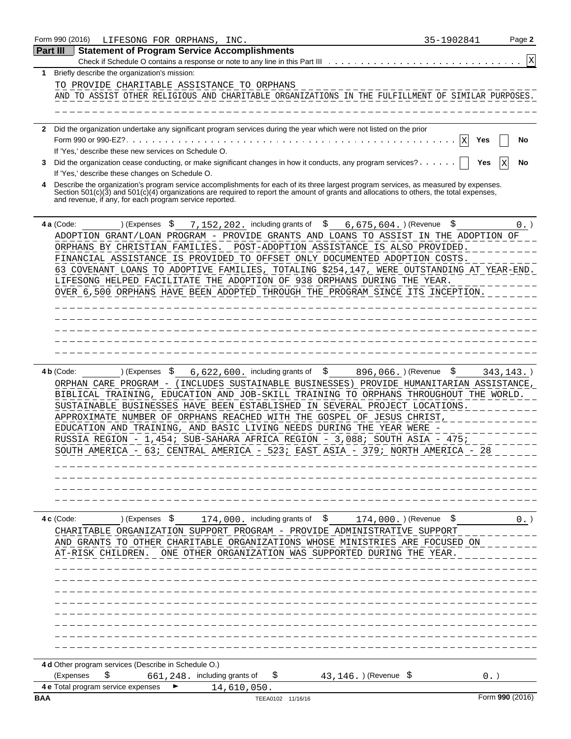|     | Form 990 (2016)<br>LIFESONG FOR ORPHANS, INC.                                                                                                                                                                                                                                                                                                                                                                                                                                                                                                                                                                                                                                      | 35-1902841 | Page 2          |
|-----|------------------------------------------------------------------------------------------------------------------------------------------------------------------------------------------------------------------------------------------------------------------------------------------------------------------------------------------------------------------------------------------------------------------------------------------------------------------------------------------------------------------------------------------------------------------------------------------------------------------------------------------------------------------------------------|------------|-----------------|
|     | Part III<br><b>Statement of Program Service Accomplishments</b>                                                                                                                                                                                                                                                                                                                                                                                                                                                                                                                                                                                                                    |            |                 |
|     | Check if Schedule O contains a response or note to any line in this Part III                                                                                                                                                                                                                                                                                                                                                                                                                                                                                                                                                                                                       |            | $\, {\rm X}$    |
| 1.  | Briefly describe the organization's mission:                                                                                                                                                                                                                                                                                                                                                                                                                                                                                                                                                                                                                                       |            |                 |
|     | TO PROVIDE CHARITABLE ASSISTANCE TO ORPHANS                                                                                                                                                                                                                                                                                                                                                                                                                                                                                                                                                                                                                                        |            |                 |
|     | AND TO ASSIST OTHER RELIGIOUS AND CHARITABLE ORGANIZATIONS IN THE FULFILLMENT OF SIMILAR PURPOSES.                                                                                                                                                                                                                                                                                                                                                                                                                                                                                                                                                                                 |            |                 |
|     |                                                                                                                                                                                                                                                                                                                                                                                                                                                                                                                                                                                                                                                                                    |            |                 |
|     | Did the organization undertake any significant program services during the year which were not listed on the prior                                                                                                                                                                                                                                                                                                                                                                                                                                                                                                                                                                 |            |                 |
|     |                                                                                                                                                                                                                                                                                                                                                                                                                                                                                                                                                                                                                                                                                    | X          | No<br>Yes       |
|     | If 'Yes,' describe these new services on Schedule O.                                                                                                                                                                                                                                                                                                                                                                                                                                                                                                                                                                                                                               |            |                 |
| 3   | Did the organization cease conducting, or make significant changes in how it conducts, any program services?                                                                                                                                                                                                                                                                                                                                                                                                                                                                                                                                                                       |            | Yes<br>No       |
|     | If 'Yes,' describe these changes on Schedule O.                                                                                                                                                                                                                                                                                                                                                                                                                                                                                                                                                                                                                                    |            |                 |
|     | Describe the organization's program service accomplishments for each of its three largest program services, as measured by expenses.                                                                                                                                                                                                                                                                                                                                                                                                                                                                                                                                               |            |                 |
|     | Section 501(c)(3) and 501(c)(4) organizations are required to report the amount of grants and allocations to others, the total expenses,<br>and revenue, if any, for each program service reported.                                                                                                                                                                                                                                                                                                                                                                                                                                                                                |            |                 |
|     |                                                                                                                                                                                                                                                                                                                                                                                                                                                                                                                                                                                                                                                                                    |            |                 |
|     | 4 a (Code:<br>7, 152, 202. including grants of<br>\$<br>) (Expenses<br>Ş<br>$6,675,604.$ (Revenue                                                                                                                                                                                                                                                                                                                                                                                                                                                                                                                                                                                  | Ş          | 0.              |
|     | ADOPTION GRANT/LOAN PROGRAM - PROVIDE GRANTS AND LOANS TO ASSIST IN THE ADOPTION                                                                                                                                                                                                                                                                                                                                                                                                                                                                                                                                                                                                   |            | OF              |
|     | ORPHANS BY CHRISTIAN FAMILIES. POST-ADOPTION ASSISTANCE IS ALSO PROVIDED.                                                                                                                                                                                                                                                                                                                                                                                                                                                                                                                                                                                                          |            |                 |
|     | FINANCIAL ASSISTANCE IS PROVIDED TO OFFSET ONLY DOCUMENTED ADOPTION COSTS                                                                                                                                                                                                                                                                                                                                                                                                                                                                                                                                                                                                          |            |                 |
|     | 63 COVENANT LOANS TO ADOPTIVE FAMILIES, TOTALING \$254,147, WERE OUTSTANDING AT YEAR-END                                                                                                                                                                                                                                                                                                                                                                                                                                                                                                                                                                                           |            |                 |
|     | LIFESONG HELPED FACILITATE THE ADOPTION OF 938 ORPHANS DURING THE YEAR.                                                                                                                                                                                                                                                                                                                                                                                                                                                                                                                                                                                                            |            |                 |
|     | OVER 6,500 ORPHANS HAVE BEEN ADOPTED THROUGH THE PROGRAM SINCE ITS INCEPTION.                                                                                                                                                                                                                                                                                                                                                                                                                                                                                                                                                                                                      |            |                 |
|     |                                                                                                                                                                                                                                                                                                                                                                                                                                                                                                                                                                                                                                                                                    |            |                 |
|     |                                                                                                                                                                                                                                                                                                                                                                                                                                                                                                                                                                                                                                                                                    |            |                 |
|     |                                                                                                                                                                                                                                                                                                                                                                                                                                                                                                                                                                                                                                                                                    |            |                 |
|     |                                                                                                                                                                                                                                                                                                                                                                                                                                                                                                                                                                                                                                                                                    |            |                 |
|     |                                                                                                                                                                                                                                                                                                                                                                                                                                                                                                                                                                                                                                                                                    |            |                 |
|     | 4 b (Code:<br>\$<br>6,622,600. including grants of<br>\$<br>) (Expenses<br>896,066. ) (Revenue<br>ORPHAN CARE PROGRAM - (INCLUDES SUSTAINABLE BUSINESSES) PROVIDE HUMANITARIAN ASSISTANCE<br>BIBLICAL TRAINING, EDUCATION AND JOB-SKILL TRAINING TO ORPHANS THROUGHOUT THE WORLD.<br>SUSTAINABLE BUSINESSES HAVE BEEN ESTABLISHED IN SEVERAL PROJECT LOCATIONS.<br>APPROXIMATE NUMBER OF ORPHANS REACHED WITH THE GOSPEL OF JESUS CHRIST,<br>EDUCATION AND TRAINING, AND BASIC LIVING NEEDS DURING THE YEAR WERE -<br>RUSSIA REGION - 1,454; SUB-SAHARA AFRICA REGION - 3,088; SOUTH ASIA - 475;<br>SOUTH AMERICA - 63; CENTRAL AMERICA - 523; EAST ASIA - 379; NORTH AMERICA - 28 | Ş          | 343,143.1       |
|     |                                                                                                                                                                                                                                                                                                                                                                                                                                                                                                                                                                                                                                                                                    |            |                 |
|     |                                                                                                                                                                                                                                                                                                                                                                                                                                                                                                                                                                                                                                                                                    |            |                 |
|     |                                                                                                                                                                                                                                                                                                                                                                                                                                                                                                                                                                                                                                                                                    |            |                 |
|     | $174,000$ . including grants of $$$<br>174,000. ) (Revenue<br>4 c (Code:<br>) (Expenses \$                                                                                                                                                                                                                                                                                                                                                                                                                                                                                                                                                                                         | -Ş         | $0.$ )          |
|     | CHARITABLE ORGANIZATION SUPPORT PROGRAM - PROVIDE ADMINISTRATIVE SUPPORT<br>AND GRANTS TO OTHER CHARITABLE ORGANIZATIONS WHOSE MINISTRIES ARE FOCUSED ON<br>AT-RISK CHILDREN. ONE OTHER ORGANIZATION WAS SUPPORTED DURING THE YEAR.                                                                                                                                                                                                                                                                                                                                                                                                                                                |            |                 |
|     |                                                                                                                                                                                                                                                                                                                                                                                                                                                                                                                                                                                                                                                                                    |            |                 |
|     |                                                                                                                                                                                                                                                                                                                                                                                                                                                                                                                                                                                                                                                                                    |            |                 |
|     |                                                                                                                                                                                                                                                                                                                                                                                                                                                                                                                                                                                                                                                                                    |            |                 |
|     |                                                                                                                                                                                                                                                                                                                                                                                                                                                                                                                                                                                                                                                                                    |            |                 |
|     |                                                                                                                                                                                                                                                                                                                                                                                                                                                                                                                                                                                                                                                                                    |            |                 |
|     |                                                                                                                                                                                                                                                                                                                                                                                                                                                                                                                                                                                                                                                                                    |            |                 |
|     |                                                                                                                                                                                                                                                                                                                                                                                                                                                                                                                                                                                                                                                                                    |            |                 |
|     | 4 d Other program services (Describe in Schedule O.)                                                                                                                                                                                                                                                                                                                                                                                                                                                                                                                                                                                                                               |            |                 |
|     | \$<br>661, 248. including grants of<br>43, 146. ) (Revenue \$<br>(Expenses<br>\$                                                                                                                                                                                                                                                                                                                                                                                                                                                                                                                                                                                                   |            | $0.$ )          |
|     | 4 e Total program service expenses<br>14,610,050.                                                                                                                                                                                                                                                                                                                                                                                                                                                                                                                                                                                                                                  |            |                 |
| BAA | TEEA0102 11/16/16                                                                                                                                                                                                                                                                                                                                                                                                                                                                                                                                                                                                                                                                  |            | Form 990 (2016) |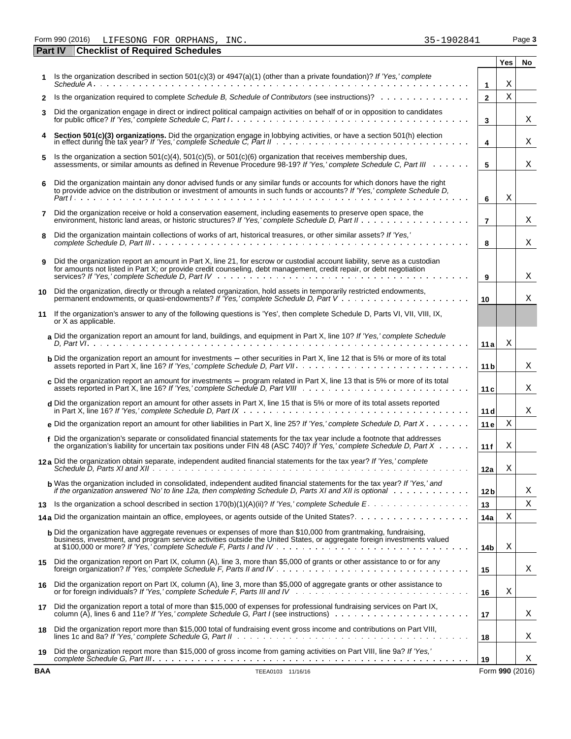Form 990 (2016) Page **3** LIFESONG FOR ORPHANS, INC. 35-1902841 **Part IV Che**<br>Rept IV Che

|                | Part IV   Checklist of Required Schedules                                                                                                                                                                                                                                                                                                                                                                                              |                 |            |                 |
|----------------|----------------------------------------------------------------------------------------------------------------------------------------------------------------------------------------------------------------------------------------------------------------------------------------------------------------------------------------------------------------------------------------------------------------------------------------|-----------------|------------|-----------------|
|                |                                                                                                                                                                                                                                                                                                                                                                                                                                        |                 | <b>Yes</b> | No              |
| 1              | Is the organization described in section 501(c)(3) or 4947(a)(1) (other than a private foundation)? If 'Yes,' complete                                                                                                                                                                                                                                                                                                                 | $\mathbf{1}$    | Χ          |                 |
| $\overline{2}$ | Is the organization required to complete Schedule B, Schedule of Contributors (see instructions)?                                                                                                                                                                                                                                                                                                                                      | $\mathbf{2}$    | X          |                 |
| 3              | Did the organization engage in direct or indirect political campaign activities on behalf of or in opposition to candidates                                                                                                                                                                                                                                                                                                            |                 |            |                 |
|                |                                                                                                                                                                                                                                                                                                                                                                                                                                        | 3               |            | Χ               |
|                | Section 501(c)(3) organizations. Did the organization engage in lobbying activities, or have a section 501(h) election in effect during the tax year? If 'Yes,' complete Schedule C, Part II                                                                                                                                                                                                                                           | 4               |            | Χ               |
| 5              | Is the organization a section $501(c)(4)$ , $501(c)(5)$ , or $501(c)(6)$ organization that receives membership dues,<br>assessments, or similar amounts as defined in Revenue Procedure 98-19? If 'Yes,' complete Schedule C. Part III                                                                                                                                                                                                 | 5               |            | Χ               |
| 6              | Did the organization maintain any donor advised funds or any similar funds or accounts for which donors have the right<br>to provide advice on the distribution or investment of amounts in such funds or accounts? If 'Yes,' complete Schedule D.                                                                                                                                                                                     | 6               | Χ          |                 |
| 7              | Did the organization receive or hold a conservation easement, including easements to preserve open space, the                                                                                                                                                                                                                                                                                                                          | $\overline{7}$  |            | Χ               |
| 8              | Did the organization maintain collections of works of art, historical treasures, or other similar assets? If 'Yes,'                                                                                                                                                                                                                                                                                                                    | 8               |            | Χ               |
| 9              | Did the organization report an amount in Part X, line 21, for escrow or custodial account liability, serve as a custodian<br>for amounts not listed in Part X; or provide credit counseling, debt management, credit repair, or debt negotiation<br>services? If 'Yes.' complete Schedule D. Part IV $\cdots$ , $\cdots$ , $\cdots$ , $\cdots$ , $\cdots$ , $\cdots$ , $\cdots$ , $\cdots$ , $\cdots$ , $\cdots$ , $\cdots$ , $\cdots$ | 9               |            | Χ               |
| 10             | Did the organization, directly or through a related organization, hold assets in temporarily restricted endowments,                                                                                                                                                                                                                                                                                                                    | 10              |            | Χ               |
| 11             | If the organization's answer to any of the following questions is 'Yes', then complete Schedule D, Parts VI, VII, VIII, IX,<br>or X as applicable.                                                                                                                                                                                                                                                                                     |                 |            |                 |
|                | a Did the organization report an amount for land, buildings, and equipment in Part X, line 10? If 'Yes,' complete Schedule                                                                                                                                                                                                                                                                                                             | 11a             | Χ          |                 |
|                | <b>b</b> Did the organization report an amount for investments – other securities in Part X, line 12 that is 5% or more of its total<br>assets reported in Part X, line 16? If 'Yes,' complete Schedule D, Part VII.                                                                                                                                                                                                                   | 11 <sub>b</sub> |            | Χ               |
|                | c Did the organization report an amount for investments $-$ program related in Part X, line 13 that is 5% or more of its total                                                                                                                                                                                                                                                                                                         | 11c             |            | Χ               |
|                | d Did the organization report an amount for other assets in Part X, line 15 that is 5% or more of its total assets reported                                                                                                                                                                                                                                                                                                            | 11d             |            | Χ               |
|                | <b>e</b> Did the organization report an amount for other liabilities in Part X, line 25? If 'Yes,' complete Schedule D, Part X                                                                                                                                                                                                                                                                                                         | 11 e            | Χ          |                 |
|                | f Did the organization's separate or consolidated financial statements for the tax year include a footnote that addresses<br>the organization's liability for uncertain tax positions under FIN 48 (ASC 740)? If 'Yes,' complete Schedule D, Part $X \cdot \cdot \cdot$                                                                                                                                                                | 11f             | Χ          |                 |
|                | 12a Did the organization obtain separate, independent audited financial statements for the tax year? If 'Yes,' complete                                                                                                                                                                                                                                                                                                                | 12a             | $\rm X$    |                 |
|                | <b>b</b> Was the organization included in consolidated, independent audited financial statements for the tax year? If 'Yes,' and<br>if the organization answered 'No' to line 12a, then completing Schedule D, Parts XI and XII is optional                                                                                                                                                                                            | 12 <sub>b</sub> |            | Χ               |
| 13             |                                                                                                                                                                                                                                                                                                                                                                                                                                        | 13              |            | Χ               |
|                |                                                                                                                                                                                                                                                                                                                                                                                                                                        | 14a             | Χ          |                 |
|                | <b>b</b> Did the organization have aggregate revenues or expenses of more than \$10,000 from grantmaking, fundraising,<br>business, investment, and program service activities outside the United States, or aggregate foreign investments valued                                                                                                                                                                                      | 14b             | Χ          |                 |
| 15             | Did the organization report on Part IX, column (A), line 3, more than \$5,000 of grants or other assistance to or for any                                                                                                                                                                                                                                                                                                              | 15              |            | Χ               |
| 16             | Did the organization report on Part IX, column (A), line 3, more than \$5,000 of aggregate grants or other assistance to                                                                                                                                                                                                                                                                                                               | 16              | Χ          |                 |
| 17             | Did the organization report a total of more than \$15,000 of expenses for professional fundraising services on Part IX,                                                                                                                                                                                                                                                                                                                | 17              |            | Χ               |
| 18             | Did the organization report more than \$15,000 total of fundraising event gross income and contributions on Part VIII,                                                                                                                                                                                                                                                                                                                 | 18              |            | Χ               |
| 19             | Did the organization report more than \$15,000 of gross income from gaming activities on Part VIII, line 9a? If 'Yes,'                                                                                                                                                                                                                                                                                                                 | 19              |            | Χ               |
| <b>BAA</b>     | TEEA0103 11/16/16                                                                                                                                                                                                                                                                                                                                                                                                                      |                 |            | Form 990 (2016) |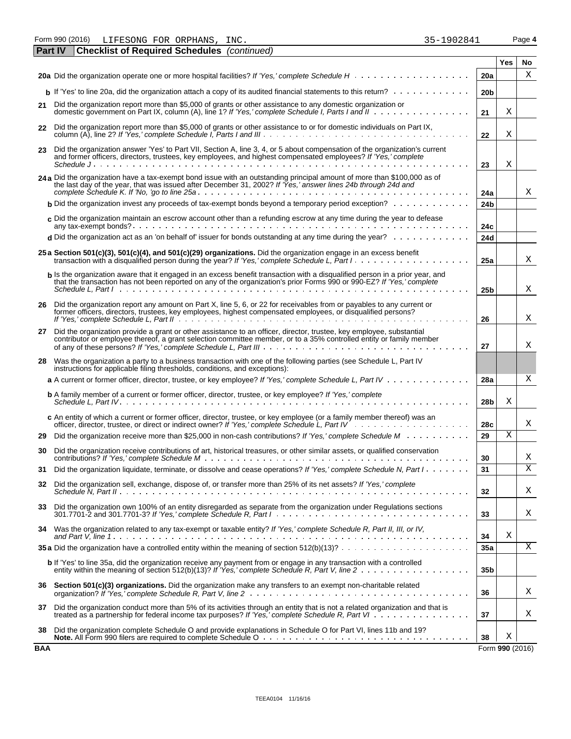Form 990 (2016) Page **4** LIFESONG FOR ORPHANS, INC. 35-1902841

| <b>Part IV</b> | <b>Checklist of Required Schedules</b> (continued)                                                                                                                                                                                                    |                 |                 |     |
|----------------|-------------------------------------------------------------------------------------------------------------------------------------------------------------------------------------------------------------------------------------------------------|-----------------|-----------------|-----|
|                |                                                                                                                                                                                                                                                       |                 | Yes             | No. |
|                |                                                                                                                                                                                                                                                       | 20a             |                 | X   |
|                | <b>b</b> If 'Yes' to line 20a, did the organization attach a copy of its audited financial statements to this return?                                                                                                                                 | 20 <sub>b</sub> |                 |     |
| 21             | Did the organization report more than \$5,000 of grants or other assistance to any domestic organization or                                                                                                                                           | 21              | Χ               |     |
| 22             | Did the organization report more than \$5,000 of grants or other assistance to or for domestic individuals on Part IX,                                                                                                                                | 22              | Χ               |     |
| 23             | Did the organization answer 'Yes' to Part VII, Section A, line 3, 4, or 5 about compensation of the organization's current<br>and former officers, directors, trustees, key employees, and highest compensated employees? If 'Yes,' complete          |                 |                 |     |
|                |                                                                                                                                                                                                                                                       | 23              | Χ               |     |
|                | 24 a Did the organization have a tax-exempt bond issue with an outstanding principal amount of more than \$100,000 as of<br>the last day of the year, that was issued after December 31, 2002? If 'Yes,' answer lines 24b through 24d and             | 24a             |                 | Χ   |
|                | <b>b</b> Did the organization invest any proceeds of tax-exempt bonds beyond a temporary period exception?                                                                                                                                            | 24 <sub>b</sub> |                 |     |
|                | c Did the organization maintain an escrow account other than a refunding escrow at any time during the year to defease                                                                                                                                | 24c             |                 |     |
|                | d Did the organization act as an 'on behalf of' issuer for bonds outstanding at any time during the year? $\ldots \ldots \ldots$                                                                                                                      | 24d             |                 |     |
|                | 25 a Section 501(c)(3), 501(c)(4), and 501(c)(29) organizations. Did the organization engage in an excess benefit<br>transaction with a disqualified person during the year? If 'Yes,' complete Schedule L, Part I                                    | 25a             |                 | Χ   |
|                | b Is the organization aware that it engaged in an excess benefit transaction with a disqualified person in a prior year, and<br>that the transaction has not been reported on any of the organization's prior Forms 990 or 990-EZ? If 'Yes,' complete |                 |                 |     |
|                | Schedule L. Part Industrial and a state of the contract of the contract of the contract of the contract of the                                                                                                                                        | 25 <sub>b</sub> |                 | Χ   |
|                | 26 Did the organization report any amount on Part X, line 5, 6, or 22 for receivables from or payables to any current or<br>former officers, directors, trustees, key employees, highest compensated employees, or disqualified persons?              | 26              |                 | Χ   |
| 27             | Did the organization provide a grant or other assistance to an officer, director, trustee, key employee, substantial<br>contributor or employee thereof, a grant selection committee member, or to a 35% controlled entity or family member           | 27              |                 | Χ   |
|                | 28 Was the organization a party to a business transaction with one of the following parties (see Schedule L, Part IV<br>instructions for applicable filing thresholds, conditions, and exceptions):                                                   |                 |                 |     |
|                | a A current or former officer, director, trustee, or key employee? If 'Yes,' complete Schedule L, Part IV                                                                                                                                             | 28a             |                 | Χ   |
|                | <b>b</b> A family member of a current or former officer, director, trustee, or key employee? If 'Yes,' complete                                                                                                                                       | 28 <sub>b</sub> | х               |     |
|                | c An entity of which a current or former officer, director, trustee, or key employee (or a family member thereof) was an officer, director, trustee, or direct or indirect owner? If 'Yes,' complete Schedule L, Part IV                              | 28c             |                 | Χ   |
| 29             | Did the organization receive more than \$25,000 in non-cash contributions? If 'Yes,' complete Schedule M                                                                                                                                              | 29              | X               |     |
| 30             | Did the organization receive contributions of art, historical treasures, or other similar assets, or qualified conservation                                                                                                                           | 30              |                 | Χ   |
| 31             | Did the organization liquidate, terminate, or dissolve and cease operations? If 'Yes,' complete Schedule N, Part I                                                                                                                                    | 31              |                 | Χ   |
| 32             | Did the organization sell, exchange, dispose of, or transfer more than 25% of its net assets? If 'Yes,' complete                                                                                                                                      | 32              |                 | Χ   |
|                | 33 Did the organization own 100% of an entity disregarded as separate from the organization under Regulations sections                                                                                                                                | 33              |                 | Χ   |
|                | 34 Was the organization related to any tax-exempt or taxable entity? If 'Yes,' complete Schedule R, Part II, III, or IV,                                                                                                                              | 34              | Χ               |     |
|                | <b>35 a</b> Did the organization have a controlled entity within the meaning of section $512(b)(13)? \ldots \ldots \ldots \ldots \ldots \ldots \ldots$                                                                                                | 35a             |                 | X   |
|                | b If 'Yes' to line 35a, did the organization receive any payment from or engage in any transaction with a controlled                                                                                                                                  | 35 <sub>b</sub> |                 |     |
|                | 36 Section 501(c)(3) organizations. Did the organization make any transfers to an exempt non-charitable related                                                                                                                                       | 36              |                 | Χ   |
| 37             | Did the organization conduct more than 5% of its activities through an entity that is not a related organization and that is                                                                                                                          | 37              |                 | Χ   |
| 38             | Did the organization complete Schedule O and provide explanations in Schedule O for Part VI, lines 11b and 19?                                                                                                                                        | 38              | Χ               |     |
| <b>BAA</b>     |                                                                                                                                                                                                                                                       |                 | Form 990 (2016) |     |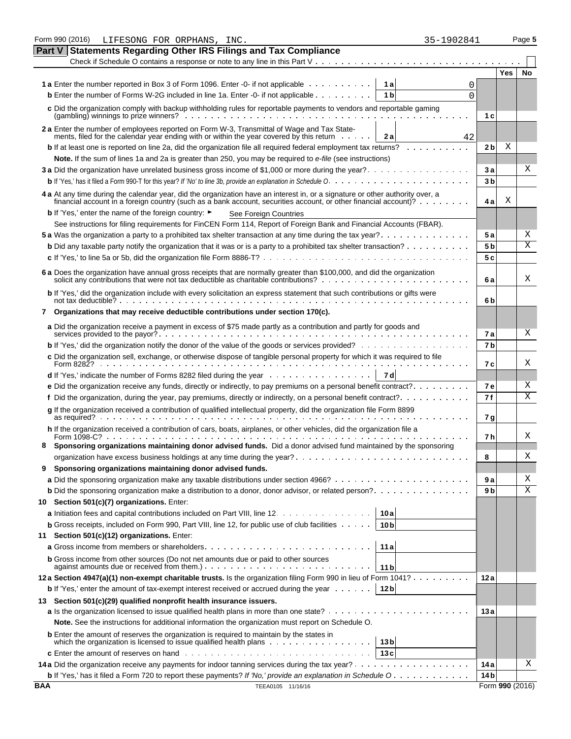|               | Form 990 (2016)<br>35-1902841<br>LIFESONG FOR ORPHANS, INC.                                                                                                                                                                                       |                |                 | Page 5 |
|---------------|---------------------------------------------------------------------------------------------------------------------------------------------------------------------------------------------------------------------------------------------------|----------------|-----------------|--------|
| <b>Part V</b> | <b>Statements Regarding Other IRS Filings and Tax Compliance</b>                                                                                                                                                                                  |                |                 |        |
|               |                                                                                                                                                                                                                                                   |                |                 |        |
|               |                                                                                                                                                                                                                                                   |                | <b>Yes</b>      | No     |
|               | 1 a Enter the number reported in Box 3 of Form 1096. Enter -0- if not applicable<br>1a<br>0                                                                                                                                                       |                |                 |        |
|               | <b>b</b> Enter the number of Forms W-2G included in line 1a. Enter -0- if not applicable<br>1 <sub>b</sub><br>$\Omega$                                                                                                                            |                |                 |        |
|               | c Did the organization comply with backup withholding rules for reportable payments to vendors and reportable gaming<br>$(gambling)$ winnings to prize winners? $\ldots$ , $\ldots$ , $\ldots$ , $\ldots$ , $\ldots$ , $\ldots$ , $\ldots$        | 1 c            |                 |        |
|               | 2 a Enter the number of employees reported on Form W-3, Transmittal of Wage and Tax State-                                                                                                                                                        |                |                 |        |
|               | ments, filed for the calendar year ending with or within the year covered by this return<br>2a<br>42                                                                                                                                              |                |                 |        |
|               | <b>b</b> If at least one is reported on line 2a, did the organization file all required federal employment tax returns?                                                                                                                           | 2 bl           | Χ               |        |
|               | Note. If the sum of lines 1a and 2a is greater than 250, you may be required to e-file (see instructions)                                                                                                                                         |                |                 |        |
|               | 3 a Did the organization have unrelated business gross income of \$1,000 or more during the year?                                                                                                                                                 | За             |                 | Χ      |
|               |                                                                                                                                                                                                                                                   | 3b             |                 |        |
|               | 4 a At any time during the calendar year, did the organization have an interest in, or a signature or other authority over, a<br>financial account in a foreign country (such as a bank account, securities account, or other financial account)? | 4 a            | Χ               |        |
|               | <b>b</b> If 'Yes,' enter the name of the foreign country: ►<br>See Foreign Countries                                                                                                                                                              |                |                 |        |
|               | See instructions for filing requirements for FinCEN Form 114, Report of Foreign Bank and Financial Accounts (FBAR).                                                                                                                               |                |                 |        |
|               | 5 a Was the organization a party to a prohibited tax shelter transaction at any time during the tax year?                                                                                                                                         | 5а             |                 | Χ      |
|               | <b>b</b> Did any taxable party notify the organization that it was or is a party to a prohibited tax shelter transaction?                                                                                                                         | 5 <sub>b</sub> |                 | Χ      |
|               |                                                                                                                                                                                                                                                   | 5c             |                 |        |
|               | 6 a Does the organization have annual gross receipts that are normally greater than \$100,000, and did the organization<br>solicit any contributions that were not tax deductible as charitable contributions?                                    | 6 a            |                 | Χ      |
|               | b If 'Yes,' did the organization include with every solicitation an express statement that such contributions or gifts were                                                                                                                       |                |                 |        |
|               | 7 Organizations that may receive deductible contributions under section 170(c).                                                                                                                                                                   | 6b             |                 |        |
|               | a Did the organization receive a payment in excess of \$75 made partly as a contribution and partly for goods and                                                                                                                                 |                |                 |        |
|               |                                                                                                                                                                                                                                                   | 7 a            |                 | X      |
|               |                                                                                                                                                                                                                                                   | 7 <sub>b</sub> |                 |        |
|               | c Did the organization sell, exchange, or otherwise dispose of tangible personal property for which it was required to file                                                                                                                       | 7с             |                 | Χ      |
|               | d If 'Yes,' indicate the number of Forms 8282 filed during the year enter-<br>7 d                                                                                                                                                                 |                |                 |        |
|               | <b>e</b> Did the organization receive any funds, directly or indirectly, to pay premiums on a personal benefit contract?                                                                                                                          | <b>7e</b>      |                 | Χ      |
|               | f Did the organization, during the year, pay premiums, directly or indirectly, on a personal benefit contract?.                                                                                                                                   | 7 f            |                 | Χ      |
|               | g If the organization received a contribution of qualified intellectual property, did the organization file Form 8899                                                                                                                             | 7 g            |                 |        |
|               | h If the organization received a contribution of cars, boats, airplanes, or other vehicles, did the organization file a                                                                                                                           |                |                 |        |
|               |                                                                                                                                                                                                                                                   | 7 h            |                 | Χ      |
|               | Sponsoring organizations maintaining donor advised funds. Did a donor advised fund maintained by the sponsoring                                                                                                                                   |                |                 | Χ      |
|               |                                                                                                                                                                                                                                                   | 8              |                 |        |
| 9             | Sponsoring organizations maintaining donor advised funds.                                                                                                                                                                                         | 9 a            |                 | X      |
|               | <b>b</b> Did the sponsoring organization make a distribution to a donor, donor advisor, or related person?                                                                                                                                        | 9 b            |                 | Χ      |
| 10            | Section 501(c)(7) organizations. Enter:                                                                                                                                                                                                           |                |                 |        |
|               | a Initiation fees and capital contributions included on Part VIII, line 12.<br>10 a                                                                                                                                                               |                |                 |        |
|               | <b>b</b> Gross receipts, included on Form 990, Part VIII, line 12, for public use of club facilities $\cdots$ .<br>10 <sub>b</sub>                                                                                                                |                |                 |        |
| 11            | Section 501(c)(12) organizations. Enter:                                                                                                                                                                                                          |                |                 |        |
|               | 11a                                                                                                                                                                                                                                               |                |                 |        |
|               | <b>b</b> Gross income from other sources (Do not net amounts due or paid to other sources<br>against amounts due or received from them.) $\ldots \ldots \ldots \ldots \ldots \ldots \ldots \ldots \ldots \ldots$<br>11 b                          |                |                 |        |
|               | 12a Section 4947(a)(1) non-exempt charitable trusts. Is the organization filing Form 990 in lieu of Form 1041?                                                                                                                                    | 12 a           |                 |        |
|               | <b>b</b> If 'Yes,' enter the amount of tax-exempt interest received or accrued during the year $\dots$ .<br>12 <sub>b</sub>                                                                                                                       |                |                 |        |
|               | 13 Section 501(c)(29) qualified nonprofit health insurance issuers.                                                                                                                                                                               |                |                 |        |
|               |                                                                                                                                                                                                                                                   | 13 a           |                 |        |
|               | Note. See the instructions for additional information the organization must report on Schedule O.                                                                                                                                                 |                |                 |        |
|               | <b>b</b> Enter the amount of reserves the organization is required to maintain by the states in                                                                                                                                                   |                |                 |        |
|               | 13 <sub>b</sub>                                                                                                                                                                                                                                   |                |                 |        |
|               | 13c                                                                                                                                                                                                                                               |                |                 | Χ      |
|               |                                                                                                                                                                                                                                                   | 14 a<br>14 b   |                 |        |
| BAA           | <b>b</b> If 'Yes,' has it filed a Form 720 to report these payments? If 'No,' provide an explanation in Schedule O<br>TEEA0105 11/16/16                                                                                                           |                | Form 990 (2016) |        |
|               |                                                                                                                                                                                                                                                   |                |                 |        |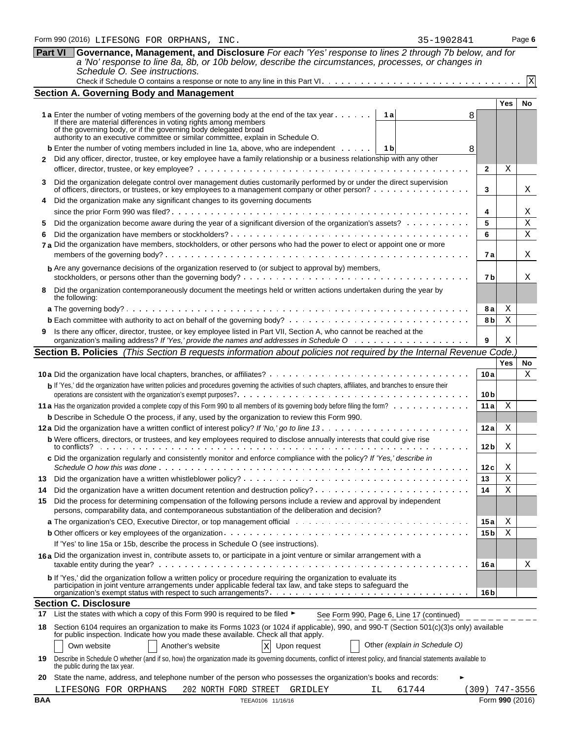|     | of the governing body, or if the governing body delegated broad<br>authority to an executive committee or similar committee, explain in Schedule O.                                                                                      |                 |                 |         |
|-----|------------------------------------------------------------------------------------------------------------------------------------------------------------------------------------------------------------------------------------------|-----------------|-----------------|---------|
|     | <b>b</b> Enter the number of voting members included in line 1a, above, who are independent $\cdots$<br>1 b<br>8                                                                                                                         |                 |                 |         |
| 2   | Did any officer, director, trustee, or key employee have a family relationship or a business relationship with any other                                                                                                                 |                 |                 |         |
|     |                                                                                                                                                                                                                                          | $\mathbf{2}$    | Χ               |         |
| 3   | Did the organization delegate control over management duties customarily performed by or under the direct supervision<br>of officers, directors, or trustees, or key employees to a management company or other person?                  | 3               |                 | Χ       |
|     | Did the organization make any significant changes to its governing documents                                                                                                                                                             |                 |                 |         |
|     |                                                                                                                                                                                                                                          | 4               |                 | X       |
| 5   | Did the organization become aware during the year of a significant diversion of the organization's assets?                                                                                                                               | 5               |                 | Х       |
|     |                                                                                                                                                                                                                                          | 6               |                 | Χ       |
|     | 7a Did the organization have members, stockholders, or other persons who had the power to elect or appoint one or more                                                                                                                   | 7 a             |                 |         |
|     |                                                                                                                                                                                                                                          |                 |                 | Χ       |
|     | <b>b</b> Are any governance decisions of the organization reserved to (or subject to approval by) members,                                                                                                                               | 7 b             |                 | х       |
|     | Did the organization contemporaneously document the meetings held or written actions undertaken during the year by<br>the following:                                                                                                     |                 |                 |         |
|     |                                                                                                                                                                                                                                          | 8а              | Χ               |         |
|     |                                                                                                                                                                                                                                          | 8 b             | Χ               |         |
| 9   | Is there any officer, director, trustee, or key employee listed in Part VII, Section A, who cannot be reached at the                                                                                                                     |                 |                 |         |
|     |                                                                                                                                                                                                                                          | 9               | Χ               |         |
|     | Section B. Policies (This Section B requests information about policies not required by the Internal Revenue Code.                                                                                                                       |                 | Yes             |         |
|     |                                                                                                                                                                                                                                          | 10 a            |                 | No<br>X |
|     | b If 'Yes,' did the organization have written policies and procedures governing the activities of such chapters, affiliates, and branches to ensure their                                                                                |                 |                 |         |
|     |                                                                                                                                                                                                                                          | 10 <sub>b</sub> |                 |         |
|     |                                                                                                                                                                                                                                          | 11a             | X               |         |
|     | <b>b</b> Describe in Schedule O the process, if any, used by the organization to review this Form 990.                                                                                                                                   |                 |                 |         |
|     |                                                                                                                                                                                                                                          | 12a             | Χ               |         |
|     | b Were officers, directors, or trustees, and key employees required to disclose annually interests that could give rise                                                                                                                  | 12 <sub>b</sub> | Χ               |         |
|     | c Did the organization regularly and consistently monitor and enforce compliance with the policy? If 'Yes,' describe in                                                                                                                  | 12c             | Χ               |         |
| 13  |                                                                                                                                                                                                                                          | 13              | X               |         |
| 14  |                                                                                                                                                                                                                                          | 14              | X               |         |
| 15  | Did the process for determining compensation of the following persons include a review and approval by independent<br>persons, comparability data, and contemporaneous substantiation of the deliberation and decision?                  |                 |                 |         |
|     |                                                                                                                                                                                                                                          | 15a             | Χ               |         |
|     |                                                                                                                                                                                                                                          | 15 <sub>b</sub> | Χ               |         |
|     | If 'Yes' to line 15a or 15b, describe the process in Schedule O (see instructions).                                                                                                                                                      |                 |                 |         |
|     | 16a Did the organization invest in, contribute assets to, or participate in a joint venture or similar arrangement with a                                                                                                                | 16 a            |                 | Χ       |
|     | <b>b</b> If 'Yes,' did the organization follow a written policy or procedure requiring the organization to evaluate its<br>participation in joint venture arrangements under applicable federal tax law, and take steps to safeguard the |                 |                 |         |
|     |                                                                                                                                                                                                                                          | 16 b            |                 |         |
| 17  | <b>Section C. Disclosure</b><br>List the states with which a copy of this Form 990 is required to be filed ►<br>See Form 990, Page 6, Line 17 (continued)                                                                                |                 |                 |         |
| 18. | Section 6104 requires an organization to make its Forms 1023 (or 1024 if applicable), 990, and 990-T (Section 501(c)(3)s only) available                                                                                                 |                 |                 |         |
|     | for public inspection. Indicate how you made these available. Check all that apply.<br>Other (explain in Schedule O)<br>Own website<br>Another's website<br>Upon request<br>$\mathbf{X}$                                                 |                 |                 |         |
| 19  | Describe in Schedule O whether (and if so, how) the organization made its governing documents, conflict of interest policy, and financial statements available to<br>the public during the tax year.                                     |                 |                 |         |
| 20  | State the name, address, and telephone number of the person who possesses the organization's books and records:                                                                                                                          |                 |                 |         |
|     | LIFESONG FOR ORPHANS<br>202 NORTH FORD STREET<br>GRIDLEY<br>61744<br>IL                                                                                                                                                                  |                 | (309) 747-3556  |         |
| BAA | TEEA0106 11/16/16                                                                                                                                                                                                                        |                 | Form 990 (2016) |         |
|     |                                                                                                                                                                                                                                          |                 |                 |         |

### Form 990 (2016) Page **6** LIFESONG FOR ORPHANS, INC. 35-1902841

If there are material differences in voting rights among members

| Part VI Governance, Management, and Disclosure For each 'Yes' response to lines 2 through 7b below, and for                         |
|-------------------------------------------------------------------------------------------------------------------------------------|
| a 'No' response to line 8a, 8b, or 10b below, describe the circumstances, processes, or changes in<br>Schedule O. See instructions. |

| Check if Schedule O contains a response or note to any line in this Part VI. $\ldots$ , $\ldots$ , $\ldots$ , $\ldots$ , $\ldots$ , $\ldots$ , $\ldots$ , $\ldots$ |  |  |
|--------------------------------------------------------------------------------------------------------------------------------------------------------------------|--|--|
| <b>Section A. Governing Body and Management</b>                                                                                                                    |  |  |

**1 a** Enter the number of voting members of the governing body at the end of the tax year  $\dots \dots$  | **1a** 

**Yes No**

8

X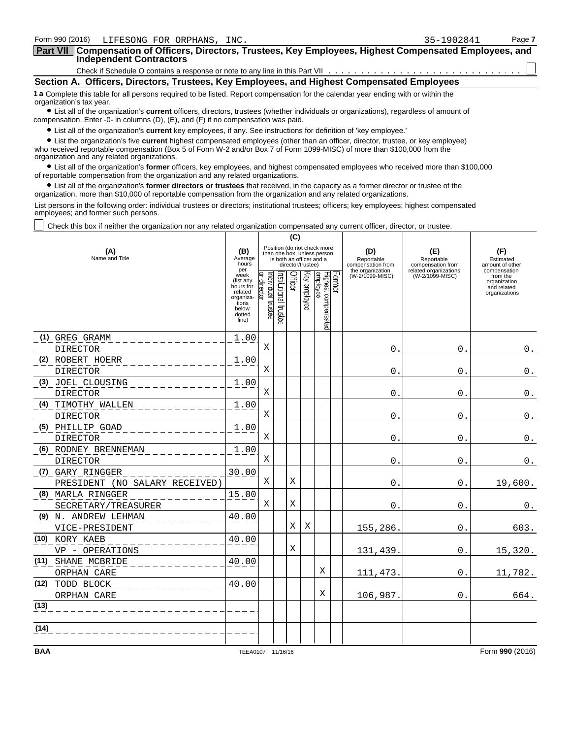| Form 990 (2016)<br>LIFESONG FOR ORPHANS, INC.                                                                                                                                                                                                               | Page 7<br>35-1902841 |
|-------------------------------------------------------------------------------------------------------------------------------------------------------------------------------------------------------------------------------------------------------------|----------------------|
| <b>Part VII</b> Compensation of Officers, Directors, Trustees, Key Employees, Highest Compensated Employees, and<br><b>Independent Contractors</b>                                                                                                          |                      |
|                                                                                                                                                                                                                                                             |                      |
| Section A. Officers, Directors, Trustees, Key Employees, and Highest Compensated Employees                                                                                                                                                                  |                      |
| 1 a Complete this table for all persons required to be listed. Report compensation for the calendar year ending with or within the<br>organization's tax year.                                                                                              |                      |
| • List all of the organization's current officers, directors, trustees (whether individuals or organizations), regardless of amount of<br>compensation. Enter -0- in columns (D), (E), and (F) if no compensation was paid.                                 |                      |
| • List all of the organization's current key employees, if any. See instructions for definition of 'key employee.'                                                                                                                                          |                      |
| • List the organization's five current highest compensated employees (other than an officer, director, trustee, or key employee)<br>who received reportable compensation (Box 5 of Form W-2 and/or Box 7 of Form 1099-MISC) of more than \$100,000 from the |                      |

organization and any related organizations. ? List all of the organization's **former** officers, key employees, and highest compensated employees who received more than \$100,000 of reportable compensation from the organization and any related organizations.

? List all of the organization's **former directors or trustees** that received, in the capacity as a former director or trustee of the organization, more than \$10,000 of reportable compensation from the organization and any related organizations.

List persons in the following order: individual trustees or directors; institutional trustees; officers; key employees; highest compensated employees; and former such persons.

Check this box if neither the organization nor any related organization compensated any current officer, director, or trustee.

|                       |                                          |                                                                                             |                                                 |                          | (C)     |                   |                                                            |        |                                                            |                                                                 |                                                          |
|-----------------------|------------------------------------------|---------------------------------------------------------------------------------------------|-------------------------------------------------|--------------------------|---------|-------------------|------------------------------------------------------------|--------|------------------------------------------------------------|-----------------------------------------------------------------|----------------------------------------------------------|
| (A)<br>Name and Title |                                          | (B)<br>Average<br>hours<br>per                                                              |                                                 | is both an officer and a |         | director/trustee) | Position (do not check more<br>than one box, unless person |        | (D)<br>Reportable<br>compensation from<br>the organization | (E)<br>Reportable<br>compensation from<br>related organizations | (F)<br>Estimated<br>amount of other<br>compensation      |
|                       |                                          | week<br>(list any<br>hours for<br>related<br>organiza-<br>tions<br>below<br>dotted<br>line) | ndividual trustee<br>$\mathbf{a}$<br>ireci<br>ছ | nstitutional trustee     | Officer | Key employee      | Highest compensated<br>employee                            | Former | (W-2/1099-MISC)                                            | (W-2/1099-MISC)                                                 | from the<br>organization<br>and related<br>organizations |
|                       | (1) GREG GRAMM<br><b>DIRECTOR</b>        | 1.00                                                                                        | X                                               |                          |         |                   |                                                            |        | 0                                                          | 0.                                                              |                                                          |
|                       | (2) ROBERT HOERR                         | 1.00                                                                                        |                                                 |                          |         |                   |                                                            |        |                                                            |                                                                 | 0.                                                       |
|                       | <b>DIRECTOR</b>                          |                                                                                             | Χ                                               |                          |         |                   |                                                            |        | $\mathbf 0$                                                | 0.                                                              | $0$ .                                                    |
|                       | (3) JOEL CLOUSING                        | 1.00                                                                                        |                                                 |                          |         |                   |                                                            |        |                                                            |                                                                 |                                                          |
|                       | <b>DIRECTOR</b>                          |                                                                                             | Χ                                               |                          |         |                   |                                                            |        | $\mathbf{0}$                                               | 0.                                                              | $\mathbf 0$ .                                            |
|                       | <u>(4) TIMOTHY WALLEN</u>                | 1.00                                                                                        |                                                 |                          |         |                   |                                                            |        |                                                            |                                                                 |                                                          |
|                       | <b>DIRECTOR</b>                          |                                                                                             | Χ                                               |                          |         |                   |                                                            |        | 0                                                          | 0.                                                              | $0$ .                                                    |
|                       | (5) PHILLIP GOAD                         | 1.00                                                                                        | X                                               |                          |         |                   |                                                            |        |                                                            |                                                                 |                                                          |
|                       | <b>DIRECTOR</b>                          |                                                                                             |                                                 |                          |         |                   |                                                            |        | $\mathbf 0$                                                | $\mathbf{0}$ .                                                  | $0$ .                                                    |
|                       | (6) RODNEY BRENNEMAN<br><b>DIRECTOR</b>  | 1.00                                                                                        | Χ                                               |                          |         |                   |                                                            |        | 0                                                          | 0.                                                              | $0$ .                                                    |
|                       | <u>(7) GARY RINGGER</u>                  | 30.00                                                                                       |                                                 |                          |         |                   |                                                            |        |                                                            |                                                                 |                                                          |
|                       | PRESIDENT<br>(NO SALARY RECEIVED)        |                                                                                             | Χ                                               |                          | X       |                   |                                                            |        | $\mathbf 0$                                                | $\mathbf{0}$ .                                                  | 19,600.                                                  |
|                       | (8) MARLA RINGGER<br>SECRETARY/TREASURER | 15.00                                                                                       | Χ                                               |                          | Χ       |                   |                                                            |        | 0                                                          | 0.                                                              | 0.                                                       |
|                       | (9) N. ANDREW LEHMAN<br>VICE-PRESIDENT   | 40.00                                                                                       |                                                 |                          | X       | Χ                 |                                                            |        | 155,286.                                                   | $0$ .                                                           | 603.                                                     |
|                       | (10) KORY KAEB                           | 40.00                                                                                       |                                                 |                          |         |                   |                                                            |        |                                                            |                                                                 |                                                          |
|                       | VP - OPERATIONS                          |                                                                                             |                                                 |                          | X       |                   |                                                            |        | 131,439.                                                   | 0.                                                              | 15,320.                                                  |
|                       | (11) SHANE MCBRIDE<br>ORPHAN CARE        | 40.00                                                                                       |                                                 |                          |         |                   | X                                                          |        | 111, 473.                                                  | 0.                                                              | 11,782.                                                  |
| (12)                  | TODD BLOCK                               | 40.00                                                                                       |                                                 |                          |         |                   |                                                            |        |                                                            |                                                                 |                                                          |
|                       | ORPHAN CARE                              |                                                                                             |                                                 |                          |         |                   | X                                                          |        | 106,987.                                                   | 0.                                                              | 664.                                                     |
| (13)                  |                                          |                                                                                             |                                                 |                          |         |                   |                                                            |        |                                                            |                                                                 |                                                          |
| (14)                  |                                          |                                                                                             |                                                 |                          |         |                   |                                                            |        |                                                            |                                                                 |                                                          |
| <b>BAA</b>            |                                          | TEEA0107 11/16/16                                                                           |                                                 |                          |         |                   |                                                            |        |                                                            |                                                                 | Form 990 (2016)                                          |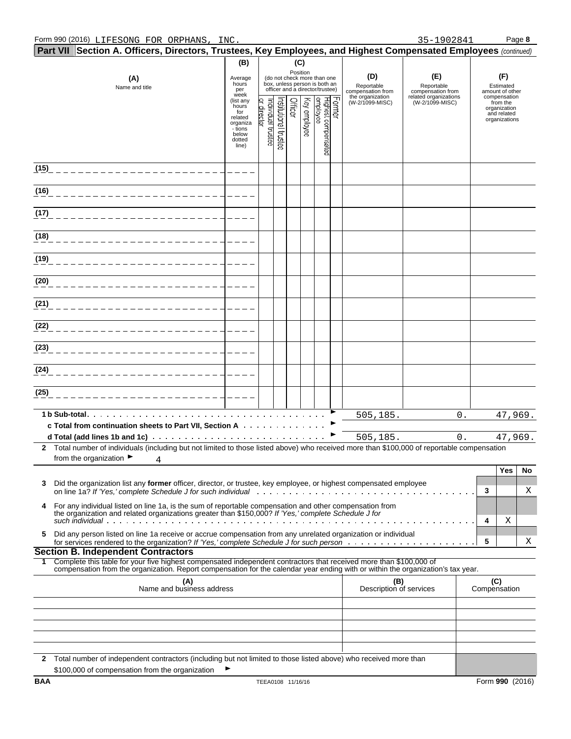|            | Part VII Section A. Officers, Directors, Trustees, Key Employees, and Highest Compensated Employees (continued)                                                                                                                                                                                                                   |                                                                                                 |                                  |                      |                |              |                                                                                                             |        |                                        |                                          |                 |                                                                          |         |
|------------|-----------------------------------------------------------------------------------------------------------------------------------------------------------------------------------------------------------------------------------------------------------------------------------------------------------------------------------|-------------------------------------------------------------------------------------------------|----------------------------------|----------------------|----------------|--------------|-------------------------------------------------------------------------------------------------------------|--------|----------------------------------------|------------------------------------------|-----------------|--------------------------------------------------------------------------|---------|
|            |                                                                                                                                                                                                                                                                                                                                   | (B)                                                                                             |                                  |                      | (C)            |              |                                                                                                             |        |                                        |                                          |                 |                                                                          |         |
|            | (A)<br>Name and title                                                                                                                                                                                                                                                                                                             | Average<br>hours<br>per                                                                         |                                  |                      |                |              | Position<br>(do not check more than one<br>box, unless person is both an<br>officer and a director/trustee) |        | (D)<br>Reportable<br>compensation from | (E)<br>Reportable<br>compensation from   |                 | (F)<br>Estimated<br>amount of other                                      |         |
|            |                                                                                                                                                                                                                                                                                                                                   | week<br>(list any<br>hours<br>for<br>related<br>organiza<br>- tions<br>below<br>dotted<br>line) | or director<br>ndividual trustee | nstitutional trustee | <b>Officer</b> | Key employee | Highest compensated<br>employee                                                                             | Former | the organization<br>(W-2/1099-MISC)    | related organizations<br>(W-2/1099-MISC) |                 | compensation<br>from the<br>organization<br>and related<br>organizations |         |
| (15)       |                                                                                                                                                                                                                                                                                                                                   |                                                                                                 |                                  |                      |                |              |                                                                                                             |        |                                        |                                          |                 |                                                                          |         |
| (16)       |                                                                                                                                                                                                                                                                                                                                   |                                                                                                 |                                  |                      |                |              |                                                                                                             |        |                                        |                                          |                 |                                                                          |         |
| (17)       |                                                                                                                                                                                                                                                                                                                                   |                                                                                                 |                                  |                      |                |              |                                                                                                             |        |                                        |                                          |                 |                                                                          |         |
| (18)       |                                                                                                                                                                                                                                                                                                                                   |                                                                                                 |                                  |                      |                |              |                                                                                                             |        |                                        |                                          |                 |                                                                          |         |
| (19)       |                                                                                                                                                                                                                                                                                                                                   |                                                                                                 |                                  |                      |                |              |                                                                                                             |        |                                        |                                          |                 |                                                                          |         |
| (20)       |                                                                                                                                                                                                                                                                                                                                   |                                                                                                 |                                  |                      |                |              |                                                                                                             |        |                                        |                                          |                 |                                                                          |         |
| (21)       |                                                                                                                                                                                                                                                                                                                                   |                                                                                                 |                                  |                      |                |              |                                                                                                             |        |                                        |                                          |                 |                                                                          |         |
| (22)       |                                                                                                                                                                                                                                                                                                                                   |                                                                                                 |                                  |                      |                |              |                                                                                                             |        |                                        |                                          |                 |                                                                          |         |
| (23)       |                                                                                                                                                                                                                                                                                                                                   |                                                                                                 |                                  |                      |                |              |                                                                                                             |        |                                        |                                          |                 |                                                                          |         |
| (24)       |                                                                                                                                                                                                                                                                                                                                   |                                                                                                 |                                  |                      |                |              |                                                                                                             |        |                                        |                                          |                 |                                                                          |         |
| (25)       |                                                                                                                                                                                                                                                                                                                                   |                                                                                                 |                                  |                      |                |              |                                                                                                             |        |                                        |                                          |                 |                                                                          |         |
|            | c Total from continuation sheets to Part VII, Section A                                                                                                                                                                                                                                                                           |                                                                                                 |                                  |                      |                |              |                                                                                                             |        | 505, 185.                              | 0.                                       |                 | 47,969.                                                                  |         |
|            | d Total (add lines 1b and 1c) and the state of the state of the state of the state of the state of the state of the state of the state of the state of the state of the state of the state of the state of the state of the st                                                                                                    |                                                                                                 |                                  |                      |                |              |                                                                                                             |        | 505,185.                               | 0.                                       |                 | 47,969.                                                                  |         |
|            | 2 Total number of individuals (including but not limited to those listed above) who received more than \$100,000 of reportable compensation<br>from the organization $\blacktriangleright$<br>4                                                                                                                                   |                                                                                                 |                                  |                      |                |              |                                                                                                             |        |                                        |                                          |                 |                                                                          |         |
| 3          | Did the organization list any former officer, director, or trustee, key employee, or highest compensated employee                                                                                                                                                                                                                 |                                                                                                 |                                  |                      |                |              |                                                                                                             |        |                                        |                                          | 3               | <b>Yes</b>                                                               | No<br>Χ |
| 4          | on line 1a? If 'Yes,' complete Schedule J for such individual et al., we are all all all all all all all all a<br>For any individual listed on line 1a, is the sum of reportable compensation and other compensation from<br>the organization and related organizations greater than \$150,000? If 'Yes,' complete Schedule J for |                                                                                                 |                                  |                      |                |              |                                                                                                             |        |                                        |                                          |                 |                                                                          |         |
| 5          | Did any person listed on line 1a receive or accrue compensation from any unrelated organization or individual                                                                                                                                                                                                                     |                                                                                                 |                                  |                      |                |              |                                                                                                             |        |                                        |                                          | 4               | X                                                                        |         |
|            | <b>Section B. Independent Contractors</b>                                                                                                                                                                                                                                                                                         |                                                                                                 |                                  |                      |                |              |                                                                                                             |        |                                        |                                          | 5               |                                                                          | Χ       |
| 1          | Complete this table for your five highest compensated independent contractors that received more than \$100,000 of                                                                                                                                                                                                                |                                                                                                 |                                  |                      |                |              |                                                                                                             |        |                                        |                                          |                 |                                                                          |         |
|            | compensation from the organization. Report compensation for the calendar year ending with or within the organization's tax year.<br>(A)<br>Name and business address                                                                                                                                                              |                                                                                                 |                                  |                      |                |              |                                                                                                             |        | (B)<br>Description of services         |                                          | Compensation    | (C)                                                                      |         |
|            |                                                                                                                                                                                                                                                                                                                                   |                                                                                                 |                                  |                      |                |              |                                                                                                             |        |                                        |                                          |                 |                                                                          |         |
|            |                                                                                                                                                                                                                                                                                                                                   |                                                                                                 |                                  |                      |                |              |                                                                                                             |        |                                        |                                          |                 |                                                                          |         |
|            |                                                                                                                                                                                                                                                                                                                                   |                                                                                                 |                                  |                      |                |              |                                                                                                             |        |                                        |                                          |                 |                                                                          |         |
|            |                                                                                                                                                                                                                                                                                                                                   |                                                                                                 |                                  |                      |                |              |                                                                                                             |        |                                        |                                          |                 |                                                                          |         |
|            | 2 Total number of independent contractors (including but not limited to those listed above) who received more than<br>\$100,000 of compensation from the organization                                                                                                                                                             |                                                                                                 |                                  |                      |                |              |                                                                                                             |        |                                        |                                          |                 |                                                                          |         |
| <b>BAA</b> |                                                                                                                                                                                                                                                                                                                                   |                                                                                                 | TEEA0108 11/16/16                |                      |                |              |                                                                                                             |        |                                        |                                          | Form 990 (2016) |                                                                          |         |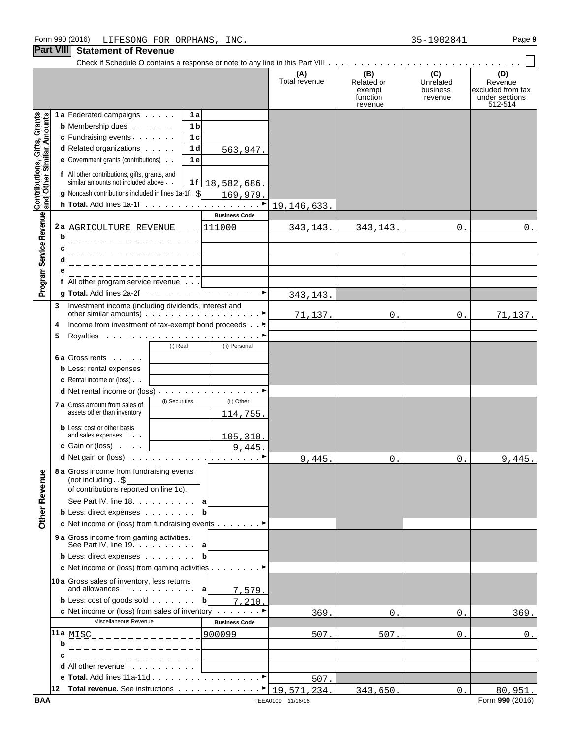|                                                           |                                                                                                                                      |                            | (A)<br>Total revenue | (B)<br>Related or<br>exempt<br>function<br>revenue | (C)<br>Unrelated<br>business<br>revenue | (D)<br>Revenue<br>excluded from tax<br>under sections<br>512-514 |
|-----------------------------------------------------------|--------------------------------------------------------------------------------------------------------------------------------------|----------------------------|----------------------|----------------------------------------------------|-----------------------------------------|------------------------------------------------------------------|
|                                                           | 1 a Federated campaigns                                                                                                              | 1a                         |                      |                                                    |                                         |                                                                  |
|                                                           | <b>b</b> Membership dues                                                                                                             | 1 <sub>b</sub>             |                      |                                                    |                                         |                                                                  |
|                                                           | c Fundraising events                                                                                                                 | 1 <sub>c</sub>             |                      |                                                    |                                         |                                                                  |
|                                                           | d Related organizations                                                                                                              | 1 <sub>d</sub><br>563,947. |                      |                                                    |                                         |                                                                  |
| Contributions, Gifts, Grants<br>and Other Similar Amounts | e Government grants (contributions)                                                                                                  | 1 e                        |                      |                                                    |                                         |                                                                  |
|                                                           | f All other contributions, gifts, grants, and<br>similar amounts not included above.                                                 | 1 f I<br>18,582,686.       |                      |                                                    |                                         |                                                                  |
|                                                           | g Noncash contributions included in lines 1a-1f: \$                                                                                  | 169,979.                   |                      |                                                    |                                         |                                                                  |
|                                                           |                                                                                                                                      |                            | 19, 146, 633.        |                                                    |                                         |                                                                  |
|                                                           |                                                                                                                                      | <b>Business Code</b>       |                      |                                                    |                                         |                                                                  |
|                                                           | 2a AGRICULTURE REVENUE _ _                                                                                                           | 111000                     | 343,143.             | 343, 143.                                          | 0.                                      | $0_{\cdot\cdot\cdot}$                                            |
|                                                           | b<br>. _ _ _ _ _ _ _ _ _ _ _ _ _ _ _ _                                                                                               |                            |                      |                                                    |                                         |                                                                  |
|                                                           |                                                                                                                                      |                            |                      |                                                    |                                         |                                                                  |
| Program Service Revenue                                   | _________________                                                                                                                    |                            |                      |                                                    |                                         |                                                                  |
|                                                           | ________________                                                                                                                     |                            |                      |                                                    |                                         |                                                                  |
|                                                           | f All other program service revenue                                                                                                  |                            |                      |                                                    |                                         |                                                                  |
|                                                           |                                                                                                                                      |                            | 343,143.             |                                                    |                                         |                                                                  |
| 3                                                         | Investment income (including dividends, interest and<br>other similar amounts) $\cdots$ $\cdots$ $\cdots$ $\cdots$ $\cdots$ $\cdots$ |                            | 71,137.              | 0.                                                 | 0.                                      | 71, 137.                                                         |
| 4                                                         | Income from investment of tax-exempt bond proceeds                                                                                   |                            |                      |                                                    |                                         |                                                                  |
| 5                                                         |                                                                                                                                      |                            |                      |                                                    |                                         |                                                                  |
|                                                           | (i) Real                                                                                                                             | (ii) Personal              |                      |                                                    |                                         |                                                                  |
|                                                           | <b>6a Gross rents</b>                                                                                                                |                            |                      |                                                    |                                         |                                                                  |
|                                                           | <b>b</b> Less: rental expenses                                                                                                       |                            |                      |                                                    |                                         |                                                                  |
|                                                           | c Rental income or (loss).                                                                                                           |                            |                      |                                                    |                                         |                                                                  |
|                                                           |                                                                                                                                      |                            |                      |                                                    |                                         |                                                                  |
|                                                           | (i) Securities<br><b>7 a</b> Gross amount from sales of                                                                              | (ii) Other                 |                      |                                                    |                                         |                                                                  |
|                                                           | assets other than inventory<br><b>b</b> Less: cost or other basis                                                                    | 114,755.                   |                      |                                                    |                                         |                                                                  |
|                                                           | and sales expenses                                                                                                                   | 105,310.                   |                      |                                                    |                                         |                                                                  |
|                                                           | <b>c</b> Gain or (loss) $\cdots$                                                                                                     | 9,445.                     |                      |                                                    |                                         |                                                                  |
|                                                           | d Net gain or $(\text{loss})$                                                                                                        |                            | 9,445.               | 0.                                                 | Ο.                                      | 9,445.                                                           |
|                                                           | 8 a Gross income from fundraising events                                                                                             |                            |                      |                                                    |                                         |                                                                  |
|                                                           | (not including $.5$<br>of contributions reported on line 1c).                                                                        |                            |                      |                                                    |                                         |                                                                  |
|                                                           | See Part IV, line 18.                                                                                                                | a                          |                      |                                                    |                                         |                                                                  |
| <b>Other Revenue</b>                                      | <b>b</b> Less: direct expenses                                                                                                       | $\mathbf{b}$               |                      |                                                    |                                         |                                                                  |
|                                                           | c Net income or (loss) from fundraising events ▶                                                                                     |                            |                      |                                                    |                                         |                                                                  |
|                                                           | 9 a Gross income from gaming activities.                                                                                             |                            |                      |                                                    |                                         |                                                                  |
|                                                           | See Part IV, line $19. \ldots 1. \ldots a$<br><b>b</b> Less: direct expenses                                                         | $\mathbf b$                |                      |                                                    |                                         |                                                                  |
|                                                           | c Net income or (loss) from gaming activities ▶                                                                                      |                            |                      |                                                    |                                         |                                                                  |
|                                                           |                                                                                                                                      |                            |                      |                                                    |                                         |                                                                  |
|                                                           | 10a Gross sales of inventory, less returns<br>and allowances a                                                                       | 7,579.                     |                      |                                                    |                                         |                                                                  |
|                                                           | <b>b</b> Less: cost of goods sold $\cdots$                                                                                           | $\mathbf{b}$<br>7,210      |                      |                                                    |                                         |                                                                  |
|                                                           | c Net income or (loss) from sales of inventory ▶                                                                                     |                            | 369.                 | 0                                                  | Ο.                                      | 369.                                                             |
|                                                           | Miscellaneous Revenue                                                                                                                | <b>Business Code</b>       |                      |                                                    |                                         |                                                                  |
|                                                           | 11a $MISC$                                                                                                                           | 900099                     | 507.                 | 507.                                               | О.                                      | $0_{.}$                                                          |
|                                                           | b                                                                                                                                    |                            |                      |                                                    |                                         |                                                                  |
|                                                           |                                                                                                                                      |                            |                      |                                                    |                                         |                                                                  |
|                                                           | d All other revenue                                                                                                                  |                            |                      |                                                    |                                         |                                                                  |
|                                                           | e Total. Add lines 11a-11d ▶                                                                                                         |                            | 507.                 |                                                    |                                         |                                                                  |
|                                                           | 12 Total revenue. See instructions   19, 571, 234.                                                                                   |                            |                      | 343,650.                                           | 0.                                      | 80,951.                                                          |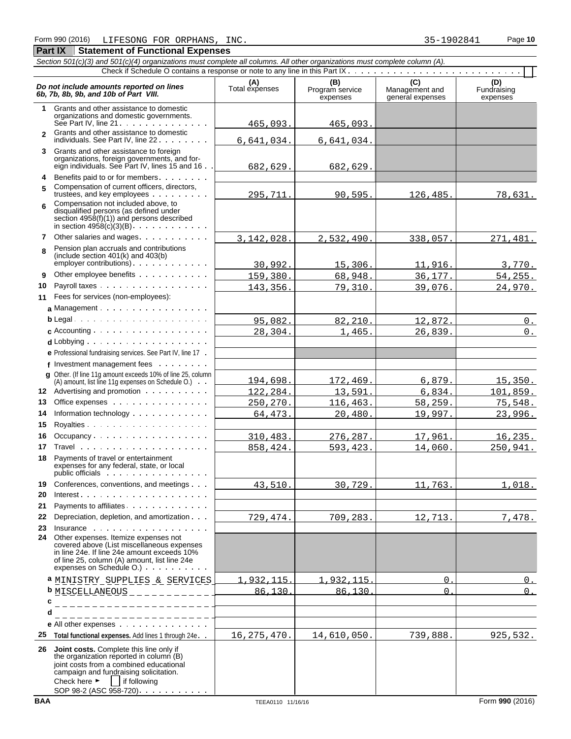|          | Part IX<br><b>Statement of Functional Expenses</b>                                                                                                                                                                                   |                       |                                    |                                           |                                |
|----------|--------------------------------------------------------------------------------------------------------------------------------------------------------------------------------------------------------------------------------------|-----------------------|------------------------------------|-------------------------------------------|--------------------------------|
|          | Section 501(c)(3) and 501(c)(4) organizations must complete all columns. All other organizations must complete column (A).                                                                                                           |                       |                                    |                                           |                                |
|          |                                                                                                                                                                                                                                      |                       |                                    |                                           |                                |
|          | Do not include amounts reported on lines<br>6b, 7b, 8b, 9b, and 10b of Part VIII.                                                                                                                                                    | (A)<br>Total expenses | (B)<br>Program service<br>expenses | (C)<br>Management and<br>general expenses | (D)<br>Fundraising<br>expenses |
| 1.       | Grants and other assistance to domestic<br>organizations and domestic governments.<br>See Part IV, line $21 \cdot \cdot \cdot \cdot \cdot \cdot \cdot \cdot \cdot \cdot \cdot$                                                       | 465,093.              | 465,093.                           |                                           |                                |
| 2        | Grants and other assistance to domestic<br>individuals. See Part IV, line 22                                                                                                                                                         | 6,641,034.            | 6,641,034.                         |                                           |                                |
| 3        | Grants and other assistance to foreign<br>organizations, foreign governments, and for-<br>eign individuals. See Part IV, lines 15 and 16.                                                                                            | 682,629.              | 682,629.                           |                                           |                                |
| 4        | Benefits paid to or for members                                                                                                                                                                                                      |                       |                                    |                                           |                                |
| 5        | Compensation of current officers, directors,<br>trustees, and key employees                                                                                                                                                          | 295,711.              | 90,595.                            | 126,485.                                  | 78,631.                        |
| 6        | Compensation not included above, to<br>disqualified persons (as defined under<br>section $4958(f)(1)$ and persons described<br>in section $49\dot{5}\dot{8}(\dot{c})(3)(B)$ .                                                        |                       |                                    |                                           |                                |
| 7        | Other salaries and wages                                                                                                                                                                                                             | 3,142,028.            | 2,532,490.                         | 338,057                                   | 271,481.                       |
| 8        | Pension plan accruals and contributions<br>(include section $401(k)$ and $403(b)$ )                                                                                                                                                  |                       |                                    |                                           |                                |
|          | Other employee benefits                                                                                                                                                                                                              | 30,992.               | 15,306.                            | 11,916.                                   | 3,770.                         |
| 9<br>10  | Payroll taxes                                                                                                                                                                                                                        | 159,380.              | 68,948.                            | 36,177.                                   | 54, 255.                       |
|          | Fees for services (non-employees):                                                                                                                                                                                                   | 143,356.              | 79,310.                            | 39,076.                                   | 24,970.                        |
| 11       |                                                                                                                                                                                                                                      |                       |                                    |                                           |                                |
|          | $b$ Legal                                                                                                                                                                                                                            |                       |                                    |                                           |                                |
|          |                                                                                                                                                                                                                                      | 95,082.               | 82,210.                            | 12,872.                                   | $0$ .                          |
|          | $d$ Lobbying $\cdots$ $\cdots$ $\cdots$ $\cdots$ $\cdots$ $\cdots$ $\cdots$                                                                                                                                                          | 28,304.               | 1,465.                             | 26,839.                                   | $0_{.}$                        |
|          | e Professional fundraising services. See Part IV, line 17 .                                                                                                                                                                          |                       |                                    |                                           |                                |
|          | $f$ Investment management fees $\ldots$ ,                                                                                                                                                                                            |                       |                                    |                                           |                                |
|          | g Other. (If line 11g amount exceeds 10% of line 25, column                                                                                                                                                                          |                       |                                    |                                           |                                |
|          | (A) amount, list line 11g expenses on Schedule O.)                                                                                                                                                                                   | 194,698.              | 172,469.                           | 6,879.                                    | 15,350.                        |
| 13       | 12 Advertising and promotion                                                                                                                                                                                                         | 122,284.              | 13,591.                            | 6,834.                                    | 101,859.                       |
| 14       | Office expenses<br>Information technology                                                                                                                                                                                            | 250, 270.<br>64,473.  | 116,463.<br>20,480.                | 58, 259.<br>19,997.                       | 75,548.<br>23,996.             |
| 15       |                                                                                                                                                                                                                                      |                       |                                    |                                           |                                |
| 16       | Occupancy                                                                                                                                                                                                                            | 310,483.              | 276, 287.                          | 17,961.                                   | 16, 235.                       |
| 17       |                                                                                                                                                                                                                                      | 858,424.              | 593,423.                           | 14,060                                    | 250,941.                       |
| 18       | Payments of travel or entertainment<br>expenses for any federal, state, or local<br>public officials entertainment of the set of the set of the set of the set of the set of the set of the set of                                   |                       |                                    |                                           |                                |
| 19       | Conferences, conventions, and meetings                                                                                                                                                                                               | 43,510.               | 30,729.                            | 11,763.                                   | 1,018.                         |
| 20       | $Interest.$                                                                                                                                                                                                                          |                       |                                    |                                           |                                |
| 21       | Payments to affiliates.                                                                                                                                                                                                              |                       |                                    |                                           |                                |
| 22<br>23 | Depreciation, depletion, and amortization                                                                                                                                                                                            | 729, 474.             | 709,283.                           | 12,713.                                   | 7,478.                         |
| 24       | Other expenses. Itemize expenses not<br>covered above (List miscellaneous expenses<br>in line 24e. If line 24e amount exceeds 10%<br>of line 25, column (A) amount, list line 24e<br>expenses on Schedule O.)                        |                       |                                    |                                           |                                |
|          | a MINISTRY SUPPLIES & SERVICES                                                                                                                                                                                                       | 1.932.115             | 1.932.115                          | $\Omega$                                  | $\Omega$                       |
|          | <u>b MISCELLANEOUS _ _ _ _ _ _ _ _ _ _ _</u>                                                                                                                                                                                         | 86.130                | 86.130                             | $\Omega$                                  | $\Omega$                       |
| с        |                                                                                                                                                                                                                                      |                       |                                    |                                           |                                |
| d        |                                                                                                                                                                                                                                      |                       |                                    |                                           |                                |
|          | e All other expenses                                                                                                                                                                                                                 |                       |                                    |                                           |                                |
| 25       | Total functional expenses. Add lines 1 through 24e                                                                                                                                                                                   | 16, 275, 470.         | 14,610,050.                        | 739,888.                                  | 925,532.                       |
|          | 26 Joint costs. Complete this line only if<br>the organization reported in column (B)<br>joint costs from a combined educational<br>campaign and fundraising solicitation.<br>Check here ►<br>if following<br>SOP 98-2 (ASC 958-720) |                       |                                    |                                           |                                |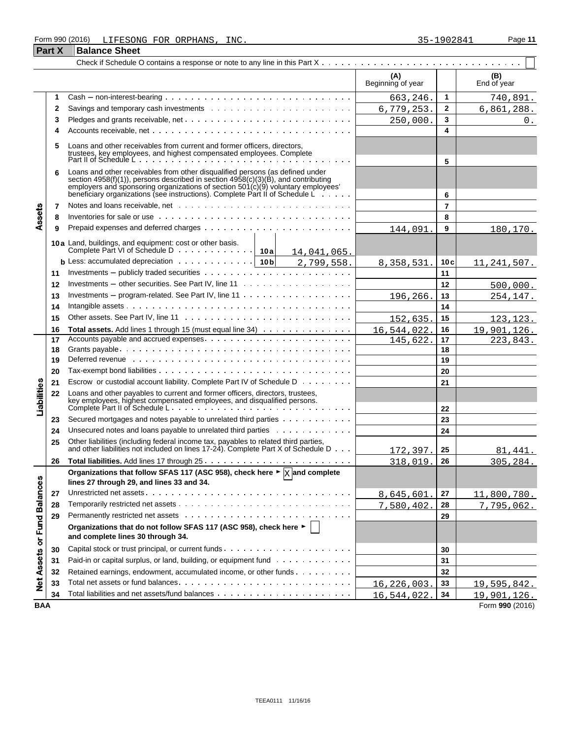### Form 990 (2016) Page **11** LIFESONG FOR ORPHANS, INC. 35-1902841

|                             | <b>Part X</b> | <b>Balance Sheet</b>                                                                                                                                                                                                                                                                                                                      |                          |                |                    |
|-----------------------------|---------------|-------------------------------------------------------------------------------------------------------------------------------------------------------------------------------------------------------------------------------------------------------------------------------------------------------------------------------------------|--------------------------|----------------|--------------------|
|                             |               |                                                                                                                                                                                                                                                                                                                                           |                          |                |                    |
|                             |               |                                                                                                                                                                                                                                                                                                                                           | (A)<br>Beginning of year |                | (B)<br>End of year |
|                             |               |                                                                                                                                                                                                                                                                                                                                           | 663,246.                 | 1              | 740,891.           |
|                             | 2             |                                                                                                                                                                                                                                                                                                                                           | 6,779,253.               | $\mathbf{2}$   | 6,861,288.         |
|                             | 3             |                                                                                                                                                                                                                                                                                                                                           | 250,000.                 | 3              | $0$ .              |
|                             | 4             |                                                                                                                                                                                                                                                                                                                                           |                          | 4              |                    |
|                             | 5             | Loans and other receivables from current and former officers, directors,                                                                                                                                                                                                                                                                  |                          | 5              |                    |
|                             | 6             | Loans and other receivables from other disqualified persons (as defined under<br>section 4958(f)(1)), persons described in section $4958(c)(3)(B)$ , and contributing<br>employers and sponsoring organizations of section 501(c)(9) voluntary employees'<br>beneficiary organizations (see instructions). Complete Part II of Schedule L |                          | 6              |                    |
|                             | 7             |                                                                                                                                                                                                                                                                                                                                           |                          | $\overline{7}$ |                    |
| Assets                      | 8             |                                                                                                                                                                                                                                                                                                                                           |                          | 8              |                    |
|                             | 9             |                                                                                                                                                                                                                                                                                                                                           | 144,091.                 | 9              | 180,170.           |
|                             |               | 10a Land, buildings, and equipment: cost or other basis.<br>14,041,065.                                                                                                                                                                                                                                                                   |                          |                |                    |
|                             |               | <b>b</b> Less: accumulated depreciation $\cdots \cdots \cdots \cdots$   10b<br>2,799,558.                                                                                                                                                                                                                                                 | 8,358,531                | 10c            | 11,241,507.        |
|                             | 11            |                                                                                                                                                                                                                                                                                                                                           |                          | 11             |                    |
|                             | 12            | Investments $-$ other securities. See Part IV, line 11 $\ldots \ldots \ldots \ldots \ldots \ldots$                                                                                                                                                                                                                                        |                          | 12             | 500,000.           |
|                             | 13            |                                                                                                                                                                                                                                                                                                                                           | 196,266.                 | 13             | 254, 147.          |
|                             | 14            |                                                                                                                                                                                                                                                                                                                                           |                          | 14             |                    |
|                             | 15            |                                                                                                                                                                                                                                                                                                                                           | 152,635                  | 15             | 123, 123.          |
|                             | 16            | Total assets. Add lines 1 through 15 (must equal line 34)                                                                                                                                                                                                                                                                                 | 16,544,022               | 16             | 19,901,126.        |
|                             | 17            |                                                                                                                                                                                                                                                                                                                                           | 145,622                  | 17             | 223,843.           |
|                             | 18            |                                                                                                                                                                                                                                                                                                                                           |                          | 18             |                    |
|                             | 19            | Deferred revenue enterprise in the contract of the contract of the contract of the contract of the contract of the contract of the contract of the contract of the contract of the contract of the contract of the contract of                                                                                                            |                          | 19             |                    |
|                             | 20            |                                                                                                                                                                                                                                                                                                                                           |                          | 20             |                    |
|                             | 21            | Escrow or custodial account liability. Complete Part IV of Schedule D                                                                                                                                                                                                                                                                     |                          | 21             |                    |
| Liabilities                 | 22            | Loans and other payables to current and former officers, directors, trustees,                                                                                                                                                                                                                                                             |                          | 22             |                    |
|                             | 23            | Secured mortgages and notes payable to unrelated third parties                                                                                                                                                                                                                                                                            |                          | 23             |                    |
|                             | 24            | Unsecured notes and loans payable to unrelated third parties                                                                                                                                                                                                                                                                              |                          | 24             |                    |
|                             | 25            | Other liabilities (including federal income tax, payables to related third parties, and other liabilities not included on lines 17-24). Complete Part X of Schedule D                                                                                                                                                                     | 172,397                  | 25             | 81,441.            |
|                             | 26            |                                                                                                                                                                                                                                                                                                                                           | 318,019                  | 26             | 305,284.           |
|                             |               | Organizations that follow SFAS 117 (ASC 958), check here $\blacktriangleright \boxed{\times}$ and complete<br>lines 27 through 29, and lines 33 and 34.                                                                                                                                                                                   |                          |                |                    |
|                             | 27            |                                                                                                                                                                                                                                                                                                                                           | 8,645,601                | 27             | 11,800,780.        |
|                             | 28            |                                                                                                                                                                                                                                                                                                                                           | 7,580,402                | 28             | 7,795,062.         |
|                             | 29            |                                                                                                                                                                                                                                                                                                                                           |                          | 29             |                    |
| Net Assets or Fund Balances |               | Organizations that do not follow SFAS 117 (ASC 958), check here ►  <br>and complete lines 30 through 34.                                                                                                                                                                                                                                  |                          |                |                    |
|                             | 30            |                                                                                                                                                                                                                                                                                                                                           |                          | 30             |                    |
|                             | 31            | Paid-in or capital surplus, or land, building, or equipment fund                                                                                                                                                                                                                                                                          |                          | 31             |                    |
|                             | 32            | Retained earnings, endowment, accumulated income, or other funds                                                                                                                                                                                                                                                                          |                          | 32             |                    |
|                             | 33            |                                                                                                                                                                                                                                                                                                                                           | 16, 226, 003.            | 33             | 19,595,842.        |
|                             | 34            |                                                                                                                                                                                                                                                                                                                                           | 16,544,022               | 34             | 19,901,126.        |
| <b>BAA</b>                  |               |                                                                                                                                                                                                                                                                                                                                           |                          |                | Form 990 (2016)    |

TEEA0111 11/16/16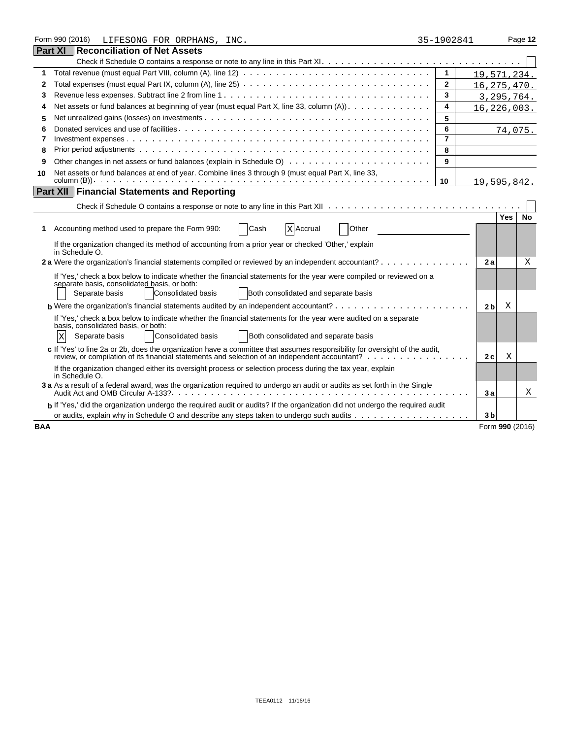|            | Form 990 (2016)<br>LIFESONG FOR ORPHANS, INC.                                                                                                                                                                                                        | 35-1902841     |  |                | Page 12    |                 |  |  |
|------------|------------------------------------------------------------------------------------------------------------------------------------------------------------------------------------------------------------------------------------------------------|----------------|--|----------------|------------|-----------------|--|--|
|            | <b>Part XI Reconciliation of Net Assets</b>                                                                                                                                                                                                          |                |  |                |            |                 |  |  |
|            |                                                                                                                                                                                                                                                      |                |  |                |            |                 |  |  |
| 1          |                                                                                                                                                                                                                                                      | 1              |  | 19,571,234.    |            |                 |  |  |
| 2          |                                                                                                                                                                                                                                                      | $\mathbf{2}$   |  | 16, 275, 470.  |            |                 |  |  |
| 3          |                                                                                                                                                                                                                                                      | 3              |  | 3,295,764.     |            |                 |  |  |
| 4          | Net assets or fund balances at beginning of year (must equal Part X, line 33, column $(A)$ ).                                                                                                                                                        | 4              |  |                |            | 16,226,003.     |  |  |
| 5          |                                                                                                                                                                                                                                                      | 5              |  |                |            |                 |  |  |
| 6          | 6                                                                                                                                                                                                                                                    |                |  |                |            |                 |  |  |
| 7          |                                                                                                                                                                                                                                                      | $\overline{7}$ |  |                |            |                 |  |  |
| 8          |                                                                                                                                                                                                                                                      | 8              |  |                |            |                 |  |  |
| 9          |                                                                                                                                                                                                                                                      | 9              |  |                |            |                 |  |  |
| 10         | Net assets or fund balances at end of year. Combine lines 3 through 9 (must equal Part X, line 33,                                                                                                                                                   |                |  |                |            |                 |  |  |
|            |                                                                                                                                                                                                                                                      | 10             |  | 19,595,842.    |            |                 |  |  |
|            | <b>Part XII Financial Statements and Reporting</b>                                                                                                                                                                                                   |                |  |                |            |                 |  |  |
|            |                                                                                                                                                                                                                                                      |                |  |                |            |                 |  |  |
|            |                                                                                                                                                                                                                                                      |                |  |                | <b>Yes</b> | <b>No</b>       |  |  |
| 1          | Other<br>Cash<br>Accounting method used to prepare the Form 990:<br>X Accrual                                                                                                                                                                        |                |  |                |            |                 |  |  |
|            | If the organization changed its method of accounting from a prior year or checked 'Other,' explain<br>in Schedule O.                                                                                                                                 |                |  |                |            |                 |  |  |
|            | 2 a Were the organization's financial statements compiled or reviewed by an independent accountant?                                                                                                                                                  |                |  | 2a             |            | Χ               |  |  |
|            | If 'Yes,' check a box below to indicate whether the financial statements for the year were compiled or reviewed on a<br>separate basis, consolidated basis, or both:<br>Consolidated basis<br>Both consolidated and separate basis<br>Separate basis |                |  |                |            |                 |  |  |
|            | <b>b</b> Were the organization's financial statements audited by an independent accountant? $\cdots$                                                                                                                                                 |                |  | 2 <sub>b</sub> | Χ          |                 |  |  |
|            | If 'Yes,' check a box below to indicate whether the financial statements for the year were audited on a separate<br>basis, consolidated basis, or both:<br>Both consolidated and separate basis<br>Separate basis<br>Consolidated basis<br>ΙX        |                |  |                |            |                 |  |  |
|            | c If 'Yes' to line 2a or 2b, does the organization have a committee that assumes responsibility for oversight of the audit,<br>review, or compilation of its financial statements and selection of an independent accountant?                        |                |  | 2c             | Χ          |                 |  |  |
|            | If the organization changed either its oversight process or selection process during the tax year, explain<br>in Schedule O.                                                                                                                         |                |  |                |            |                 |  |  |
|            | 3 a As a result of a federal award, was the organization required to undergo an audit or audits as set forth in the Single                                                                                                                           |                |  | 3a             |            | Χ               |  |  |
|            | b If 'Yes,' did the organization undergo the required audit or audits? If the organization did not undergo the required audit                                                                                                                        |                |  |                |            |                 |  |  |
|            |                                                                                                                                                                                                                                                      |                |  | 3 <sub>b</sub> |            |                 |  |  |
| <b>BAA</b> |                                                                                                                                                                                                                                                      |                |  |                |            | Form 990 (2016) |  |  |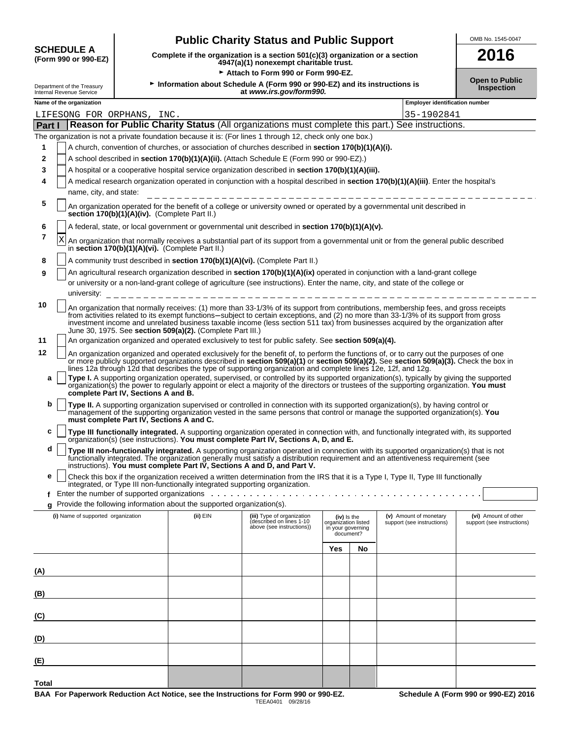| <b>SCHEDULE A</b> |                      |
|-------------------|----------------------|
|                   | (Form 990 or 990-EZ) |

### **Public Charity Status and Public Support**

**(Form 990 or 990-EZ) Complete if the organization is a section 501(c)(3) organization or a section 4947(a)(1) nonexempt charitable trust. 2016**

Attach to Form 990 or Form 990-EZ.

Department of the Treasury **Freasury Formation about Schedule A (Form 990 or 990-EZ) and its instructions is** 

|  | <b>OMB NO. 1545-0047</b> |  |
|--|--------------------------|--|
|  |                          |  |
|  |                          |  |

**Open to Public** 

|              |                                                                                                                                                                                                                                                                                                                                                                                                    | Internal Revenue Service                                                                                                                                                                                                                                                                                                                                                                                                                                                         |                                               |                                                                              | at www.irs.gov/form990.                                                                                                                                                                                                                                                                                                                               |                                                                      |    |                                                      | mspecuon                                           |  |  |
|--------------|----------------------------------------------------------------------------------------------------------------------------------------------------------------------------------------------------------------------------------------------------------------------------------------------------------------------------------------------------------------------------------------------------|----------------------------------------------------------------------------------------------------------------------------------------------------------------------------------------------------------------------------------------------------------------------------------------------------------------------------------------------------------------------------------------------------------------------------------------------------------------------------------|-----------------------------------------------|------------------------------------------------------------------------------|-------------------------------------------------------------------------------------------------------------------------------------------------------------------------------------------------------------------------------------------------------------------------------------------------------------------------------------------------------|----------------------------------------------------------------------|----|------------------------------------------------------|----------------------------------------------------|--|--|
|              |                                                                                                                                                                                                                                                                                                                                                                                                    | Name of the organization                                                                                                                                                                                                                                                                                                                                                                                                                                                         |                                               |                                                                              |                                                                                                                                                                                                                                                                                                                                                       | <b>Employer identification number</b>                                |    |                                                      |                                                    |  |  |
|              |                                                                                                                                                                                                                                                                                                                                                                                                    | LIFESONG FOR ORPHANS,                                                                                                                                                                                                                                                                                                                                                                                                                                                            | INC.                                          |                                                                              |                                                                                                                                                                                                                                                                                                                                                       |                                                                      |    | 35-1902841                                           |                                                    |  |  |
| Part I       |                                                                                                                                                                                                                                                                                                                                                                                                    |                                                                                                                                                                                                                                                                                                                                                                                                                                                                                  |                                               |                                                                              | Reason for Public Charity Status (All organizations must complete this part.) See instructions.                                                                                                                                                                                                                                                       |                                                                      |    |                                                      |                                                    |  |  |
|              |                                                                                                                                                                                                                                                                                                                                                                                                    |                                                                                                                                                                                                                                                                                                                                                                                                                                                                                  |                                               |                                                                              | The organization is not a private foundation because it is: (For lines 1 through 12, check only one box.)                                                                                                                                                                                                                                             |                                                                      |    |                                                      |                                                    |  |  |
| 1            |                                                                                                                                                                                                                                                                                                                                                                                                    |                                                                                                                                                                                                                                                                                                                                                                                                                                                                                  |                                               |                                                                              | A church, convention of churches, or association of churches described in section 170(b)(1)(A)(i).                                                                                                                                                                                                                                                    |                                                                      |    |                                                      |                                                    |  |  |
| 2            |                                                                                                                                                                                                                                                                                                                                                                                                    |                                                                                                                                                                                                                                                                                                                                                                                                                                                                                  |                                               |                                                                              | A school described in section 170(b)(1)(A)(ii). (Attach Schedule E (Form 990 or 990-EZ).)                                                                                                                                                                                                                                                             |                                                                      |    |                                                      |                                                    |  |  |
| 3            |                                                                                                                                                                                                                                                                                                                                                                                                    |                                                                                                                                                                                                                                                                                                                                                                                                                                                                                  |                                               |                                                                              | A hospital or a cooperative hospital service organization described in section 170(b)(1)(A)(iii).                                                                                                                                                                                                                                                     |                                                                      |    |                                                      |                                                    |  |  |
| 4            |                                                                                                                                                                                                                                                                                                                                                                                                    |                                                                                                                                                                                                                                                                                                                                                                                                                                                                                  |                                               |                                                                              | A medical research organization operated in conjunction with a hospital described in section 170(b)(1)(A)(iii). Enter the hospital's                                                                                                                                                                                                                  |                                                                      |    |                                                      |                                                    |  |  |
|              |                                                                                                                                                                                                                                                                                                                                                                                                    | name, city, and state:                                                                                                                                                                                                                                                                                                                                                                                                                                                           |                                               |                                                                              |                                                                                                                                                                                                                                                                                                                                                       |                                                                      |    |                                                      |                                                    |  |  |
| 5            |                                                                                                                                                                                                                                                                                                                                                                                                    |                                                                                                                                                                                                                                                                                                                                                                                                                                                                                  | section 170(b)(1)(A)(iv). (Complete Part II.) |                                                                              | An organization operated for the benefit of a college or university owned or operated by a governmental unit described in                                                                                                                                                                                                                             |                                                                      |    |                                                      |                                                    |  |  |
| 6            |                                                                                                                                                                                                                                                                                                                                                                                                    |                                                                                                                                                                                                                                                                                                                                                                                                                                                                                  |                                               |                                                                              | A federal, state, or local government or governmental unit described in section 170(b)(1)(A)(v).                                                                                                                                                                                                                                                      |                                                                      |    |                                                      |                                                    |  |  |
| 7            | Χ                                                                                                                                                                                                                                                                                                                                                                                                  |                                                                                                                                                                                                                                                                                                                                                                                                                                                                                  |                                               | in section 170(b)(1)(A)(vi). (Complete Part II.)                             | An organization that normally receives a substantial part of its support from a governmental unit or from the general public described                                                                                                                                                                                                                |                                                                      |    |                                                      |                                                    |  |  |
| 8            |                                                                                                                                                                                                                                                                                                                                                                                                    |                                                                                                                                                                                                                                                                                                                                                                                                                                                                                  |                                               |                                                                              | A community trust described in section 170(b)(1)(A)(vi). (Complete Part II.)                                                                                                                                                                                                                                                                          |                                                                      |    |                                                      |                                                    |  |  |
| 9            |                                                                                                                                                                                                                                                                                                                                                                                                    |                                                                                                                                                                                                                                                                                                                                                                                                                                                                                  |                                               |                                                                              | An agricultural research organization described in section 170(b)(1)(A)(ix) operated in conjunction with a land-grant college                                                                                                                                                                                                                         |                                                                      |    |                                                      |                                                    |  |  |
|              |                                                                                                                                                                                                                                                                                                                                                                                                    | or university or a non-land-grant college of agriculture (see instructions). Enter the name, city, and state of the college or<br>university:                                                                                                                                                                                                                                                                                                                                    |                                               |                                                                              |                                                                                                                                                                                                                                                                                                                                                       |                                                                      |    |                                                      |                                                    |  |  |
| 10           |                                                                                                                                                                                                                                                                                                                                                                                                    | An organization that normally receives: (1) more than 33-1/3% of its support from contributions, membership fees, and gross receipts<br>from activities related to its exempt functions—subject to certain exceptions, and (2) no more than 33-1/3% of its support from gross<br>investment income and unrelated business taxable income (less section 511 tax) from businesses acquired by the organization after<br>June 30, 1975. See section 509(a)(2). (Complete Part III.) |                                               |                                                                              |                                                                                                                                                                                                                                                                                                                                                       |                                                                      |    |                                                      |                                                    |  |  |
| 11           |                                                                                                                                                                                                                                                                                                                                                                                                    | An organization organized and operated exclusively to test for public safety. See section 509(a)(4).                                                                                                                                                                                                                                                                                                                                                                             |                                               |                                                                              |                                                                                                                                                                                                                                                                                                                                                       |                                                                      |    |                                                      |                                                    |  |  |
| 12           | An organization organized and operated exclusively for the benefit of, to perform the functions of, or to carry out the purposes of one<br>or more publicly supported organizations described in section 509(a)(1) or section 509(a)(2). See section 509(a)(3). Check the box in<br>lines 12a through 12d that describes the type of supporting organization and complete lines 12e, 12f, and 12g. |                                                                                                                                                                                                                                                                                                                                                                                                                                                                                  |                                               |                                                                              |                                                                                                                                                                                                                                                                                                                                                       |                                                                      |    |                                                      |                                                    |  |  |
| a            |                                                                                                                                                                                                                                                                                                                                                                                                    |                                                                                                                                                                                                                                                                                                                                                                                                                                                                                  | complete Part IV, Sections A and B.           |                                                                              | Type I. A supporting organization operated, supervised, or controlled by its supported organization(s), typically by giving the supported<br>organization(s) the power to regularly appoint or elect a majority of the directors or trustees of the supporting organization. You must                                                                 |                                                                      |    |                                                      |                                                    |  |  |
| b            |                                                                                                                                                                                                                                                                                                                                                                                                    |                                                                                                                                                                                                                                                                                                                                                                                                                                                                                  | must complete Part IV, Sections A and C.      |                                                                              | Type II. A supporting organization supervised or controlled in connection with its supported organization(s), by having control or<br>management of the supporting organization vested in the same persons that control or manage the supported organization(s). You                                                                                  |                                                                      |    |                                                      |                                                    |  |  |
| c            |                                                                                                                                                                                                                                                                                                                                                                                                    |                                                                                                                                                                                                                                                                                                                                                                                                                                                                                  |                                               |                                                                              | Type III functionally integrated. A supporting organization operated in connection with, and functionally integrated with, its supported<br>organization(s) (see instructions). You must complete Part IV, Sections A, D, and E.                                                                                                                      |                                                                      |    |                                                      |                                                    |  |  |
| d            |                                                                                                                                                                                                                                                                                                                                                                                                    |                                                                                                                                                                                                                                                                                                                                                                                                                                                                                  |                                               |                                                                              | Type III non-functionally integrated. A supporting organization operated in connection with its supported organization(s) that is not<br>functionally integrated. The organization generally must satisfy a distribution requirement and an attentiveness requirement (see<br>instructions). You must complete Part IV, Sections A and D, and Part V. |                                                                      |    |                                                      |                                                    |  |  |
| е            |                                                                                                                                                                                                                                                                                                                                                                                                    |                                                                                                                                                                                                                                                                                                                                                                                                                                                                                  |                                               | integrated, or Type III non-functionally integrated supporting organization. | Check this box if the organization received a written determination from the IRS that it is a Type I, Type II, Type III functionally                                                                                                                                                                                                                  |                                                                      |    |                                                      |                                                    |  |  |
|              |                                                                                                                                                                                                                                                                                                                                                                                                    |                                                                                                                                                                                                                                                                                                                                                                                                                                                                                  |                                               |                                                                              |                                                                                                                                                                                                                                                                                                                                                       |                                                                      |    |                                                      |                                                    |  |  |
|              |                                                                                                                                                                                                                                                                                                                                                                                                    |                                                                                                                                                                                                                                                                                                                                                                                                                                                                                  |                                               | Provide the following information about the supported organization(s).       |                                                                                                                                                                                                                                                                                                                                                       |                                                                      |    |                                                      |                                                    |  |  |
|              |                                                                                                                                                                                                                                                                                                                                                                                                    | (i) Name of supported organization                                                                                                                                                                                                                                                                                                                                                                                                                                               |                                               | (ii) EIN                                                                     | (iii) Type of organization<br>(described on lines 1-10<br>above (see instructions))                                                                                                                                                                                                                                                                   | (iv) is the<br>organization listed<br>in your governing<br>document? |    | (v) Amount of monetary<br>support (see instructions) | (vi) Amount of other<br>support (see instructions) |  |  |
|              |                                                                                                                                                                                                                                                                                                                                                                                                    |                                                                                                                                                                                                                                                                                                                                                                                                                                                                                  |                                               |                                                                              |                                                                                                                                                                                                                                                                                                                                                       | Yes                                                                  | No |                                                      |                                                    |  |  |
| (A)          |                                                                                                                                                                                                                                                                                                                                                                                                    |                                                                                                                                                                                                                                                                                                                                                                                                                                                                                  |                                               |                                                                              |                                                                                                                                                                                                                                                                                                                                                       |                                                                      |    |                                                      |                                                    |  |  |
| (B)          |                                                                                                                                                                                                                                                                                                                                                                                                    |                                                                                                                                                                                                                                                                                                                                                                                                                                                                                  |                                               |                                                                              |                                                                                                                                                                                                                                                                                                                                                       |                                                                      |    |                                                      |                                                    |  |  |
| (C)          |                                                                                                                                                                                                                                                                                                                                                                                                    |                                                                                                                                                                                                                                                                                                                                                                                                                                                                                  |                                               |                                                                              |                                                                                                                                                                                                                                                                                                                                                       |                                                                      |    |                                                      |                                                    |  |  |
| (D)          |                                                                                                                                                                                                                                                                                                                                                                                                    |                                                                                                                                                                                                                                                                                                                                                                                                                                                                                  |                                               |                                                                              |                                                                                                                                                                                                                                                                                                                                                       |                                                                      |    |                                                      |                                                    |  |  |
| (E)          |                                                                                                                                                                                                                                                                                                                                                                                                    |                                                                                                                                                                                                                                                                                                                                                                                                                                                                                  |                                               |                                                                              |                                                                                                                                                                                                                                                                                                                                                       |                                                                      |    |                                                      |                                                    |  |  |
| <b>Total</b> |                                                                                                                                                                                                                                                                                                                                                                                                    |                                                                                                                                                                                                                                                                                                                                                                                                                                                                                  |                                               |                                                                              |                                                                                                                                                                                                                                                                                                                                                       |                                                                      |    |                                                      |                                                    |  |  |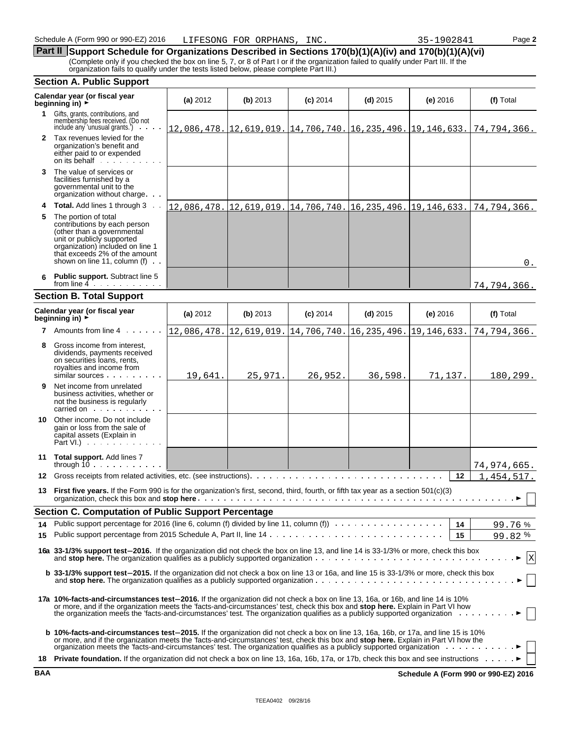**Part II** Support Schedule for Organizations Described in Sections 170(b)(1)(A)(iv) and 170(b)(1)(A)(vi) (Complete only if you checked the box on line 5, 7, or 8 of Part I or if the organization failed to qualify under Part III. If the organization fails to qualify under the tests listed below, please complete Part III.)

### **Section A. Public Support**

|    | occuon A. I upilo ouppoll                                                                                                                                                                                                                                                                                                                                                                                           |          |            |                                                             |            |                                                             |              |
|----|---------------------------------------------------------------------------------------------------------------------------------------------------------------------------------------------------------------------------------------------------------------------------------------------------------------------------------------------------------------------------------------------------------------------|----------|------------|-------------------------------------------------------------|------------|-------------------------------------------------------------|--------------|
|    | Calendar year (or fiscal year<br>beginning in) ►                                                                                                                                                                                                                                                                                                                                                                    | (a) 2012 | (b) 2013   | $(c)$ 2014                                                  | $(d)$ 2015 | (e) $2016$                                                  | (f) Total    |
|    | 1 Gifts, grants, contributions, and<br>membership fees received. (Do not<br>include any 'unusual grants.')                                                                                                                                                                                                                                                                                                          |          |            |                                                             |            | 12,086,478. 12,619,019. 14,706,740. 16,235,496. 19,146,633. | 74,794,366.  |
|    | 2 Tax revenues levied for the<br>organization's benefit and<br>either paid to or expended<br>on its behalf                                                                                                                                                                                                                                                                                                          |          |            |                                                             |            |                                                             |              |
| 3  | The value of services or<br>facilities furnished by a<br>governmental unit to the<br>organization without charge.                                                                                                                                                                                                                                                                                                   |          |            |                                                             |            |                                                             |              |
|    | 4 Total. Add lines 1 through 3                                                                                                                                                                                                                                                                                                                                                                                      |          |            | 12,086,478. 12,619,019. 14,706,740. 16,235,496. 19,146,633. |            |                                                             | 74,794,366.  |
| 5. | The portion of total<br>contributions by each person<br>(other than a governmental<br>unit or publicly supported<br>organization) included on line 1<br>that exceeds 2% of the amount<br>shown on line 11, column (f) $\cdot$                                                                                                                                                                                       |          |            |                                                             |            |                                                             | 0.           |
|    | 6 Public support. Subtract line 5<br>from line $4 \cdot \cdot \cdot \cdot \cdot$                                                                                                                                                                                                                                                                                                                                    |          |            |                                                             |            |                                                             | 74,794,366.  |
|    | <b>Section B. Total Support</b>                                                                                                                                                                                                                                                                                                                                                                                     |          |            |                                                             |            |                                                             |              |
|    | Calendar year (or fiscal year<br>beginning in) ►                                                                                                                                                                                                                                                                                                                                                                    | (a) 2012 | (b) $2013$ | $(c)$ 2014                                                  | $(d)$ 2015 | (e) 2016                                                    | (f) Total    |
|    | 7 Amounts from line 4                                                                                                                                                                                                                                                                                                                                                                                               |          |            | 12,086,478. 12,619,019. 14,706,740. 16,235,496. 19,146,633. |            |                                                             | 74,794,366.  |
| 8  | Gross income from interest.<br>dividends, payments received<br>on securities loans, rents,<br>royalties and income from<br>similar sources                                                                                                                                                                                                                                                                          | 19,641.  | 25,971.    | 26,952.                                                     | 36,598.    | 71,137.                                                     | 180,299.     |
| 9  | Net income from unrelated<br>business activities, whether or<br>not the business is regularly<br>carried on example and the set of the set of the set of the set of the set of the set of the set of the set of the set of the set of the set of the set of the set of the set of the set of the set of the set of the set of t                                                                                     |          |            |                                                             |            |                                                             |              |
|    | 10 Other income. Do not include<br>gain or loss from the sale of<br>capital assets (Explain in<br>Part VI.) $\ldots$ $\ldots$ $\ldots$                                                                                                                                                                                                                                                                              |          |            |                                                             |            |                                                             |              |
|    | 11 Total support. Add lines 7<br>through $10$                                                                                                                                                                                                                                                                                                                                                                       |          |            |                                                             |            |                                                             | 74,974,665.  |
| 12 |                                                                                                                                                                                                                                                                                                                                                                                                                     |          |            |                                                             |            | 12                                                          | 1, 454, 517. |
| 13 | First five years. If the Form 990 is for the organization's first, second, third, fourth, or fifth tax year as a section 501(c)(3)                                                                                                                                                                                                                                                                                  |          |            |                                                             |            |                                                             |              |
|    | <b>Section C. Computation of Public Support Percentage</b>                                                                                                                                                                                                                                                                                                                                                          |          |            |                                                             |            |                                                             |              |
|    |                                                                                                                                                                                                                                                                                                                                                                                                                     |          |            |                                                             |            | 14                                                          | 99.76 %      |
|    |                                                                                                                                                                                                                                                                                                                                                                                                                     |          |            |                                                             |            | 15                                                          | 99.82%       |
|    | 16a 33-1/3% support test-2016. If the organization did not check the box on line 13, and line 14 is 33-1/3% or more, check this box                                                                                                                                                                                                                                                                                 |          |            |                                                             |            |                                                             | $\mathbf x$  |
|    | b 33-1/3% support test-2015. If the organization did not check a box on line 13 or 16a, and line 15 is 33-1/3% or more, check this box                                                                                                                                                                                                                                                                              |          |            |                                                             |            |                                                             |              |
|    | 17a 10%-facts-and-circumstances test-2016. If the organization did not check a box on line 13, 16a, or 16b, and line 14 is 10%<br>or more, and if the organization meets the 'facts-and-circumstances' test, check this box and stop here. Explain in Part VI how<br>the organization meets the 'facts-and-circumstances' test. The organization qualifies as a publicly supported organization $\dots \dots \dots$ |          |            |                                                             |            |                                                             |              |
|    | <b>b 10%-facts-and-circumstances test-2015.</b> If the organization did not check a box on line 13, 16a, 16b, or 17a, and line 15 is 10%<br>or more, and if the organization meets the 'facts-and-circumstances' test, check this box and stop here. Explain in Part VI how the                                                                                                                                     |          |            |                                                             |            |                                                             |              |
|    | 18 Private foundation. If the organization did not check a box on line 13, 16a, 16b, 17a, or 17b, check this box and see instructions ►                                                                                                                                                                                                                                                                             |          |            |                                                             |            |                                                             |              |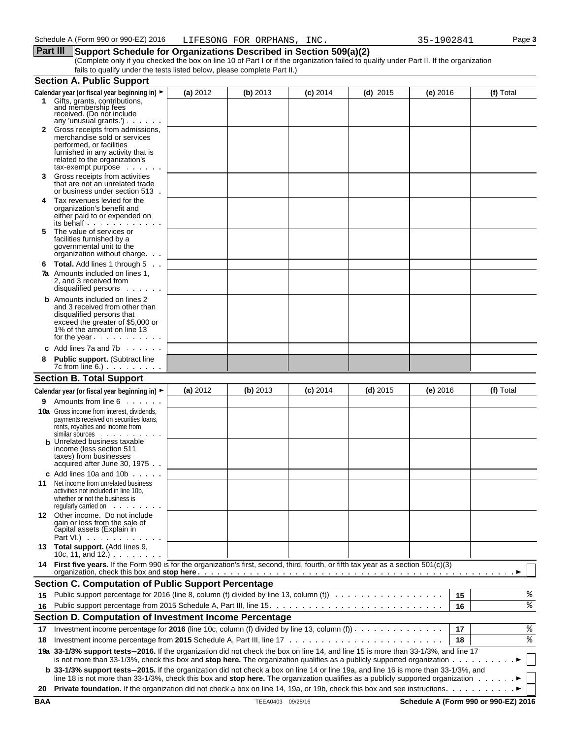**Part III** Support Schedule for Organizations Described in Section 509(a)(2) (Complete only if you checked the box on line 10 of Part I or if the organization failed to qualify under Part II. If the organization fails to qualify under the tests listed below, please complete Part II.)

|    | <b>Section A. Public Support</b>                                                                                                                                                                                                                                                                                                                                                   |          |            |            |            |            |    |           |
|----|------------------------------------------------------------------------------------------------------------------------------------------------------------------------------------------------------------------------------------------------------------------------------------------------------------------------------------------------------------------------------------|----------|------------|------------|------------|------------|----|-----------|
|    | Calendar year (or fiscal year beginning in) ►<br>1 Gifts, grants, contributions,<br>and membership fees<br>received. (Do not include                                                                                                                                                                                                                                               | (a) 2012 | (b) $2013$ | $(c)$ 2014 | $(d)$ 2015 | (e) $2016$ |    | (f) Total |
|    | any 'unusual grants.')<br>2 Gross receipts from admissions,<br>merchandise sold or services<br>performed, or facilities<br>furnished in any activity that is<br>related to the organization's<br>$tax$ -exempt purpose $\ldots$                                                                                                                                                    |          |            |            |            |            |    |           |
| 3  | Gross receipts from activities<br>that are not an unrelated trade<br>or business under section 513.                                                                                                                                                                                                                                                                                |          |            |            |            |            |    |           |
| 4  | Tax revenues levied for the<br>organization's benefit and<br>either paid to or expended on<br>its behalf                                                                                                                                                                                                                                                                           |          |            |            |            |            |    |           |
| 5  | The value of services or<br>facilities furnished by a<br>governmental unit to the<br>organization without charge                                                                                                                                                                                                                                                                   |          |            |            |            |            |    |           |
| 6  | <b>Total.</b> Add lines 1 through 5<br>7a Amounts included on lines 1,<br>2. and 3 received from<br>disqualified persons                                                                                                                                                                                                                                                           |          |            |            |            |            |    |           |
|    | <b>b</b> Amounts included on lines 2<br>and 3 received from other than<br>disqualified persons that<br>exceed the greater of \$5,000 or<br>1% of the amount on line 13<br>for the year $\cdots$                                                                                                                                                                                    |          |            |            |            |            |    |           |
|    | c Add lines $7a$ and $7b$                                                                                                                                                                                                                                                                                                                                                          |          |            |            |            |            |    |           |
|    | Public support. (Subtract line<br>$7c$ from line 6.) $\ldots$ $\ldots$ $\ldots$                                                                                                                                                                                                                                                                                                    |          |            |            |            |            |    |           |
|    | <b>Section B. Total Support</b>                                                                                                                                                                                                                                                                                                                                                    |          |            |            |            |            |    |           |
|    | Calendar year (or fiscal year beginning in) ►                                                                                                                                                                                                                                                                                                                                      | (a) 2012 | (b) 2013   | $(c)$ 2014 | $(d)$ 2015 | (e) $2016$ |    | (f) Total |
| 9. | Amounts from line 6                                                                                                                                                                                                                                                                                                                                                                |          |            |            |            |            |    |           |
|    | <b>10a</b> Gross income from interest, dividends,<br>payments received on securities loans,<br>rents, royalties and income from<br>similar sources<br><b>b</b> Unrelated business taxable<br>income (less section 511<br>taxes) from businesses<br>acquired after June 30, 1975.                                                                                                   |          |            |            |            |            |    |           |
| 11 | c Add lines 10a and 10b $\ldots$<br>Net income from unrelated business<br>activities not included in line 10b,<br>whether or not the business is<br>requiarly carried on entitled by the control of the control of the control of the control of the control of the control of the control of the control of the control of the control of the control of the control of the contr |          |            |            |            |            |    |           |
|    | 12 Other income. Do not include<br>gain or loss from the sale of<br>capital assets (Explain in<br>Part VI.) $\cdots$ $\cdots$                                                                                                                                                                                                                                                      |          |            |            |            |            |    |           |
|    | 13 Total support. (Add lines 9,<br>10c, 11, and 12.) $\cdots$                                                                                                                                                                                                                                                                                                                      |          |            |            |            |            |    |           |
|    | 14 First five years. If the Form 990 is for the organization's first, second, third, fourth, or fifth tax year as a section 501(c)(3)                                                                                                                                                                                                                                              |          |            |            |            |            |    |           |
|    | <b>Section C. Computation of Public Support Percentage</b>                                                                                                                                                                                                                                                                                                                         |          |            |            |            |            |    |           |
| 15 |                                                                                                                                                                                                                                                                                                                                                                                    |          |            |            |            |            | 15 | ిక        |
| 16 |                                                                                                                                                                                                                                                                                                                                                                                    |          |            |            |            |            | 16 | ႜ         |
|    | Section D. Computation of Investment Income Percentage                                                                                                                                                                                                                                                                                                                             |          |            |            |            |            |    |           |
| 17 | Investment income percentage for 2016 (line 10c, column (f) divided by line 13, column (f))                                                                                                                                                                                                                                                                                        |          |            |            |            |            | 17 | %         |
| 18 |                                                                                                                                                                                                                                                                                                                                                                                    |          |            |            |            |            | 18 | ిం        |
|    | 19a 33-1/3% support tests-2016. If the organization did not check the box on line 14, and line 15 is more than 33-1/3%, and line 17<br>is not more than 33-1/3%, check this box and stop here. The organization qualifies as a publicly supported organization                                                                                                                     |          |            |            |            |            |    |           |
|    | b 33-1/3% support tests-2015. If the organization did not check a box on line 14 or line 19a, and line 16 is more than 33-1/3%, and<br>line 18 is not more than 33-1/3%, check this box and stop here. The organization qualifies as a publicly supported organization $\cdots \cdots$                                                                                             |          |            |            |            |            |    |           |
|    |                                                                                                                                                                                                                                                                                                                                                                                    |          |            |            |            |            |    |           |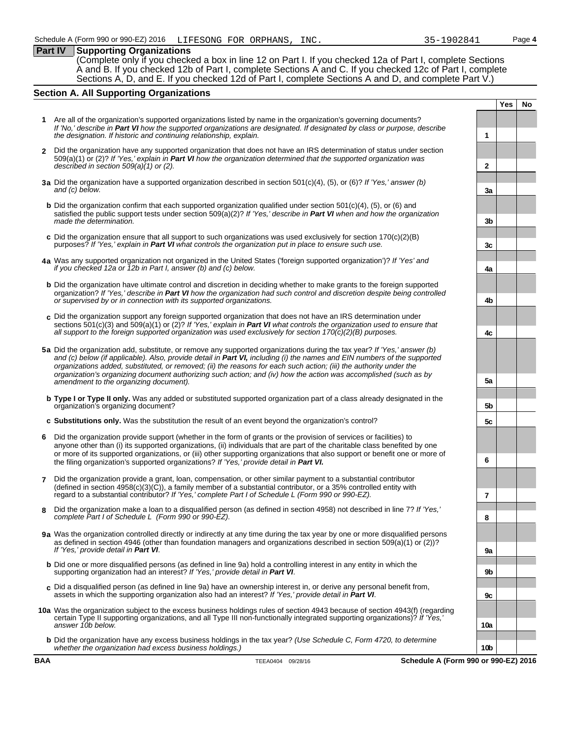### **Part IV Supporting Organizations**

(Complete only if you checked a box in line 12 on Part I. If you checked 12a of Part I, complete Sections A and B. If you checked 12b of Part I, complete Sections A and C. If you checked 12c of Part I, complete Sections A, D, and E. If you checked 12d of Part I, complete Sections A and D, and complete Part V.)

### **Section A. All Supporting Organizations**

- **1** Are all of the organization's supported organizations listed by name in the organization's governing documents? *If 'No,' describe in Part VI how the supported organizations are designated. If designated by class or purpose, describe the designation. If historic and continuing relationship, explain.* **1**
- **2** Did the organization have any supported organization that does not have an IRS determination of status under section 509(a)(1) or (2)? *If 'Yes,' explain in Part VI how the organization determined that the supported organization was described in section 509(a)(1) or (2).* **2**
- **a3** Did the organization have a supported organization described in section 501(c)(4), (5), or (6)? *If 'Yes,' answer (b) and (c) below.* **3a**
- **b** Did the organization confirm that each supported organization qualified under section 501(c)(4), (5), or (6) and satisfied the public support tests under section 509(a)(2)? *If 'Yes,' describe in Part VI when and how the organization made the determination.* **3b 3b**
- **c** Did the organization ensure that all support to such organizations was used exclusively for section 170(c)(2)(B) purposes? *If 'Yes,' explain in Part VI* what controls the organization put in place to ensure such use.
- **a4** Was any supported organization not organized in the United States ('foreign supported organization')? *If 'Yes' and if you checked 12a or 12b in Part I, answer (b) and (c) below.* **a4**
- **b** Did the organization have ultimate control and discretion in deciding whether to make grants to the foreign supported organization? *If 'Yes,' describe in Part VI how the organization had such control and discretion despite being controlled or supervised by or in connection with its supported organizations.* **4b**
- **c** Did the organization support any foreign supported organization that does not have an IRS determination under sections 501(c)(3) and 509(a)(1) or (2)? *If 'Yes,' explain in Part VI what controls the organization used to ensure that all support to the foreign supported organization was used exclusively for section 170(c)(2)(B) purposes.* **4c**
- **a5** Did the organization add, substitute, or remove any supported organizations during the tax year? *If 'Yes,' answer (b) and (c) below (if applicable). Also, provide detail in Part VI, including (i) the names and EIN numbers of the supported organizations added, substituted, or removed; (ii) the reasons for each such action; (iii) the authority under the organization's organizing document authorizing such action; and (iv) how the action was accomplished (such as by* amendment to the organizing document). **5a**
- **b Type I or Type II only.** Was any added or substituted supported organization part of a class already designated in the organization's organizing document? **b5**
- **c Substitutions only.** Was the substitution the result of an event beyond the organization's control? **c5**
- **6** Did the organization provide support (whether in the form of grants or the provision of services or facilities) to anyone other than (i) its supported organizations, (ii) individuals that are part of the charitable class benefited by one or more of its supported organizations, or (iii) other supporting organizations that also support or benefit one or more of the filing organization's supported organizations? *If 'Yes,' provide detail in Part VI.* **6**
- **7** Did the organization provide a grant, loan, compensation, or other similar payment to a substantial contributor (defined in section  $4958(c)(3)(\tilde{C})$ ), a family member of a substantial contributor, or a 35% controlled entity with regard to a substantial contributor? *If 'Yes,' complete Part I of Schedule L (Form 990 or 990-EZ).* **7**
- **8** Did the organization make a loan to a disqualified person (as defined in section 4958) not described in line 7? *If 'Yes,' complete Part I of Schedule L (Form 990 or 990-EZ).* **8**
- 9a Was the organization controlled directly or indirectly at any time during the tax year by one or more disqualified persons as defined in section 4946 (other than foundation managers and organizations described in section 509(a)(1) or (2))? *If 'Yes,' provide detail in Part VI*. **a**
- **b** Did one or more disqualified persons (as defined in line 9a) hold a controlling interest in any entity in which the supporting organization had an interest? *If 'Yes,' provide detail in Part VI*. **b9**
- **c** Did a disqualified person (as defined in line 9a) have an ownership interest in, or derive any personal benefit from, assets in which the supporting organization also had an interest? *If 'Yes,' provide detail in Part VI*. **c9**
- **10a** Was the organization subject to the excess business holdings rules of section 4943 because of section 4943(f) (regarding certain Type II supporting organizations, and all Type III non-functionally integrated supporting organizations)? *If 'Yes,' answer 10b below.* **10a**
	- **b** Did the organization have any excess business holdings in the tax year? *(Use Schedule C, Form 4720, to determine whether the organization had excess business holdings.)* **10b**

**Yes No**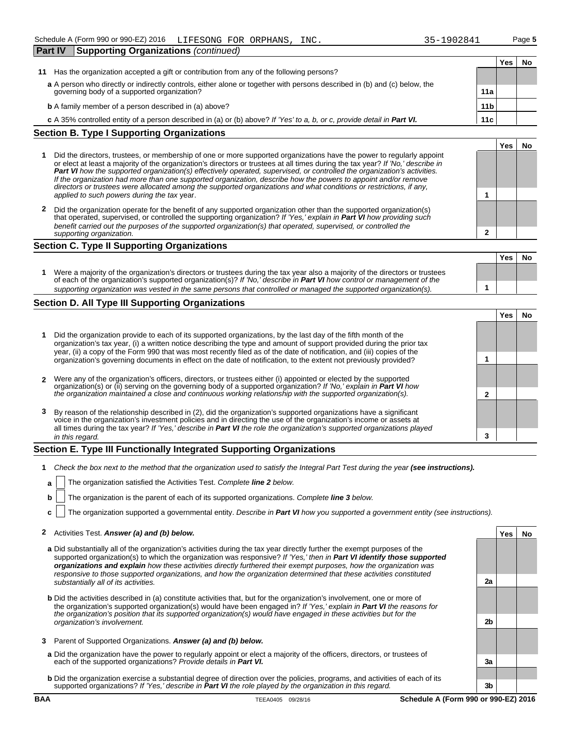| <b>Part IV</b>                                     | Supporting Organizations (continued)                                                                                      |     |     |    |  |  |  |
|----------------------------------------------------|---------------------------------------------------------------------------------------------------------------------------|-----|-----|----|--|--|--|
|                                                    |                                                                                                                           |     | Yes | No |  |  |  |
| 11                                                 | Has the organization accepted a gift or contribution from any of the following persons?                                   |     |     |    |  |  |  |
|                                                    | a A person who directly or indirectly controls, either alone or together with persons described in (b) and (c) below, the |     |     |    |  |  |  |
| governing body of a supported organization?<br>11a |                                                                                                                           |     |     |    |  |  |  |
|                                                    | <b>b</b> A family member of a person described in (a) above?                                                              |     |     |    |  |  |  |
|                                                    | c A 35% controlled entity of a person described in (a) or (b) above? If 'Yes' to a, b, or c, provide detail in Part VI.   | 11c |     |    |  |  |  |
| <b>Section B. Type I Supporting Organizations</b>  |                                                                                                                           |     |     |    |  |  |  |

| Did the directors, trustees, or membership of one or more supported organizations have the power to regularly appoint<br>or elect at least a majority of the organization's directors or trustees at all times during the tax year? If 'No,' describe in<br><b>Part VI</b> how the supported organization(s) effectively operated, supervised, or controlled the organization's activities.<br>If the organization had more than one supported organization, describe how the powers to appoint and/or remove<br>directors or trustees were allocated among the supported organizations and what conditions or restrictions, if any, |  |
|--------------------------------------------------------------------------------------------------------------------------------------------------------------------------------------------------------------------------------------------------------------------------------------------------------------------------------------------------------------------------------------------------------------------------------------------------------------------------------------------------------------------------------------------------------------------------------------------------------------------------------------|--|
| applied to such powers during the tax year.                                                                                                                                                                                                                                                                                                                                                                                                                                                                                                                                                                                          |  |

**2** Did the organization operate for the benefit of any supported organization other than the supported organization(s) that operated, supervised, or controlled the supporting organization? *If 'Yes,' explain in Part VI how providing such benefit carried out the purposes of the supported organization(s) that operated, supervised, or controlled the supporting organization.* **2**

### **Section C. Type II Supporting Organizations**

|                                                                                                                                                                                                                                                               | <b>Yes</b> | Nο |
|---------------------------------------------------------------------------------------------------------------------------------------------------------------------------------------------------------------------------------------------------------------|------------|----|
| Were a majority of the organization's directors or trustees during the tax year also a majority of the directors or trustees<br>of each of the organization's supported organization(s)? If 'No,' describe in <b>Part VI</b> how control or management of the |            |    |
| supporting organization was vested in the same persons that controlled or managed the supported organization(s).                                                                                                                                              |            |    |

### **Section D. All Type III Supporting Organizations**

|   |                                                                                                                                                                                                                                                                                                                                                                    |  | res |  |  |  |  |  |
|---|--------------------------------------------------------------------------------------------------------------------------------------------------------------------------------------------------------------------------------------------------------------------------------------------------------------------------------------------------------------------|--|-----|--|--|--|--|--|
|   | Did the organization provide to each of its supported organizations, by the last day of the fifth month of the<br>organization's tax year, (i) a written notice describing the type and amount of support provided during the prior tax<br>year, (ii) a copy of the Form 990 that was most recently filed as of the date of notification, and (iii) copies of the  |  |     |  |  |  |  |  |
|   | organization's governing documents in effect on the date of notification, to the extent not previously provided?                                                                                                                                                                                                                                                   |  |     |  |  |  |  |  |
|   |                                                                                                                                                                                                                                                                                                                                                                    |  |     |  |  |  |  |  |
|   | 2 Were any of the organization's officers, directors, or trustees either (i) appointed or elected by the supported                                                                                                                                                                                                                                                 |  |     |  |  |  |  |  |
|   | organization(s) or (ii) serving on the governing body of a supported organization? If 'No,' explain in <b>Part VI</b> how<br>the organization maintained a close and continuous working relationship with the supported organization(s                                                                                                                             |  |     |  |  |  |  |  |
|   |                                                                                                                                                                                                                                                                                                                                                                    |  |     |  |  |  |  |  |
| 3 | By reason of the relationship described in (2), did the organization's supported organizations have a significant<br>voice in the organization's investment policies and in directing the use of the organization's income or assets at<br>all times during the tax year? If 'Yes,' describe in Part VI the role the organization's supported organizations played |  |     |  |  |  |  |  |
|   | in this regard.                                                                                                                                                                                                                                                                                                                                                    |  |     |  |  |  |  |  |

### **Section E. Type III Functionally Integrated Supporting Organizations**

- **1** Check the box next to the method that the organization used to satisfy the Integral Part Test during the year (see instructions).
	- **a** The organization satisfied the Activities Test. Complete **line 2** below.
	- **b** The organization is the parent of each of its supported organizations. *Complete line 3 below.*
	- **c** The organization supported a governmental entity. *Describe in Part VI how you supported a government entity (see instructions).*

### **2** Activities Test. *Answer (a) and (b) below.* **Yes No Yes No**

- **a** Did substantially all of the organization's activities during the tax year directly further the exempt purposes of the supported organization(s) to which the organization was responsive? *If 'Yes,' then in Part VI identify those supported organizations and explain how these activities directly furthered their exempt purposes, how the organization was responsive to those supported organizations, and how the organization determined that these activities constituted substantially all of its activities.* **a2**
- **b** Did the activities described in (a) constitute activities that, but for the organization's involvement, one or more of the organization's supported organization(s) would have been engaged in? *If 'Yes,' explain in Part VI the reasons for the organization's position that its supported organization(s) would have engaged in these activities but for the organization's involvement.* **b2**
- **3** Parent of Supported Organizations. *Answer (a) and (b) below.*
- **a** Did the organization have the power to regularly appoint or elect a majority of the officers, directors, or trustees of each of the supported organizations? *Provide details in Part VI.* **a3**
- **b** Did the organization exercise a substantial degree of direction over the policies, programs, and activities of each of its supported organizations? *If 'Yes,' describe in Part VI the role played by the organization in this regard.* **3b**

**BAA TEEA0405 09/28/16 Schedule A (Form 990 or 990-EZ) 2016** 

**Yes No**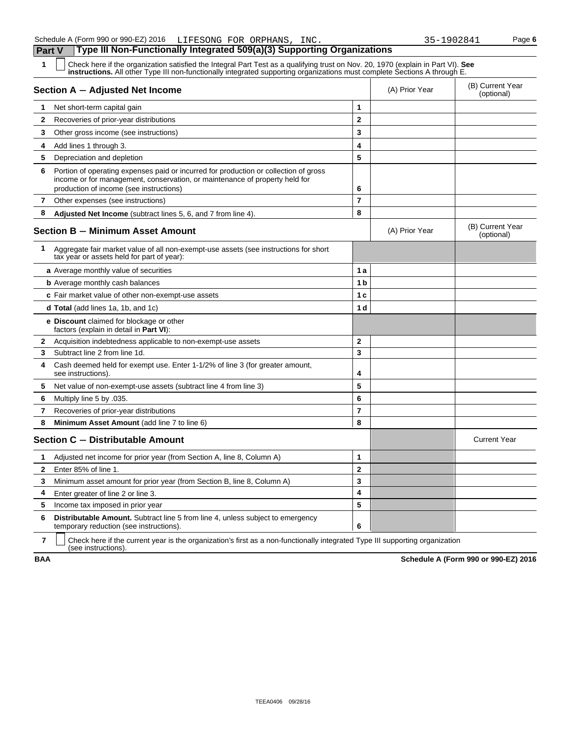**Part V Type III Non-Functionally Integrated 509(a)(3) Supporting Organizations 1** Check here if the organization satisfied the Integral Part Test as a qualifying trust on Nov. 20, 1970 (explain in Part VI). **See instructions.** All other Type III non-functionally integrated supporting organizations must complete Sections A through E. **Section A – Adjusted Net Income** (B) Current Year (B) Current Year (B) Current Year (B) Current Year (optional) **1** Net short-term capital gain **1 2** Recoveries of prior-year distributions **2 3** Other gross income (see instructions) **3 4** Add lines 1 through 3. **4 5** Depreciation and depletion **5 6** Portion of operating expenses paid or incurred for production or collection of gross income or for management, conservation, or maintenance of property held for production of income (see instructions) **6 7** Other expenses (see instructions) **7 8 Adjusted Net Income** (subtract lines 5, 6, and 7 from line 4). **8 Section B – Minimum Asset Amount Section B – Minimum Asset Amount** (A) **Current Year** (B) Current Year (B) Current Year (optional) **1** Aggregate fair market value of all non-exempt-use assets (see instructions for short tax year or assets held for part of year): **a** Average monthly value of securities **1 a b** Average monthly cash balances **1 b c** Fair market value of other non-exempt-use assets **c** Fair market value of other non-exempt-use assets **c 1c d Total** (add lines 1a, 1b, and 1c) **d 1 d e Discount** claimed for blockage or other factors (explain in detail in **Part VI**): **2** Acquisition indebtedness applicable to non-exempt-use assets **2 3** Subtract line 2 from line 1d. **3 4** Cash deemed held for exempt use. Enter 1-1/2% of line 3 (for greater amount, see instructions). **4 5** Net value of non-exempt-use assets (subtract line 4 from line 3) **5 6** Multiply line 5 by .035. **6 7** Recoveries of prior-year distributions **7 8 Minimum Asset Amount** (add line 7 to line 6) **8 Section C – Distributable Amount** Current Year Current Year Current Year Current Year Current Year **1** Adjusted net income for prior year (from Section A, line 8, Column A) **1 2** Enter 85% of line 1. **2 3** Minimum asset amount for prior year (from Section B, line 8, Column A) **3 4** Enter greater of line 2 or line 3. **4 5** Income tax imposed in prior year **5 6 Distributable Amount.** Subtract line 5 from line 4, unless subject to emergency temporary reduction (see instructions). **6**

**7** Check here if the current year is the organization's first as a non-functionally integrated Type III supporting organization (see instructions).

**BAA Schedule A (Form 990 or 990-EZ) 2016**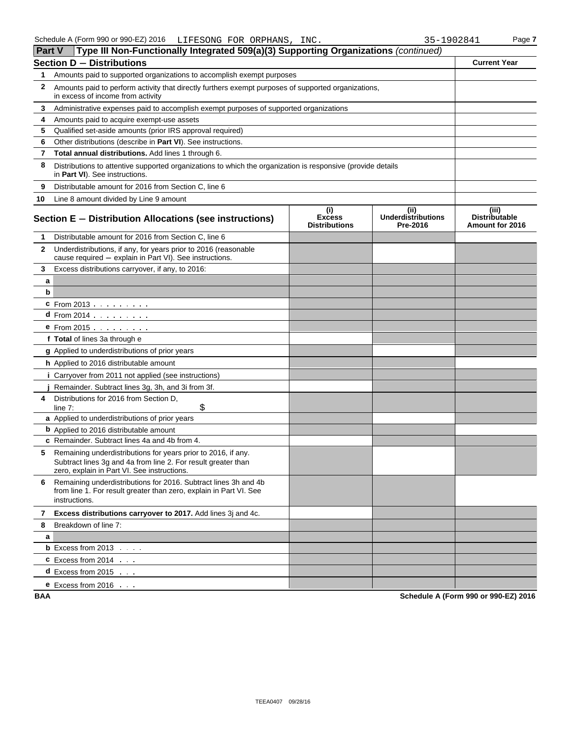| <b>Part V</b> | Type III Non-Functionally Integrated 509(a)(3) Supporting Organizations (continued)                                                                                           |                                              |                                               |                                                  |
|---------------|-------------------------------------------------------------------------------------------------------------------------------------------------------------------------------|----------------------------------------------|-----------------------------------------------|--------------------------------------------------|
|               | Section D - Distributions                                                                                                                                                     |                                              |                                               | <b>Current Year</b>                              |
| 1             | Amounts paid to supported organizations to accomplish exempt purposes                                                                                                         |                                              |                                               |                                                  |
| 2             | Amounts paid to perform activity that directly furthers exempt purposes of supported organizations,<br>in excess of income from activity                                      |                                              |                                               |                                                  |
| 3             | Administrative expenses paid to accomplish exempt purposes of supported organizations                                                                                         |                                              |                                               |                                                  |
| 4             | Amounts paid to acquire exempt-use assets                                                                                                                                     |                                              |                                               |                                                  |
| 5             | Qualified set-aside amounts (prior IRS approval required)                                                                                                                     |                                              |                                               |                                                  |
| 6             | Other distributions (describe in Part VI). See instructions.                                                                                                                  |                                              |                                               |                                                  |
| 7             | Total annual distributions. Add lines 1 through 6.                                                                                                                            |                                              |                                               |                                                  |
| 8             | Distributions to attentive supported organizations to which the organization is responsive (provide details<br>in Part VI). See instructions.                                 |                                              |                                               |                                                  |
| 9             | Distributable amount for 2016 from Section C, line 6                                                                                                                          |                                              |                                               |                                                  |
| 10            | Line 8 amount divided by Line 9 amount                                                                                                                                        |                                              |                                               |                                                  |
|               | Section E - Distribution Allocations (see instructions)                                                                                                                       | (i)<br><b>Excess</b><br><b>Distributions</b> | (ii)<br><b>Underdistributions</b><br>Pre-2016 | (iii)<br><b>Distributable</b><br>Amount for 2016 |
| 1             | Distributable amount for 2016 from Section C, line 6                                                                                                                          |                                              |                                               |                                                  |
| $\mathbf{2}$  | Underdistributions, if any, for years prior to 2016 (reasonable<br>cause required - explain in Part VI). See instructions.                                                    |                                              |                                               |                                                  |
| 3             | Excess distributions carryover, if any, to 2016:                                                                                                                              |                                              |                                               |                                                  |
| а             |                                                                                                                                                                               |                                              |                                               |                                                  |
| b             |                                                                                                                                                                               |                                              |                                               |                                                  |
|               | <b>c</b> From 2013                                                                                                                                                            |                                              |                                               |                                                  |
|               | <b>d</b> From 2014 $\ldots$ $\ldots$                                                                                                                                          |                                              |                                               |                                                  |
|               | $e$ From 2015 $\ldots$ $\ldots$ $\ldots$                                                                                                                                      |                                              |                                               |                                                  |
|               | f Total of lines 3a through e                                                                                                                                                 |                                              |                                               |                                                  |
|               | g Applied to underdistributions of prior years                                                                                                                                |                                              |                                               |                                                  |
|               | h Applied to 2016 distributable amount                                                                                                                                        |                                              |                                               |                                                  |
|               | <i>i</i> Carryover from 2011 not applied (see instructions)                                                                                                                   |                                              |                                               |                                                  |
|               | Remainder. Subtract lines 3g, 3h, and 3i from 3f.                                                                                                                             |                                              |                                               |                                                  |
| 4             | Distributions for 2016 from Section D.<br>\$<br>line $7$ :                                                                                                                    |                                              |                                               |                                                  |
|               | a Applied to underdistributions of prior years                                                                                                                                |                                              |                                               |                                                  |
|               | <b>b</b> Applied to 2016 distributable amount                                                                                                                                 |                                              |                                               |                                                  |
|               | c Remainder. Subtract lines 4a and 4b from 4.                                                                                                                                 |                                              |                                               |                                                  |
| 5             | Remaining underdistributions for years prior to 2016, if any.<br>Subtract lines 3g and 4a from line 2. For result greater than<br>zero, explain in Part VI. See instructions. |                                              |                                               |                                                  |
| 6             | Remaining underdistributions for 2016. Subtract lines 3h and 4b<br>from line 1. For result greater than zero, explain in Part VI. See<br>instructions.                        |                                              |                                               |                                                  |
| 7             | Excess distributions carryover to 2017. Add lines 3j and 4c.                                                                                                                  |                                              |                                               |                                                  |
| 8             | Breakdown of line 7:                                                                                                                                                          |                                              |                                               |                                                  |
| а             |                                                                                                                                                                               |                                              |                                               |                                                  |
|               | <b>b</b> Excess from $2013$ $\ldots$                                                                                                                                          |                                              |                                               |                                                  |
|               | $C$ Excess from 2014 $\ldots$                                                                                                                                                 |                                              |                                               |                                                  |
|               | <b>d</b> Excess from 2015 $\ldots$                                                                                                                                            |                                              |                                               |                                                  |
|               | <b>e</b> Excess from $2016$                                                                                                                                                   |                                              |                                               |                                                  |

**BAA Schedule A (Form 990 or 990-EZ) 2016**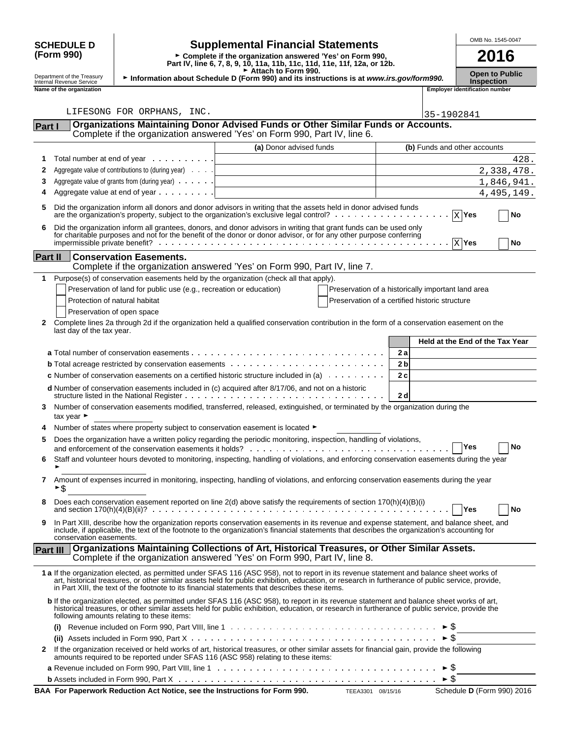| <b>SCHEDULE D</b> |                                                        |                                                                     |                                                                                                                                                                                                                                                                                                                                                                                                 |                                          | OMB No. 1545-0047            |                                       |                                 |  |
|-------------------|--------------------------------------------------------|---------------------------------------------------------------------|-------------------------------------------------------------------------------------------------------------------------------------------------------------------------------------------------------------------------------------------------------------------------------------------------------------------------------------------------------------------------------------------------|------------------------------------------|------------------------------|---------------------------------------|---------------------------------|--|
| (Form 990)        |                                                        |                                                                     | ► Complete if the organization answered 'Yes' on Form 990,<br>Part IV, line 6, 7, 8, 9, 10, 11a, 11b, 11c, 11d, 11e, 11f, 12a, or 12b.                                                                                                                                                                                                                                                          | <b>Supplemental Financial Statements</b> |                              |                                       |                                 |  |
|                   | Department of the Treasury<br>Internal Revenue Service |                                                                     | Attach to Form 990.<br>Information about Schedule D (Form 990) and its instructions is at www.irs.gov/form990.                                                                                                                                                                                                                                                                                  |                                          |                              | <b>Inspection</b>                     | <b>Open to Public</b>           |  |
|                   | Name of the organization                               |                                                                     |                                                                                                                                                                                                                                                                                                                                                                                                 |                                          |                              | <b>Employer identification number</b> |                                 |  |
|                   |                                                        | LIFESONG FOR ORPHANS, INC.                                          |                                                                                                                                                                                                                                                                                                                                                                                                 |                                          | 35-1902841                   |                                       |                                 |  |
| Part I            |                                                        |                                                                     | Organizations Maintaining Donor Advised Funds or Other Similar Funds or Accounts.                                                                                                                                                                                                                                                                                                               |                                          |                              |                                       |                                 |  |
|                   |                                                        |                                                                     | Complete if the organization answered 'Yes' on Form 990, Part IV, line 6.                                                                                                                                                                                                                                                                                                                       |                                          |                              |                                       |                                 |  |
|                   |                                                        |                                                                     | (a) Donor advised funds                                                                                                                                                                                                                                                                                                                                                                         |                                          | (b) Funds and other accounts |                                       |                                 |  |
| 1                 |                                                        | Total number at end of year                                         |                                                                                                                                                                                                                                                                                                                                                                                                 |                                          |                              |                                       | 428.                            |  |
| 2                 |                                                        | Aggregate value of contributions to (during year)                   |                                                                                                                                                                                                                                                                                                                                                                                                 |                                          |                              |                                       | 2,338,478.                      |  |
| 3                 |                                                        | Aggregate value of grants from (during year)                        |                                                                                                                                                                                                                                                                                                                                                                                                 |                                          |                              |                                       | 1,846,941.                      |  |
|                   |                                                        | Aggregate value at end of year                                      |                                                                                                                                                                                                                                                                                                                                                                                                 |                                          |                              |                                       | 4,495,149.                      |  |
| 5                 |                                                        |                                                                     | Did the organization inform all donors and donor advisors in writing that the assets held in donor advised funds<br>are the organization's property, subject to the organization's exclusive legal control? $\ldots$ ,                                                                                                                                                                          |                                          |                              | $ X $ Yes                             | No                              |  |
| 6                 |                                                        |                                                                     | Did the organization inform all grantees, donors, and donor advisors in writing that grant funds can be used only<br>for charitable purposes and not for the benefit of the donor or donor advisor, or for any other purpose conferring                                                                                                                                                         |                                          |                              | $\overline{X}$ Yes                    | No                              |  |
|                   | <b>Part II</b>                                         | <b>Conservation Easements.</b>                                      | Complete if the organization answered 'Yes' on Form 990, Part IV, line 7.                                                                                                                                                                                                                                                                                                                       |                                          |                              |                                       |                                 |  |
| 1                 |                                                        |                                                                     | Purpose(s) of conservation easements held by the organization (check all that apply).                                                                                                                                                                                                                                                                                                           |                                          |                              |                                       |                                 |  |
|                   |                                                        | Preservation of land for public use (e.g., recreation or education) | Preservation of a historically important land area                                                                                                                                                                                                                                                                                                                                              |                                          |                              |                                       |                                 |  |
|                   | Protection of natural habitat                          |                                                                     | Preservation of a certified historic structure                                                                                                                                                                                                                                                                                                                                                  |                                          |                              |                                       |                                 |  |
|                   | Preservation of open space                             |                                                                     |                                                                                                                                                                                                                                                                                                                                                                                                 |                                          |                              |                                       |                                 |  |
| 2                 |                                                        |                                                                     | Complete lines 2a through 2d if the organization held a qualified conservation contribution in the form of a conservation easement on the                                                                                                                                                                                                                                                       |                                          |                              |                                       |                                 |  |
|                   | last day of the tax year.                              |                                                                     |                                                                                                                                                                                                                                                                                                                                                                                                 |                                          |                              |                                       | Held at the End of the Tax Year |  |
|                   |                                                        |                                                                     |                                                                                                                                                                                                                                                                                                                                                                                                 | 2a                                       |                              |                                       |                                 |  |
|                   |                                                        |                                                                     |                                                                                                                                                                                                                                                                                                                                                                                                 | 2 <sub>b</sub>                           |                              |                                       |                                 |  |
|                   |                                                        |                                                                     | <b>c</b> Number of conservation easements on a certified historic structure included in (a) $\ldots \ldots \ldots$                                                                                                                                                                                                                                                                              | 2c                                       |                              |                                       |                                 |  |
|                   |                                                        |                                                                     | d Number of conservation easements included in (c) acquired after 8/17/06, and not on a historic                                                                                                                                                                                                                                                                                                | 2 <sub>d</sub>                           |                              |                                       |                                 |  |
| 3                 | tax year $\blacktriangleright$                         |                                                                     | Number of conservation easements modified, transferred, released, extinguished, or terminated by the organization during the                                                                                                                                                                                                                                                                    |                                          |                              |                                       |                                 |  |
|                   |                                                        |                                                                     | Number of states where property subject to conservation easement is located ►                                                                                                                                                                                                                                                                                                                   |                                          |                              |                                       |                                 |  |
|                   |                                                        |                                                                     | Does the organization have a written policy regarding the periodic monitoring, inspection, handling of violations,                                                                                                                                                                                                                                                                              |                                          |                              |                                       |                                 |  |
| 6                 |                                                        |                                                                     | Staff and volunteer hours devoted to monitoring, inspecting, handling of violations, and enforcing conservation easements during the year                                                                                                                                                                                                                                                       |                                          |                              | <b>Yes</b>                            | No                              |  |
| 7                 | ►\$                                                    |                                                                     | Amount of expenses incurred in monitoring, inspecting, handling of violations, and enforcing conservation easements during the year                                                                                                                                                                                                                                                             |                                          |                              |                                       |                                 |  |
|                   |                                                        |                                                                     |                                                                                                                                                                                                                                                                                                                                                                                                 |                                          |                              |                                       |                                 |  |
| 8                 |                                                        |                                                                     | Does each conservation easement reported on line 2(d) above satisfy the requirements of section 170(h)(4)(B)(i)                                                                                                                                                                                                                                                                                 |                                          |                              | Yes                                   | No                              |  |
| 9                 | conservation easements.                                |                                                                     | In Part XIII, describe how the organization reports conservation easements in its revenue and expense statement, and balance sheet, and<br>include, if applicable, the text of the footnote to the organization's financial statements that describes the organization's accounting for                                                                                                         |                                          |                              |                                       |                                 |  |
|                   | Part III                                               |                                                                     | Organizations Maintaining Collections of Art, Historical Treasures, or Other Similar Assets.<br>Complete if the organization answered 'Yes' on Form 990, Part IV, line 8.                                                                                                                                                                                                                       |                                          |                              |                                       |                                 |  |
|                   |                                                        |                                                                     | 1 a If the organization elected, as permitted under SFAS 116 (ASC 958), not to report in its revenue statement and balance sheet works of<br>art, historical treasures, or other similar assets held for public exhibition, education, or research in furtherance of public service, provide,<br>in Part XIII, the text of the footnote to its financial statements that describes these items. |                                          |                              |                                       |                                 |  |
|                   |                                                        | following amounts relating to these items:                          | b If the organization elected, as permitted under SFAS 116 (ASC 958), to report in its revenue statement and balance sheet works of art,<br>historical treasures, or other similar assets held for public exhibition, education, or research in furtherance of public service, provide the                                                                                                      |                                          |                              |                                       |                                 |  |
|                   |                                                        |                                                                     | (i) Revenue included on Form 990, Part VIII, line 1 $\dots \dots \dots \dots \dots \dots \dots \dots \dots \dots \dots \dots \dots \dots \dots$                                                                                                                                                                                                                                                 |                                          |                              |                                       |                                 |  |
|                   |                                                        |                                                                     |                                                                                                                                                                                                                                                                                                                                                                                                 |                                          | ► \$                         |                                       |                                 |  |
| 2                 |                                                        |                                                                     | If the organization received or held works of art, historical treasures, or other similar assets for financial gain, provide the following<br>amounts required to be reported under SFAS 116 (ASC 958) relating to these items:                                                                                                                                                                 |                                          |                              |                                       |                                 |  |
|                   |                                                        |                                                                     |                                                                                                                                                                                                                                                                                                                                                                                                 |                                          | $\triangleright$ \$          |                                       |                                 |  |
|                   |                                                        |                                                                     |                                                                                                                                                                                                                                                                                                                                                                                                 |                                          |                              |                                       |                                 |  |

| BAA For Paperwork Reduction Act Notice, see the Instructions for Form 990. | TEEA3301 08/1 |  |
|----------------------------------------------------------------------------|---------------|--|
|----------------------------------------------------------------------------|---------------|--|

**BAA Form 890.** Schedule **D** (Form 990) 2016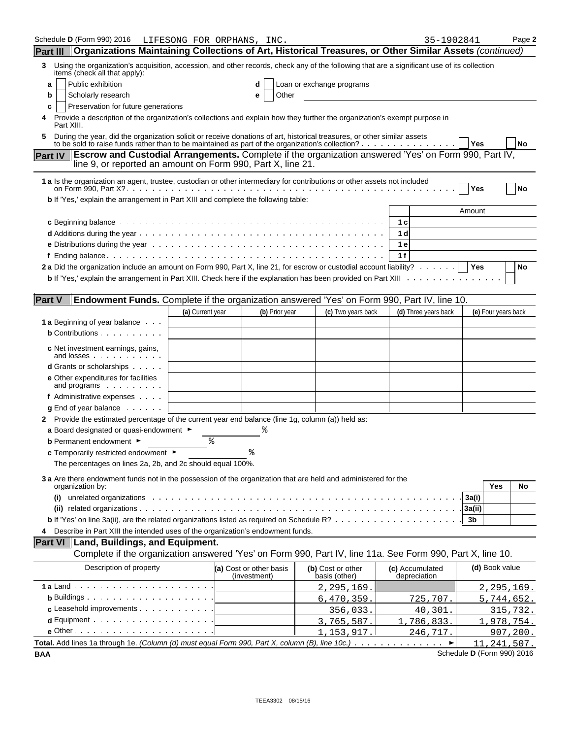| Schedule <b>D</b> (Form 990) 2016                                                                                                                                                            |                  | LIFESONG FOR ORPHANS, INC. |              |                |                                    | 35-1902841                      |        |                     | Page 2          |
|----------------------------------------------------------------------------------------------------------------------------------------------------------------------------------------------|------------------|----------------------------|--------------|----------------|------------------------------------|---------------------------------|--------|---------------------|-----------------|
| Organizations Maintaining Collections of Art, Historical Treasures, or Other Similar Assets (continued)<br><b>Part III</b>                                                                   |                  |                            |              |                |                                    |                                 |        |                     |                 |
| Using the organization's acquisition, accession, and other records, check any of the following that are a significant use of its collection<br>3<br>items (check all that apply):            |                  |                            |              |                |                                    |                                 |        |                     |                 |
| Public exhibition<br>a                                                                                                                                                                       |                  |                            | d            |                | Loan or exchange programs          |                                 |        |                     |                 |
| Scholarly research<br>b                                                                                                                                                                      |                  |                            | е            | Other          |                                    |                                 |        |                     |                 |
| Preservation for future generations<br>c                                                                                                                                                     |                  |                            |              |                |                                    |                                 |        |                     |                 |
| Provide a description of the organization's collections and explain how they further the organization's exempt purpose in<br>4<br>Part XIII.                                                 |                  |                            |              |                |                                    |                                 |        |                     |                 |
| During the year, did the organization solicit or receive donations of art, historical treasures, or other similar assets                                                                     |                  |                            |              |                |                                    |                                 | Yes    |                     | <b>No</b>       |
| <b>Escrow and Custodial Arrangements.</b> Complete if the organization answered 'Yes' on Form 990, Part IV,<br><b>Part IV</b><br>line 9, or reported an amount on Form 990, Part X, line 21. |                  |                            |              |                |                                    |                                 |        |                     |                 |
| 1 a Is the organization an agent, trustee, custodian or other intermediary for contributions or other assets not included                                                                    |                  |                            |              |                |                                    |                                 | Yes    |                     | <b>No</b>       |
| b If 'Yes,' explain the arrangement in Part XIII and complete the following table:                                                                                                           |                  |                            |              |                |                                    |                                 |        |                     |                 |
|                                                                                                                                                                                              |                  |                            |              |                |                                    |                                 | Amount |                     |                 |
|                                                                                                                                                                                              |                  |                            |              |                |                                    | 1 c                             |        |                     |                 |
|                                                                                                                                                                                              |                  |                            |              |                |                                    | 1 d                             |        |                     |                 |
|                                                                                                                                                                                              |                  |                            |              |                |                                    | 1 e<br>1f                       |        |                     |                 |
| 2 a Did the organization include an amount on Form 990, Part X, line 21, for escrow or custodial account liability?                                                                          |                  |                            |              |                |                                    |                                 | Yes    |                     | No              |
| b If 'Yes,' explain the arrangement in Part XIII. Check here if the explanation has been provided on Part XIII                                                                               |                  |                            |              |                |                                    |                                 |        |                     |                 |
|                                                                                                                                                                                              |                  |                            |              |                |                                    |                                 |        |                     |                 |
| <b>Part V</b><br>Endowment Funds. Complete if the organization answered 'Yes' on Form 990, Part IV, line 10.                                                                                 |                  |                            |              |                |                                    |                                 |        |                     |                 |
|                                                                                                                                                                                              | (a) Current year |                            |              | (b) Prior year | (c) Two years back                 | (d) Three years back            |        | (e) Four years back |                 |
| <b>1 a</b> Beginning of year balance                                                                                                                                                         |                  |                            |              |                |                                    |                                 |        |                     |                 |
| <b>b</b> Contributions $\cdots$                                                                                                                                                              |                  |                            |              |                |                                    |                                 |        |                     |                 |
| c Net investment earnings, gains,<br>and losses                                                                                                                                              |                  |                            |              |                |                                    |                                 |        |                     |                 |
| <b>d</b> Grants or scholarships                                                                                                                                                              |                  |                            |              |                |                                    |                                 |        |                     |                 |
| <b>e</b> Other expenditures for facilities<br>and programs                                                                                                                                   |                  |                            |              |                |                                    |                                 |        |                     |                 |
| f Administrative expenses                                                                                                                                                                    |                  |                            |              |                |                                    |                                 |        |                     |                 |
| $g$ End of year balance $\cdots$                                                                                                                                                             |                  |                            |              |                |                                    |                                 |        |                     |                 |
| 2 Provide the estimated percentage of the current year end balance (line 1g, column (a)) held as:                                                                                            |                  |                            |              |                |                                    |                                 |        |                     |                 |
| a Board designated or quasi-endowment $\blacktriangleright$                                                                                                                                  |                  |                            |              |                |                                    |                                 |        |                     |                 |
| <b>b</b> Permanent endowment ►                                                                                                                                                               | နွ               |                            |              |                |                                    |                                 |        |                     |                 |
| c Temporarily restricted endowment ►<br>The percentages on lines 2a, 2b, and 2c should equal 100%.                                                                                           |                  |                            |              |                |                                    |                                 |        |                     |                 |
|                                                                                                                                                                                              |                  |                            |              |                |                                    |                                 |        |                     |                 |
| 3 a Are there endowment funds not in the possession of the organization that are held and administered for the<br>organization by:                                                           |                  |                            |              |                |                                    |                                 |        | Yes                 | No              |
| (i)                                                                                                                                                                                          |                  |                            |              |                |                                    |                                 | 3a(i)  |                     |                 |
|                                                                                                                                                                                              |                  |                            |              |                |                                    |                                 | 3a(ii) |                     |                 |
|                                                                                                                                                                                              |                  |                            |              |                |                                    |                                 | 3b     |                     |                 |
| Describe in Part XIII the intended uses of the organization's endowment funds.<br>4                                                                                                          |                  |                            |              |                |                                    |                                 |        |                     |                 |
| <b>Part VI</b><br>Land, Buildings, and Equipment.                                                                                                                                            |                  |                            |              |                |                                    |                                 |        |                     |                 |
| Complete if the organization answered 'Yes' on Form 990, Part IV, line 11a. See Form 990, Part X, line 10.                                                                                   |                  |                            |              |                |                                    |                                 |        |                     |                 |
| Description of property                                                                                                                                                                      |                  | (a) Cost or other basis    | (investment) |                | (b) Cost or other<br>basis (other) | (c) Accumulated<br>depreciation |        | (d) Book value      |                 |
|                                                                                                                                                                                              |                  |                            |              |                | 2,295,169.                         |                                 |        | 2,295,169.          |                 |
| <b>b</b> Buildings $\cdots$ $\cdots$ $\cdots$ $\cdots$ $\cdots$ $\cdots$                                                                                                                     |                  |                            |              |                | 6,470,359.                         | 725,707                         |        | 5,744,652.          |                 |
| $c$ Leasehold improvements $\cdots$                                                                                                                                                          |                  |                            |              |                | 356,033.                           | 40,301                          |        |                     | <u>315,732.</u> |
| $d$ Equipment $\cdots$ $\cdots$ $\cdots$ $\cdots$ $\cdots$ $\cdots$ $\cdots$                                                                                                                 |                  |                            |              |                | 3,765,587.                         | 1,786,833.                      |        | 1,978,754.          |                 |
| $e$ Other $\cdots$ $\cdots$ $\cdots$ $\cdots$ $\cdots$ $\cdots$ $\cdots$ $\cdots$                                                                                                            |                  |                            |              |                | 1, 153, 917.                       | 246,717                         |        |                     | 907, 200.       |
| Total. Add lines 1a through 1e. (Column (d) must equal Form 990, Part X, column (B), line 10c.)                                                                                              |                  |                            |              |                |                                    |                                 |        | 11, 241, 507.       |                 |

**BAA** Schedule **D** (Form 990) 2016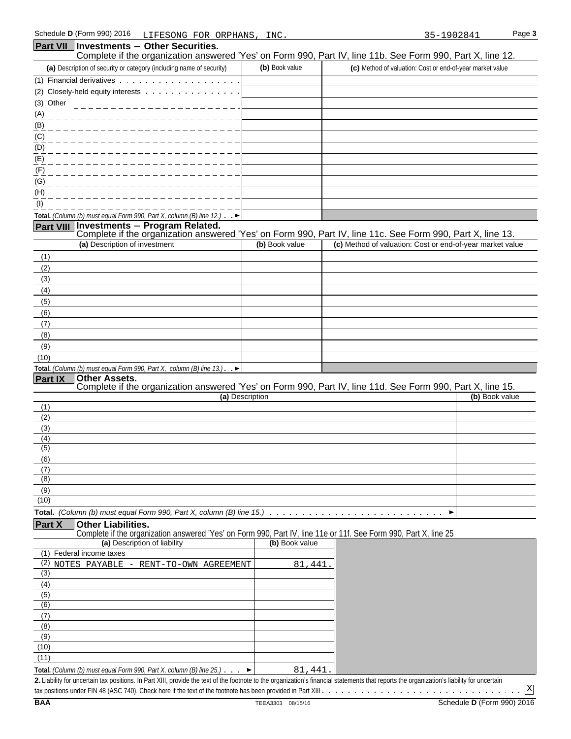| Part VII         | <b>Investments - Other Securities.</b>                                                                                                           |                 | Complete if the organization answered 'Yes' on Form 990, Part IV, line 11b. See Form 990, Part X, line 12.                                          |
|------------------|--------------------------------------------------------------------------------------------------------------------------------------------------|-----------------|-----------------------------------------------------------------------------------------------------------------------------------------------------|
|                  | (a) Description of security or category (including name of security)                                                                             | (b) Book value  | (c) Method of valuation: Cost or end-of-year market value                                                                                           |
|                  | (1) Financial derivatives                                                                                                                        |                 |                                                                                                                                                     |
|                  | (2) Closely-held equity interests                                                                                                                |                 |                                                                                                                                                     |
| (3) Other        |                                                                                                                                                  |                 |                                                                                                                                                     |
| (A)              |                                                                                                                                                  |                 |                                                                                                                                                     |
| (B)              |                                                                                                                                                  |                 |                                                                                                                                                     |
| (C)              |                                                                                                                                                  |                 |                                                                                                                                                     |
| (D)              |                                                                                                                                                  |                 |                                                                                                                                                     |
| (E)              |                                                                                                                                                  |                 |                                                                                                                                                     |
| (F)              |                                                                                                                                                  |                 |                                                                                                                                                     |
| (G)              |                                                                                                                                                  |                 |                                                                                                                                                     |
| (H)              |                                                                                                                                                  |                 |                                                                                                                                                     |
| (1)              |                                                                                                                                                  |                 |                                                                                                                                                     |
|                  | Total. (Column (b) must equal Form 990, Part X, column (B) line 12.) $\rightarrow$                                                               |                 |                                                                                                                                                     |
| <b>Part VIII</b> |                                                                                                                                                  |                 | <b>Investments - Program Related.</b><br>Complete if the organization answered 'Yes' on Form 990, Part IV, line 11c. See Form 990, Part X, line 13. |
|                  | (a) Description of investment                                                                                                                    | (b) Book value  | (c) Method of valuation: Cost or end-of-year market value                                                                                           |
| (1)              |                                                                                                                                                  |                 |                                                                                                                                                     |
| (2)              |                                                                                                                                                  |                 |                                                                                                                                                     |
| (3)              |                                                                                                                                                  |                 |                                                                                                                                                     |
| (4)              |                                                                                                                                                  |                 |                                                                                                                                                     |
| (5)              |                                                                                                                                                  |                 |                                                                                                                                                     |
| (6)<br>(7)       |                                                                                                                                                  |                 |                                                                                                                                                     |
| (8)              |                                                                                                                                                  |                 |                                                                                                                                                     |
| (9)              |                                                                                                                                                  |                 |                                                                                                                                                     |
| (10)             |                                                                                                                                                  |                 |                                                                                                                                                     |
|                  | Total. (Column (b) must equal Form 990, Part X, column (B) line $13$ .). $\blacktriangleright$                                                   |                 |                                                                                                                                                     |
| Part IX          | <b>Other Assets.</b>                                                                                                                             |                 |                                                                                                                                                     |
|                  |                                                                                                                                                  | (a) Description | Complete if the organization answered 'Yes' on Form 990, Part IV, line 11d. See Form 990, Part X, line 15.<br>(b) Book value                        |
| (1)              |                                                                                                                                                  |                 |                                                                                                                                                     |
| (2)              |                                                                                                                                                  |                 |                                                                                                                                                     |
| (3)              |                                                                                                                                                  |                 |                                                                                                                                                     |
| (4)              |                                                                                                                                                  |                 |                                                                                                                                                     |
| (5)              |                                                                                                                                                  |                 |                                                                                                                                                     |
| (6)              |                                                                                                                                                  |                 |                                                                                                                                                     |
| (7)<br>(8)       |                                                                                                                                                  |                 |                                                                                                                                                     |
| (9)              |                                                                                                                                                  |                 |                                                                                                                                                     |
| (10)             |                                                                                                                                                  |                 |                                                                                                                                                     |
|                  | Total. (Column (b) must equal Form 990, Part X, column (B) line $15.$ ) $\ldots$                                                                 |                 | ▶                                                                                                                                                   |
| <b>Part X</b>    | <b>Other Liabilities.</b>                                                                                                                        |                 |                                                                                                                                                     |
|                  | Complete if the organization answered 'Yes' on Form 990, Part IV, line 11e or 11f. See Form 990, Part X, line 25<br>(a) Description of liability | (b) Book value  |                                                                                                                                                     |
|                  | (1) Federal income taxes                                                                                                                         |                 |                                                                                                                                                     |
|                  | (2) NOTES PAYABLE - RENT-TO-OWN AGREEMENT                                                                                                        | 81,441          |                                                                                                                                                     |
| $\overline{3}$   |                                                                                                                                                  |                 |                                                                                                                                                     |
| (4)              |                                                                                                                                                  |                 |                                                                                                                                                     |
| (5)              |                                                                                                                                                  |                 |                                                                                                                                                     |
| (6)              |                                                                                                                                                  |                 |                                                                                                                                                     |
| (7)<br>(8)       |                                                                                                                                                  |                 |                                                                                                                                                     |
| (9)              |                                                                                                                                                  |                 |                                                                                                                                                     |
| (10)             |                                                                                                                                                  |                 |                                                                                                                                                     |
| (11)             |                                                                                                                                                  |                 |                                                                                                                                                     |
|                  | Total. (Column (b) must equal Form 990, Part X, column (B) line 25.) $\ldots$                                                                    | 81,441          |                                                                                                                                                     |

**Total.** *(Column (b) must equal Form 990, Part X, column (B) line 25.)*  $\cdot \cdot \cdot$ **2.** Liability for uncertain tax positions. In Part XIII, provide the text of the footnote to the organization's financial statements that reports the organization's liability for uncertain tax positions under FIN 48 (ASC 740). Check here if the text of the footnote has been provided in Part XIII  $\dots\dots\dots\dots\dots\dots\dots\dots\dots\dots\dots\dots\dots\dots\dots$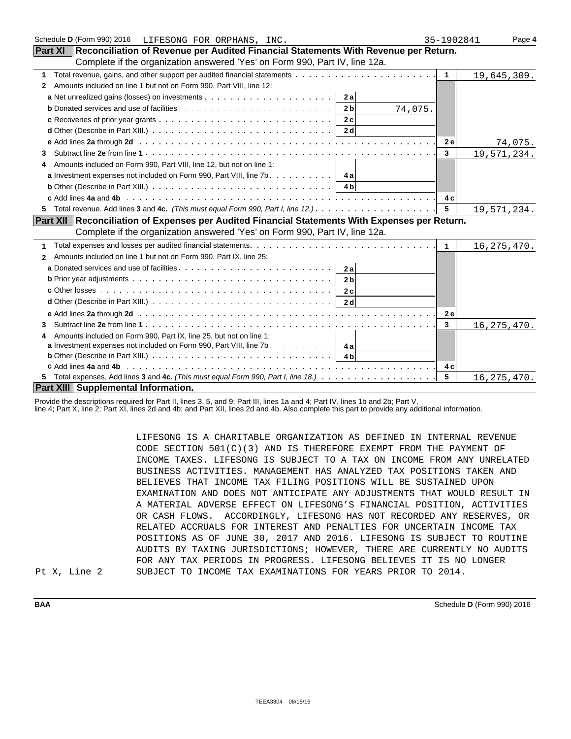| Schedule D (Form 990) 2016<br>LIFESONG FOR ORPHANS, INC.                                                                                                | 35-1902841           | Page 4        |
|---------------------------------------------------------------------------------------------------------------------------------------------------------|----------------------|---------------|
| Reconciliation of Revenue per Audited Financial Statements With Revenue per Return.<br><b>Part XI</b>                                                   |                      |               |
| Complete if the organization answered 'Yes' on Form 990, Part IV, line 12a.                                                                             |                      |               |
| 1                                                                                                                                                       | $\mathbf{1}$         | 19,645,309.   |
| Amounts included on line 1 but not on Form 990, Part VIII, line 12:<br>2                                                                                |                      |               |
| 2a                                                                                                                                                      |                      |               |
| <b>b</b> Donated services and use of facilities $\ldots$ , $\ldots$ , $\ldots$ , $\ldots$ , $\ldots$ , $\ldots$ , $\ldots$<br>2 <sub>b</sub><br>74,075. |                      |               |
| 2c                                                                                                                                                      |                      |               |
| 2d                                                                                                                                                      |                      |               |
|                                                                                                                                                         | 2e                   | 74,075.       |
| 3                                                                                                                                                       | 3                    | 19,571,234.   |
| Amounts included on Form 990, Part VIII, line 12, but not on line 1:<br>4                                                                               |                      |               |
| <b>a</b> Investment expenses not included on Form 990, Part VIII, line $7b$                                                                             |                      |               |
| <b>b</b> Other (Describe in Part XIII.) $\ldots \ldots \ldots \ldots \ldots \ldots \ldots \ldots \ldots \ldots \ldots \ldots$                           |                      |               |
|                                                                                                                                                         | 4 c                  |               |
| Total revenue. Add lines 3 and 4c. (This must equal Form 990, Part I, line 12.) $\ldots \ldots \ldots \ldots \ldots$<br>5.                              | $5\phantom{.0}$      | 19,571,234.   |
| Part XII Reconciliation of Expenses per Audited Financial Statements With Expenses per Return.                                                          |                      |               |
| Complete if the organization answered 'Yes' on Form 990, Part IV, line 12a.                                                                             |                      |               |
| 1                                                                                                                                                       | $\blacktriangleleft$ | 16, 275, 470. |
| Amounts included on line 1 but not on Form 990, Part IX, line 25:<br>2                                                                                  |                      |               |
| 2a                                                                                                                                                      |                      |               |
| 2 <sub>b</sub>                                                                                                                                          |                      |               |
| 2c                                                                                                                                                      |                      |               |
| 2d                                                                                                                                                      |                      |               |
|                                                                                                                                                         | 2e                   |               |
| 3                                                                                                                                                       | $\mathbf{3}$         | 16, 275, 470. |
| Amounts included on Form 990, Part IX, line 25, but not on line 1:                                                                                      |                      |               |
| <b>a</b> Investment expenses not included on Form 990, Part VIII, line 7b. $\dots$ 4a                                                                   |                      |               |
| <b>b</b> Other (Describe in Part XIII.) $\ldots \ldots \ldots \ldots \ldots \ldots \ldots \ldots \ldots \ldots$<br>4 <sub>h</sub>                       |                      |               |
|                                                                                                                                                         | 4 c                  |               |
|                                                                                                                                                         | 5                    | 16, 275, 470. |
| Part XIII Supplemental Information.                                                                                                                     |                      |               |

Provide the descriptions required for Part II, lines 3, 5, and 9; Part III, lines 1a and 4; Part IV, lines 1b and 2b; Part V,

line 4; Part X, line 2; Part XI, lines 2d and 4b; and Part XII, lines 2d and 4b. Also complete this part to provide any additional information.

LIFESONG IS A CHARITABLE ORGANIZATION AS DEFINED IN INTERNAL REVENUE CODE SECTION 501(C)(3) AND IS THEREFORE EXEMPT FROM THE PAYMENT OF INCOME TAXES. LIFESONG IS SUBJECT TO A TAX ON INCOME FROM ANY UNRELATED BUSINESS ACTIVITIES. MANAGEMENT HAS ANALYZED TAX POSITIONS TAKEN AND BELIEVES THAT INCOME TAX FILING POSITIONS WILL BE SUSTAINED UPON EXAMINATION AND DOES NOT ANTICIPATE ANY ADJUSTMENTS THAT WOULD RESULT IN A MATERIAL ADVERSE EFFECT ON LIFESONG'S FINANCIAL POSITION, ACTIVITIES OR CASH FLOWS. ACCORDINGLY, LIFESONG HAS NOT RECORDED ANY RESERVES, OR RELATED ACCRUALS FOR INTEREST AND PENALTIES FOR UNCERTAIN INCOME TAX POSITIONS AS OF JUNE 30, 2017 AND 2016. LIFESONG IS SUBJECT TO ROUTINE AUDITS BY TAXING JURISDICTIONS; HOWEVER, THERE ARE CURRENTLY NO AUDITS FOR ANY TAX PERIODS IN PROGRESS. LIFESONG BELIEVES IT IS NO LONGER SUBJECT TO INCOME TAX EXAMINATIONS FOR YEARS PRIOR TO 2014.

Pt X, Line 2

**BAA** Schedule **D** (Form 990) 2016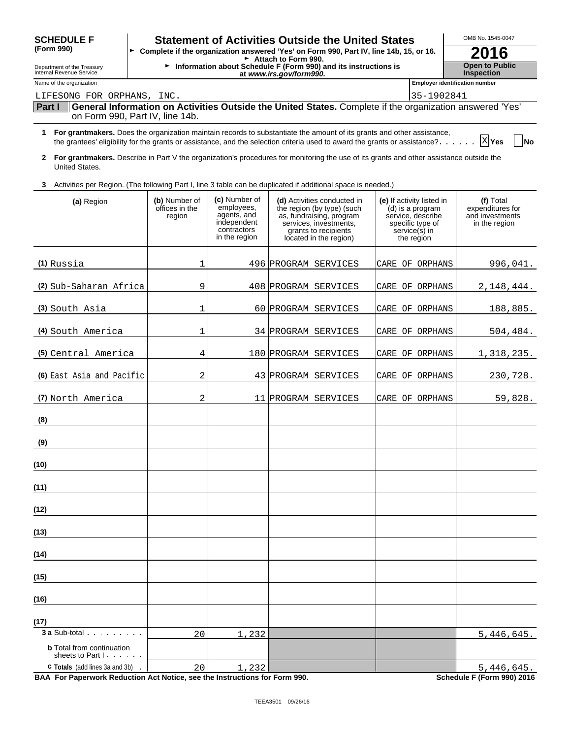| <b>SCHEDULE F</b>                                      |                                            |                                                                                           | <b>Statement of Activities Outside the United States</b>                                                                                                                                                                                               |                                                                                                                       | OMB No. 1545-0047                                                 |
|--------------------------------------------------------|--------------------------------------------|-------------------------------------------------------------------------------------------|--------------------------------------------------------------------------------------------------------------------------------------------------------------------------------------------------------------------------------------------------------|-----------------------------------------------------------------------------------------------------------------------|-------------------------------------------------------------------|
| (Form 990)                                             |                                            |                                                                                           | > Complete if the organization answered 'Yes' on Form 990, Part IV, line 14b, 15, or 16.<br>$\blacktriangleright$ Attach to Form 990.                                                                                                                  |                                                                                                                       | 2016                                                              |
| Department of the Treasury<br>Internal Revenue Service | <b>Open to Public</b><br><b>Inspection</b> |                                                                                           |                                                                                                                                                                                                                                                        |                                                                                                                       |                                                                   |
| Name of the organization                               |                                            |                                                                                           | at www.irs.gov/form990.                                                                                                                                                                                                                                |                                                                                                                       | <b>Employer identification number</b>                             |
| LIFESONG FOR ORPHANS, INC.                             |                                            |                                                                                           |                                                                                                                                                                                                                                                        | 35-1902841                                                                                                            |                                                                   |
| Part I                                                 | on Form 990, Part IV, line 14b.            |                                                                                           | General Information on Activities Outside the United States. Complete if the organization answered 'Yes'                                                                                                                                               |                                                                                                                       |                                                                   |
|                                                        |                                            |                                                                                           | 1 For grantmakers. Does the organization maintain records to substantiate the amount of its grants and other assistance,<br>the grantees' eligibility for the grants or assistance, and the selection criteria used to award the grants or assistance? |                                                                                                                       | X Yes<br><b>No</b>                                                |
| United States.                                         |                                            |                                                                                           | 2 For grantmakers. Describe in Part V the organization's procedures for monitoring the use of its grants and other assistance outside the                                                                                                              |                                                                                                                       |                                                                   |
| 3                                                      |                                            |                                                                                           | Activities per Region. (The following Part I, line 3 table can be duplicated if additional space is needed.)                                                                                                                                           |                                                                                                                       |                                                                   |
| (a) Region                                             | (b) Number of<br>offices in the<br>region  | (c) Number of<br>employees,<br>agents, and<br>independent<br>contractors<br>in the region | (d) Activities conducted in<br>the region (by type) (such<br>as, fundraising, program<br>services, investments,<br>grants to recipients<br>located in the region)                                                                                      | (e) If activity listed in<br>(d) is a program<br>service, describe<br>specific type of<br>service(s) in<br>the region | (f) Total<br>expenditures for<br>and investments<br>in the region |
| $(1)$ Russia                                           | $\mathbf{1}$                               |                                                                                           | 496 PROGRAM SERVICES                                                                                                                                                                                                                                   | CARE OF<br>ORPHANS                                                                                                    | 996,041.                                                          |
| (2) Sub-Saharan Africa                                 | 9                                          |                                                                                           | 408 PROGRAM SERVICES                                                                                                                                                                                                                                   | ORPHANS<br>CARE OF                                                                                                    | 2,148,444.                                                        |
| (3) South Asia                                         | $\mathbf{1}$                               |                                                                                           | 60 PROGRAM SERVICES                                                                                                                                                                                                                                    | ORPHANS<br>CARE OF                                                                                                    | 188,885.                                                          |
| (4) South America                                      | 1                                          |                                                                                           | 34 PROGRAM SERVICES                                                                                                                                                                                                                                    | ORPHANS<br>CARE OF                                                                                                    | 504,484.                                                          |
| (5) Central America                                    | 4                                          |                                                                                           | 180 PROGRAM SERVICES                                                                                                                                                                                                                                   | ORPHANS<br>CARE OF                                                                                                    | 1,318,235.                                                        |
| (6) East Asia and Pacific                              | 2                                          |                                                                                           | 43 PROGRAM SERVICES                                                                                                                                                                                                                                    | CARE OF<br>ORPHANS                                                                                                    | 230,728.                                                          |
| (7) North America                                      | 2                                          |                                                                                           | 11 PROGRAM SERVICES                                                                                                                                                                                                                                    | CARE OF ORPHANS                                                                                                       | 59,828.                                                           |
| (8)                                                    |                                            |                                                                                           |                                                                                                                                                                                                                                                        |                                                                                                                       |                                                                   |
| (9)                                                    |                                            |                                                                                           |                                                                                                                                                                                                                                                        |                                                                                                                       |                                                                   |
| (10)                                                   |                                            |                                                                                           |                                                                                                                                                                                                                                                        |                                                                                                                       |                                                                   |
| (11)                                                   |                                            |                                                                                           |                                                                                                                                                                                                                                                        |                                                                                                                       |                                                                   |
| (12)                                                   |                                            |                                                                                           |                                                                                                                                                                                                                                                        |                                                                                                                       |                                                                   |
| (13)                                                   |                                            |                                                                                           |                                                                                                                                                                                                                                                        |                                                                                                                       |                                                                   |
| (14)                                                   |                                            |                                                                                           |                                                                                                                                                                                                                                                        |                                                                                                                       |                                                                   |
| (15)                                                   |                                            |                                                                                           |                                                                                                                                                                                                                                                        |                                                                                                                       |                                                                   |
| (16)                                                   |                                            |                                                                                           |                                                                                                                                                                                                                                                        |                                                                                                                       |                                                                   |
| (17)<br><b>3 a Sub-total</b>                           | 20                                         |                                                                                           |                                                                                                                                                                                                                                                        |                                                                                                                       |                                                                   |
| <b>b</b> Total from continuation<br>sheets to Part I.  |                                            | 1,232                                                                                     |                                                                                                                                                                                                                                                        |                                                                                                                       | 5,446,645.                                                        |
| <b>c</b> Totals (add lines 3a and 3b)                  | 20                                         | 1,232                                                                                     |                                                                                                                                                                                                                                                        |                                                                                                                       | 5,446,645.                                                        |

**BAA For Paperwork Reduction Act Notice, see the Instructions for Form 990. Schedule F (Form 990) 2016**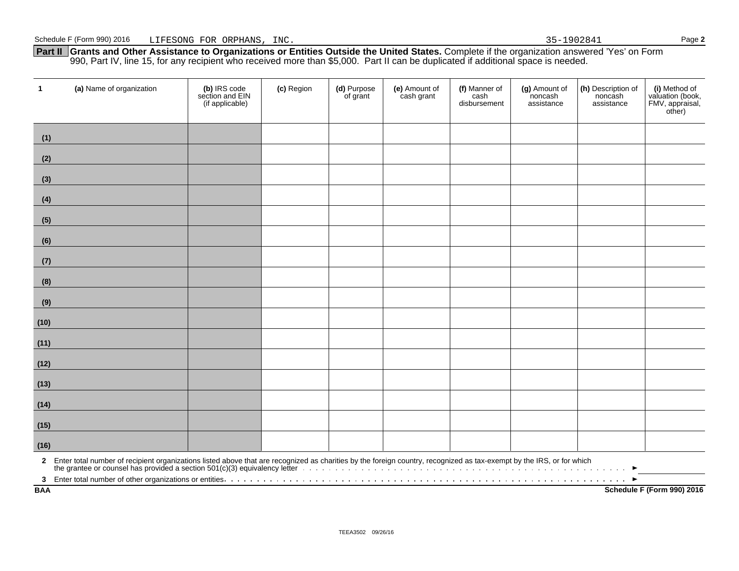**Part II Grants and Other Assistance to Organizations or Entities Outside the United States.** Complete if the organization answered 'Yes' on Form 990, Part IV, line 15, for any recipient who received more than \$5,000. Part II can be duplicated if additional space is needed.

| $\mathbf{1}$              | (a) Name of organization                                                                                                                                                | (b) IRS code<br>section and EIN<br>(if applicable) | (c) Region | (d) Purpose<br>of grant | (e) Amount of<br>cash grant | (f) Manner of<br>cash<br>disbursement | (g) Amount of<br>noncash<br>assistance | (h) Description of<br>noncash<br>assistance | (i) Method of<br>valuation (book,<br>FMV, appraisal,<br>other) |
|---------------------------|-------------------------------------------------------------------------------------------------------------------------------------------------------------------------|----------------------------------------------------|------------|-------------------------|-----------------------------|---------------------------------------|----------------------------------------|---------------------------------------------|----------------------------------------------------------------|
| (1)                       |                                                                                                                                                                         |                                                    |            |                         |                             |                                       |                                        |                                             |                                                                |
| (2)                       |                                                                                                                                                                         |                                                    |            |                         |                             |                                       |                                        |                                             |                                                                |
| (3)                       |                                                                                                                                                                         |                                                    |            |                         |                             |                                       |                                        |                                             |                                                                |
| (4)                       |                                                                                                                                                                         |                                                    |            |                         |                             |                                       |                                        |                                             |                                                                |
| (5)                       |                                                                                                                                                                         |                                                    |            |                         |                             |                                       |                                        |                                             |                                                                |
| (6)                       |                                                                                                                                                                         |                                                    |            |                         |                             |                                       |                                        |                                             |                                                                |
| (7)                       |                                                                                                                                                                         |                                                    |            |                         |                             |                                       |                                        |                                             |                                                                |
| (8)                       |                                                                                                                                                                         |                                                    |            |                         |                             |                                       |                                        |                                             |                                                                |
| (9)                       |                                                                                                                                                                         |                                                    |            |                         |                             |                                       |                                        |                                             |                                                                |
| (10)                      |                                                                                                                                                                         |                                                    |            |                         |                             |                                       |                                        |                                             |                                                                |
| (11)                      |                                                                                                                                                                         |                                                    |            |                         |                             |                                       |                                        |                                             |                                                                |
| (12)                      |                                                                                                                                                                         |                                                    |            |                         |                             |                                       |                                        |                                             |                                                                |
| (13)                      |                                                                                                                                                                         |                                                    |            |                         |                             |                                       |                                        |                                             |                                                                |
| (14)                      |                                                                                                                                                                         |                                                    |            |                         |                             |                                       |                                        |                                             |                                                                |
| (15)                      |                                                                                                                                                                         |                                                    |            |                         |                             |                                       |                                        |                                             |                                                                |
| (16)                      |                                                                                                                                                                         |                                                    |            |                         |                             |                                       |                                        |                                             |                                                                |
|                           | 2 Enter total number of recipient organizations listed above that are recognized as charities by the foreign country, recognized as tax-exempt by the IRS, or for which |                                                    |            |                         |                             |                                       |                                        |                                             |                                                                |
| $3^{\circ}$<br><b>BAA</b> |                                                                                                                                                                         |                                                    |            |                         |                             |                                       |                                        |                                             | Schedule F (Form 990) 2016                                     |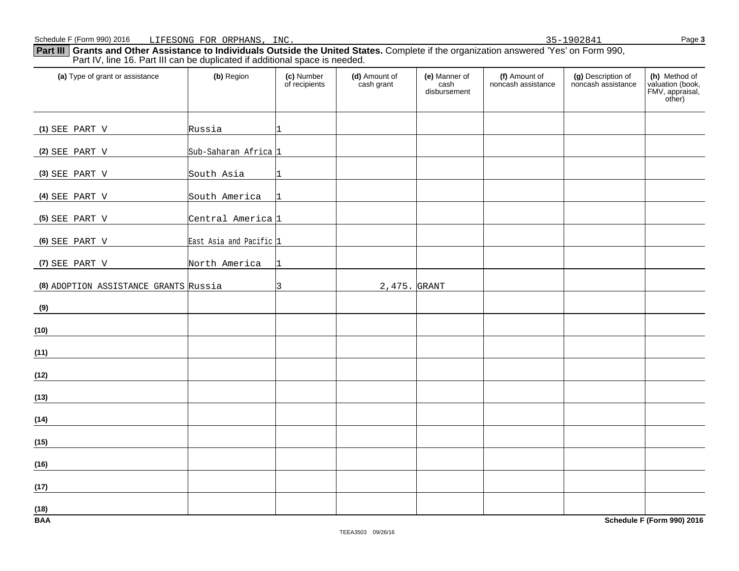**Part III Grants and Other Assistance to Individuals Outside the United States.** Complete if the organization answered 'Yes' on Form 990, Part IV, line 16. Part III can be duplicated if additional space is needed.

| (a) Type of grant or assistance       | (b) Region                   | (c) Number<br>of recipients | (d) Amount of<br>cash grant | (e) Manner of<br>cash<br>disbursement | (f) Amount of<br>noncash assistance | (g) Description of<br>noncash assistance | (h) Method of<br>valuation (book,<br>FMV, appraisal,<br>other) |
|---------------------------------------|------------------------------|-----------------------------|-----------------------------|---------------------------------------|-------------------------------------|------------------------------------------|----------------------------------------------------------------|
| (1) SEE PART V                        | Russia                       | $\mathbf{1}$                |                             |                                       |                                     |                                          |                                                                |
| (2) SEE PART V                        | Sub-Saharan Africa 1         |                             |                             |                                       |                                     |                                          |                                                                |
| (3) SEE PART V                        | South Asia                   | 11                          |                             |                                       |                                     |                                          |                                                                |
| (4) SEE PART V                        | South America                |                             |                             |                                       |                                     |                                          |                                                                |
| (5) SEE PART V                        | Central America <sub>1</sub> |                             |                             |                                       |                                     |                                          |                                                                |
| (6) SEE PART V                        | East Asia and Pacific 1      |                             |                             |                                       |                                     |                                          |                                                                |
| (7) SEE PART V                        | North America                | $\mathbf{1}$                |                             |                                       |                                     |                                          |                                                                |
| (8) ADOPTION ASSISTANCE GRANTS Russia |                              | $\overline{3}$              | 2,475. GRANT                |                                       |                                     |                                          |                                                                |
| (9)                                   |                              |                             |                             |                                       |                                     |                                          |                                                                |
| (10)                                  |                              |                             |                             |                                       |                                     |                                          |                                                                |
| (11)                                  |                              |                             |                             |                                       |                                     |                                          |                                                                |
| (12)                                  |                              |                             |                             |                                       |                                     |                                          |                                                                |
| (13)                                  |                              |                             |                             |                                       |                                     |                                          |                                                                |
| (14)                                  |                              |                             |                             |                                       |                                     |                                          |                                                                |
| (15)                                  |                              |                             |                             |                                       |                                     |                                          |                                                                |
| (16)                                  |                              |                             |                             |                                       |                                     |                                          |                                                                |
| (17)                                  |                              |                             |                             |                                       |                                     |                                          |                                                                |
| (18)<br><b>BAA</b>                    |                              |                             |                             |                                       |                                     |                                          | Schedule F (Form 990) 2016                                     |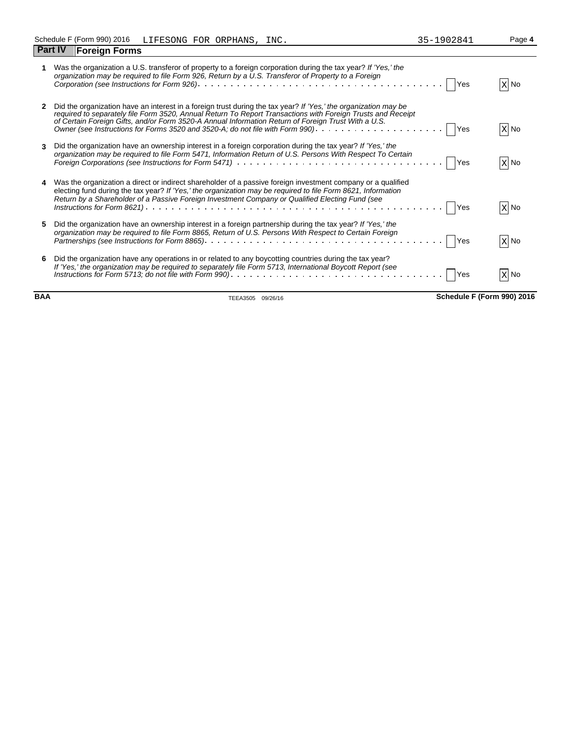|    | Part IV<br>Foreign Forms                                                                                                                                                                                                                                                                                                                                                                                                                                                                         |                              |
|----|--------------------------------------------------------------------------------------------------------------------------------------------------------------------------------------------------------------------------------------------------------------------------------------------------------------------------------------------------------------------------------------------------------------------------------------------------------------------------------------------------|------------------------------|
|    | Was the organization a U.S. transferor of property to a foreign corporation during the tax year? If 'Yes,' the<br>organization may be required to file Form 926, Return by a U.S. Transferor of Property to a Foreign                                                                                                                                                                                                                                                                            | $X$ No                       |
| 2  | Did the organization have an interest in a foreign trust during the tax year? If 'Yes,' the organization may be<br>required to separately file Form 3520, Annual Return To Report Transactions with Foreign Trusts and Receipt<br>of Certain Foreign Gifts, and/or Form 3520-A Annual Information Return of Foreign Trust With a U.S.<br><b>Yes</b>                                                                                                                                              | $\boldsymbol{\mathsf{X}}$ No |
| 3  | Did the organization have an ownership interest in a foreign corporation during the tax year? If 'Yes,' the<br>organization may be required to file Form 5471, Information Return of U.S. Persons With Respect To Certain                                                                                                                                                                                                                                                                        | $X$ No                       |
| 4  | Was the organization a direct or indirect shareholder of a passive foreign investment company or a qualified<br>electing fund during the tax year? If 'Yes,' the organization may be required to file Form 8621, Information<br>Return by a Shareholder of a Passive Foreign Investment Company or Qualified Electing Fund (see<br>Instructions for Form 8621) $\ldots$ $\ldots$ $\ldots$ $\ldots$ $\ldots$ $\ldots$ $\ldots$ $\ldots$ $\ldots$ $\ldots$ $\ldots$ $\ldots$ $\ldots$ $\lceil$ Yes | $X$ No                       |
| 5. | Did the organization have an ownership interest in a foreign partnership during the tax year? If 'Yes,' the<br>organization may be required to file Form 8865, Return of U.S. Persons With Respect to Certain Foreign                                                                                                                                                                                                                                                                            | $X$ No                       |
| 6  | Did the organization have any operations in or related to any boycotting countries during the tax year?<br>If 'Yes,' the organization may be required to separately file Form 5713, International Boycott Report (see<br><b>Yes</b><br>Instructions for Form 5713; do not file with Form 990). $\ldots \ldots \ldots \ldots \ldots \ldots \ldots \ldots \ldots \ldots \ldots \ldots$                                                                                                             | X No                         |

**BAA** TEEA3505 09/26/16 **Schedule F (Form 990) 2016**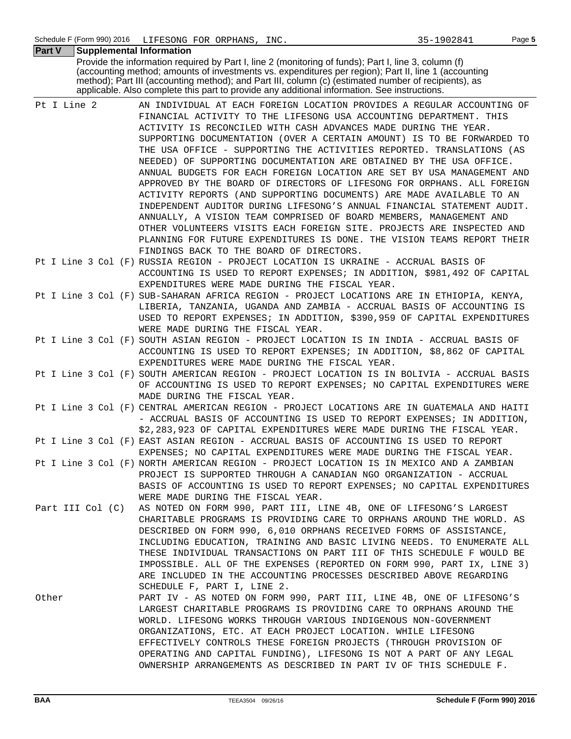| <b>Part V</b><br><b>Supplemental Information</b> |                                                                                                                                                                                                                                                                                                                                                                                                                                                                                                                                                                                                                                                                                                                                                                                                                                                                                                                                                                                                                          |
|--------------------------------------------------|--------------------------------------------------------------------------------------------------------------------------------------------------------------------------------------------------------------------------------------------------------------------------------------------------------------------------------------------------------------------------------------------------------------------------------------------------------------------------------------------------------------------------------------------------------------------------------------------------------------------------------------------------------------------------------------------------------------------------------------------------------------------------------------------------------------------------------------------------------------------------------------------------------------------------------------------------------------------------------------------------------------------------|
|                                                  | Provide the information required by Part I, line 2 (monitoring of funds); Part I, line 3, column (f)<br>(accounting method; amounts of investments vs. expenditures per region); Part II, line 1 (accounting<br>method); Part III (accounting method); and Part III, column (c) (estimated number of recipients), as<br>applicable. Also complete this part to provide any additional information. See instructions.                                                                                                                                                                                                                                                                                                                                                                                                                                                                                                                                                                                                     |
| Pt I Line 2                                      | AN INDIVIDUAL AT EACH FOREIGN LOCATION PROVIDES A REGULAR ACCOUNTING OF<br>FINANCIAL ACTIVITY TO THE LIFESONG USA ACCOUNTING DEPARTMENT. THIS<br>ACTIVITY IS RECONCILED WITH CASH ADVANCES MADE DURING THE YEAR.<br>SUPPORTING DOCUMENTATION (OVER A CERTAIN AMOUNT) IS TO BE FORWARDED TO<br>THE USA OFFICE - SUPPORTING THE ACTIVITIES REPORTED. TRANSLATIONS (AS<br>NEEDED) OF SUPPORTING DOCUMENTATION ARE OBTAINED BY THE USA OFFICE.<br>ANNUAL BUDGETS FOR EACH FOREIGN LOCATION ARE SET BY USA MANAGEMENT AND<br>APPROVED BY THE BOARD OF DIRECTORS OF LIFESONG FOR ORPHANS. ALL FOREIGN<br>ACTIVITY REPORTS (AND SUPPORTING DOCUMENTS) ARE MADE AVAILABLE TO AN<br>INDEPENDENT AUDITOR DURING LIFESONG'S ANNUAL FINANCIAL STATEMENT AUDIT.<br>ANNUALLY, A VISION TEAM COMPRISED OF BOARD MEMBERS, MANAGEMENT AND<br>OTHER VOLUNTEERS VISITS EACH FOREIGN SITE. PROJECTS ARE INSPECTED AND<br>PLANNING FOR FUTURE EXPENDITURES IS DONE. THE VISION TEAMS REPORT THEIR<br>FINDINGS BACK TO THE BOARD OF DIRECTORS. |
|                                                  | Pt I Line 3 Col (F) RUSSIA REGION - PROJECT LOCATION IS UKRAINE - ACCRUAL BASIS OF<br>ACCOUNTING IS USED TO REPORT EXPENSES; IN ADDITION, \$981,492 OF CAPITAL<br>EXPENDITURES WERE MADE DURING THE FISCAL YEAR.                                                                                                                                                                                                                                                                                                                                                                                                                                                                                                                                                                                                                                                                                                                                                                                                         |
|                                                  | Pt I Line 3 Col (F) SUB-SAHARAN AFRICA REGION - PROJECT LOCATIONS ARE IN ETHIOPIA, KENYA,<br>LIBERIA, TANZANIA, UGANDA AND ZAMBIA - ACCRUAL BASIS OF ACCOUNTING IS<br>USED TO REPORT EXPENSES; IN ADDITION, \$390,959 OF CAPITAL EXPENDITURES<br>WERE MADE DURING THE FISCAL YEAR.                                                                                                                                                                                                                                                                                                                                                                                                                                                                                                                                                                                                                                                                                                                                       |
|                                                  | Pt I Line 3 Col (F) SOUTH ASIAN REGION - PROJECT LOCATION IS IN INDIA - ACCRUAL BASIS OF<br>ACCOUNTING IS USED TO REPORT EXPENSES; IN ADDITION, \$8,862 OF CAPITAL<br>EXPENDITURES WERE MADE DURING THE FISCAL YEAR.                                                                                                                                                                                                                                                                                                                                                                                                                                                                                                                                                                                                                                                                                                                                                                                                     |
|                                                  | Pt I Line 3 Col (F) SOUTH AMERICAN REGION - PROJECT LOCATION IS IN BOLIVIA - ACCRUAL BASIS<br>OF ACCOUNTING IS USED TO REPORT EXPENSES; NO CAPITAL EXPENDITURES WERE<br>MADE DURING THE FISCAL YEAR.                                                                                                                                                                                                                                                                                                                                                                                                                                                                                                                                                                                                                                                                                                                                                                                                                     |
|                                                  | Pt I Line 3 Col (F) CENTRAL AMERICAN REGION - PROJECT LOCATIONS ARE IN GUATEMALA AND HAITI<br>- ACCRUAL BASIS OF ACCOUNTING IS USED TO REPORT EXPENSES; IN ADDITION,<br>\$2,283,923 OF CAPITAL EXPENDITURES WERE MADE DURING THE FISCAL YEAR.                                                                                                                                                                                                                                                                                                                                                                                                                                                                                                                                                                                                                                                                                                                                                                            |
|                                                  | Pt I Line 3 Col (F) EAST ASIAN REGION - ACCRUAL BASIS OF ACCOUNTING IS USED TO REPORT<br>EXPENSES; NO CAPITAL EXPENDITURES WERE MADE DURING THE FISCAL YEAR.                                                                                                                                                                                                                                                                                                                                                                                                                                                                                                                                                                                                                                                                                                                                                                                                                                                             |
|                                                  | Pt I Line 3 Col (F) NORTH AMERICAN REGION - PROJECT LOCATION IS IN MEXICO AND A ZAMBIAN<br>PROJECT IS SUPPORTED THROUGH A CANADIAN NGO ORGANIZATION - ACCRUAL<br>BASIS OF ACCOUNTING IS USED TO REPORT EXPENSES; NO CAPITAL EXPENDITURES<br>WERE MADE DURING THE FISCAL YEAR.                                                                                                                                                                                                                                                                                                                                                                                                                                                                                                                                                                                                                                                                                                                                            |
| Part III Col (C)                                 | AS NOTED ON FORM 990, PART III, LINE 4B, ONE OF LIFESONG'S LARGEST<br>CHARITABLE PROGRAMS IS PROVIDING CARE TO ORPHANS AROUND THE WORLD. AS<br>DESCRIBED ON FORM 990, 6,010 ORPHANS RECEIVED FORMS OF ASSISTANCE,<br>INCLUDING EDUCATION, TRAINING AND BASIC LIVING NEEDS. TO ENUMERATE ALL<br>THESE INDIVIDUAL TRANSACTIONS ON PART III OF THIS SCHEDULE F WOULD BE<br>IMPOSSIBLE. ALL OF THE EXPENSES (REPORTED ON FORM 990, PART IX, LINE 3)<br>ARE INCLUDED IN THE ACCOUNTING PROCESSES DESCRIBED ABOVE REGARDING<br>SCHEDULE F, PART I, LINE 2.                                                                                                                                                                                                                                                                                                                                                                                                                                                                     |
| Other                                            | PART IV - AS NOTED ON FORM 990, PART III, LINE 4B, ONE OF LIFESONG'S<br>LARGEST CHARITABLE PROGRAMS IS PROVIDING CARE TO ORPHANS AROUND THE<br>WORLD. LIFESONG WORKS THROUGH VARIOUS INDIGENOUS NON-GOVERNMENT<br>ORGANIZATIONS, ETC. AT EACH PROJECT LOCATION. WHILE LIFESONG<br>EFFECTIVELY CONTROLS THESE FOREIGN PROJECTS (THROUGH PROVISION OF<br>OPERATING AND CAPITAL FUNDING), LIFESONG IS NOT A PART OF ANY LEGAL<br>OWNERSHIP ARRANGEMENTS AS DESCRIBED IN PART IV OF THIS SCHEDULE F.                                                                                                                                                                                                                                                                                                                                                                                                                                                                                                                         |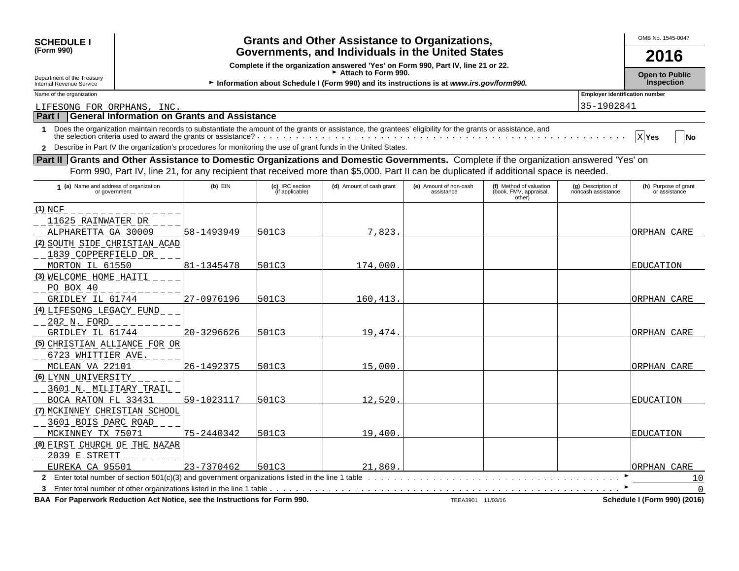| <b>SCHEDULE I</b>                                                                                                                                                                                                                                                                 |                                                                                                         |                                    | <b>Grants and Other Assistance to Organizations,</b>                                    |                                      |                                                             |                                          | OMB No. 1545-0047                          |  |  |
|-----------------------------------------------------------------------------------------------------------------------------------------------------------------------------------------------------------------------------------------------------------------------------------|---------------------------------------------------------------------------------------------------------|------------------------------------|-----------------------------------------------------------------------------------------|--------------------------------------|-------------------------------------------------------------|------------------------------------------|--------------------------------------------|--|--|
| (Form 990)                                                                                                                                                                                                                                                                        | Governments, and Individuals in the United States                                                       |                                    |                                                                                         |                                      |                                                             |                                          |                                            |  |  |
|                                                                                                                                                                                                                                                                                   | Complete if the organization answered 'Yes' on Form 990, Part IV, line 21 or 22.<br>Attach to Form 990. |                                    |                                                                                         |                                      |                                                             |                                          |                                            |  |  |
| Department of the Treasury<br>Internal Revenue Service                                                                                                                                                                                                                            |                                                                                                         |                                    | Information about Schedule I (Form 990) and its instructions is at www.irs.gov/form990. |                                      |                                                             |                                          | <b>Open to Public</b><br><b>Inspection</b> |  |  |
| Name of the organization                                                                                                                                                                                                                                                          |                                                                                                         |                                    |                                                                                         |                                      |                                                             | <b>Employer identification number</b>    |                                            |  |  |
| LIFESONG FOR ORPHANS, INC                                                                                                                                                                                                                                                         |                                                                                                         |                                    |                                                                                         |                                      |                                                             | 35-1902841                               |                                            |  |  |
| <b>Part I General Information on Grants and Assistance</b>                                                                                                                                                                                                                        |                                                                                                         |                                    |                                                                                         |                                      |                                                             |                                          |                                            |  |  |
| Does the organization maintain records to substantiate the amount of the grants or assistance, the grantees' eligibility for the grants or assistance, and<br>$\mathbf{1}$                                                                                                        |                                                                                                         |                                    |                                                                                         |                                      |                                                             |                                          | X Yes<br><b>No</b>                         |  |  |
| Describe in Part IV the organization's procedures for monitoring the use of grant funds in the United States.                                                                                                                                                                     |                                                                                                         |                                    |                                                                                         |                                      |                                                             |                                          |                                            |  |  |
| Part II Grants and Other Assistance to Domestic Organizations and Domestic Governments. Complete if the organization answered 'Yes' on<br>Form 990, Part IV, line 21, for any recipient that received more than \$5,000. Part II can be duplicated if additional space is needed. |                                                                                                         |                                    |                                                                                         |                                      |                                                             |                                          |                                            |  |  |
|                                                                                                                                                                                                                                                                                   |                                                                                                         |                                    |                                                                                         |                                      |                                                             |                                          |                                            |  |  |
| 1 (a) Name and address of organization<br>or government                                                                                                                                                                                                                           | $(b)$ EIN                                                                                               | (c) IRC section<br>(if applicable) | (d) Amount of cash grant                                                                | (e) Amount of non-cash<br>assistance | (f) Method of valuation<br>(book, FMV, appraisal,<br>other) | (g) Description of<br>noncash assistance | (h) Purpose of grant<br>or assistance      |  |  |
| $(1)$ NCF                                                                                                                                                                                                                                                                         |                                                                                                         |                                    |                                                                                         |                                      |                                                             |                                          |                                            |  |  |
| 11625 RAINWATER DR                                                                                                                                                                                                                                                                |                                                                                                         |                                    |                                                                                         |                                      |                                                             |                                          |                                            |  |  |
| ALPHARETTA GA 30009                                                                                                                                                                                                                                                               | 58-1493949                                                                                              | 501C3                              | 7,823                                                                                   |                                      |                                                             |                                          | ORPHAN CARE                                |  |  |
| (2) SOUTH SIDE CHRISTIAN ACAD                                                                                                                                                                                                                                                     |                                                                                                         |                                    |                                                                                         |                                      |                                                             |                                          |                                            |  |  |
| 1839 COPPERFIELD DR                                                                                                                                                                                                                                                               |                                                                                                         |                                    |                                                                                         |                                      |                                                             |                                          |                                            |  |  |
| MORTON IL 61550                                                                                                                                                                                                                                                                   | 81-1345478                                                                                              | 501C3                              | 174,000                                                                                 |                                      |                                                             |                                          | EDUCATION                                  |  |  |
| (3) WELCOME HOME HAITI                                                                                                                                                                                                                                                            |                                                                                                         |                                    |                                                                                         |                                      |                                                             |                                          |                                            |  |  |
| PO BOX 40                                                                                                                                                                                                                                                                         |                                                                                                         |                                    |                                                                                         |                                      |                                                             |                                          |                                            |  |  |
| GRIDLEY IL 61744                                                                                                                                                                                                                                                                  | 27-0976196                                                                                              | 501C3                              | 160.413.                                                                                |                                      |                                                             |                                          | ORPHAN CARE                                |  |  |
| (4) LIFESONG LEGACY FUND                                                                                                                                                                                                                                                          |                                                                                                         |                                    |                                                                                         |                                      |                                                             |                                          |                                            |  |  |
| 202 N. FORD                                                                                                                                                                                                                                                                       |                                                                                                         |                                    |                                                                                         |                                      |                                                             |                                          |                                            |  |  |
| GRIDLEY IL 61744                                                                                                                                                                                                                                                                  | 20-3296626                                                                                              | 501C3                              | 19,474                                                                                  |                                      |                                                             |                                          | ORPHAN CARE                                |  |  |
| (5) CHRISTIAN ALLIANCE FOR OR                                                                                                                                                                                                                                                     |                                                                                                         |                                    |                                                                                         |                                      |                                                             |                                          |                                            |  |  |
| 6723 WHITTIER AVE.                                                                                                                                                                                                                                                                |                                                                                                         |                                    |                                                                                         |                                      |                                                             |                                          |                                            |  |  |
| MCLEAN VA 22101                                                                                                                                                                                                                                                                   | 26-1492375                                                                                              | 501C3                              | 15,000                                                                                  |                                      |                                                             |                                          | ORPHAN CARE                                |  |  |
| (6) LYNN UNIVERSITY                                                                                                                                                                                                                                                               |                                                                                                         |                                    |                                                                                         |                                      |                                                             |                                          |                                            |  |  |
| 3601 N. MILITARY TRAIL                                                                                                                                                                                                                                                            |                                                                                                         |                                    |                                                                                         |                                      |                                                             |                                          |                                            |  |  |
| BOCA RATON FL 33431                                                                                                                                                                                                                                                               | 59-1023117                                                                                              | 501C3                              | 12,520                                                                                  |                                      |                                                             |                                          | EDUCATION                                  |  |  |
| (7) MCKINNEY CHRISTIAN SCHOOL                                                                                                                                                                                                                                                     |                                                                                                         |                                    |                                                                                         |                                      |                                                             |                                          |                                            |  |  |
| 3601 BOIS DARC ROAD                                                                                                                                                                                                                                                               |                                                                                                         |                                    |                                                                                         |                                      |                                                             |                                          |                                            |  |  |
| MCKINNEY TX 75071                                                                                                                                                                                                                                                                 | 75-2440342                                                                                              | 501C3                              | 19,400                                                                                  |                                      |                                                             |                                          | EDUCATION                                  |  |  |
| (8) FIRST CHURCH OF THE NAZAR                                                                                                                                                                                                                                                     |                                                                                                         |                                    |                                                                                         |                                      |                                                             |                                          |                                            |  |  |
| 2039 E STRETT<br>EUREKA CA 95501                                                                                                                                                                                                                                                  | 23-7370462                                                                                              | 501C3                              | 21.869                                                                                  |                                      |                                                             |                                          | ORPHAN CARE                                |  |  |
|                                                                                                                                                                                                                                                                                   |                                                                                                         |                                    |                                                                                         |                                      |                                                             |                                          | 10                                         |  |  |
|                                                                                                                                                                                                                                                                                   |                                                                                                         |                                    |                                                                                         |                                      |                                                             |                                          | $\Omega$                                   |  |  |
| BAA For Paperwork Reduction Act Notice, see the Instructions for Form 990.                                                                                                                                                                                                        |                                                                                                         |                                    |                                                                                         | TEEA3901 11/03/16                    |                                                             |                                          | Schedule I (Form 990) (2016)               |  |  |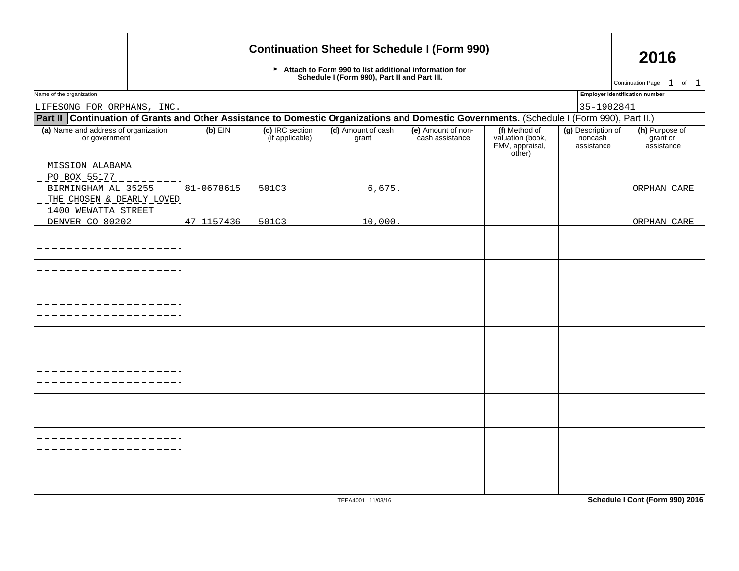## **Continuation Sheet for Schedule I (Form 990) 2016**

Attach to Form 990 to list additional information for **Schedule I (Form 990), Part II and Part III.**

Name of the organization **Employer identification number Employer identification number** 

Continuation Page  $1$  of  $1$ 

LIFESONG FOR ORPHANS, INC. 35-1902841 **Part II Continuation of Grants and Other Assistance to Domestic Organizations and Domestic Governments. (Schedule I (Form 990), Part II.) (a)** Name and address of organization **(b)** EIN **(c)** IRC section **(d)** Amount of cash **(e)** Amount of non- **(f)** Method of **(g)** Description of **(h)** Purpose of orgovernment or government **(b)** EIN **(d)** Amount of cash or government (in the cash assistance | valuation (book, | noncash | grant or | cash assistance | valuation (book, | noncash | grant or FMV, appraisal, assistance assistance other) MISSION ALABAMA PO BOX 55177 BIRMINGHAM AL 35255 81-0678615 501C3 6,675. ORPHAN CARE THE CHOSEN & DEARLY LOVED 1400 WEWATTA STREET DENVER CO 80202 47-1157436 501C3 10,000. ORPHAN CARE j. j. --------j. j. j. j. j. ---------j.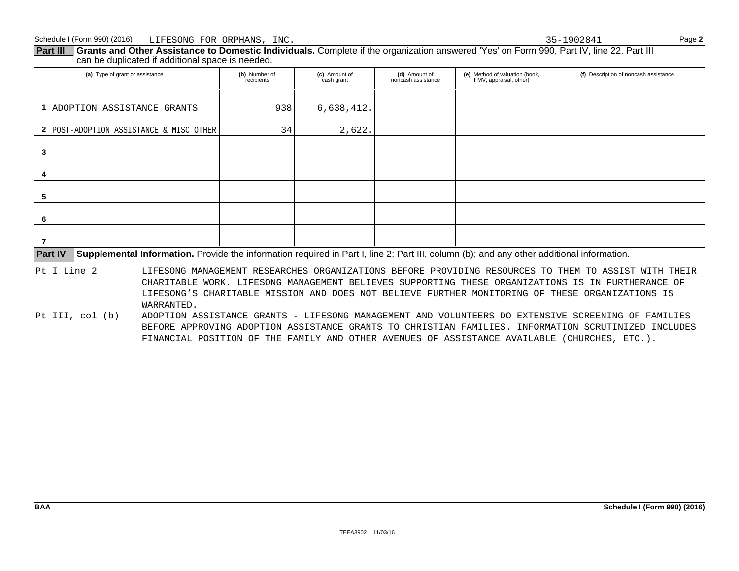### **Part III** Grants and Other Assistance to Domestic Individuals. Complete if the organization answered 'Yes' on Form 990, Part IV, line 22. Part III can be duplicated if additional space is needed.

| (a) Type of grant or assistance                                                                                                                                                                                                       | (b) Number of<br>recipients | (c) Amount of<br>cash grant | (d) Amount of<br>noncash assistance | (e) Method of valuation (book,<br>FMV, appraisal, other) | (f) Description of noncash assistance |  |  |
|---------------------------------------------------------------------------------------------------------------------------------------------------------------------------------------------------------------------------------------|-----------------------------|-----------------------------|-------------------------------------|----------------------------------------------------------|---------------------------------------|--|--|
|                                                                                                                                                                                                                                       |                             |                             |                                     |                                                          |                                       |  |  |
| ADOPTION ASSISTANCE GRANTS                                                                                                                                                                                                            | 938                         | 6,638,412.                  |                                     |                                                          |                                       |  |  |
| 2 POST-ADOPTION ASSISTANCE & MISC OTHER                                                                                                                                                                                               | 34                          | 2,622.                      |                                     |                                                          |                                       |  |  |
| 3                                                                                                                                                                                                                                     |                             |                             |                                     |                                                          |                                       |  |  |
|                                                                                                                                                                                                                                       |                             |                             |                                     |                                                          |                                       |  |  |
| 5                                                                                                                                                                                                                                     |                             |                             |                                     |                                                          |                                       |  |  |
| 6                                                                                                                                                                                                                                     |                             |                             |                                     |                                                          |                                       |  |  |
|                                                                                                                                                                                                                                       |                             |                             |                                     |                                                          |                                       |  |  |
| Supplemental Information. Provide the information required in Part I, line 2; Part III, column (b); and any other additional information.<br><b>Part IV</b>                                                                           |                             |                             |                                     |                                                          |                                       |  |  |
| Pt I Line 2<br>ASSIST WITH THEIR<br>LIFESONG MANAGEMENT RESEARCHES ORGANIZATIONS BEFORE PROVIDING RESOURCES TO<br>THEM<br>TO.<br>IN FURTHERANCE OF<br>CHARITABLE WORK. LIFESONG MANAGEMENT BELIEVES SUPPORTING THESE ORGANIZATIONS IS |                             |                             |                                     |                                                          |                                       |  |  |

LIFESONG'S CHARITABLE MISSION AND DOES NOT BELIEVE FURTHER MONITORING OF THESE ORGANIZATIONS IS WARRANTED.

### Pt III, col (b) ADOPTION ASSISTANCE GRANTS - LIFESONG MANAGEMENT AND VOLUNTEERS DO EXTENSIVE SCREENING OF FAMILIES BEFORE APPROVING ADOPTION ASSISTANCE GRANTS TO CHRISTIAN FAMILIES. INFORMATION SCRUTINIZED INCLUDES FINANCIAL POSITION OF THE FAMILY AND OTHER AVENUES OF ASSISTANCE AVAILABLE (CHURCHES, ETC.).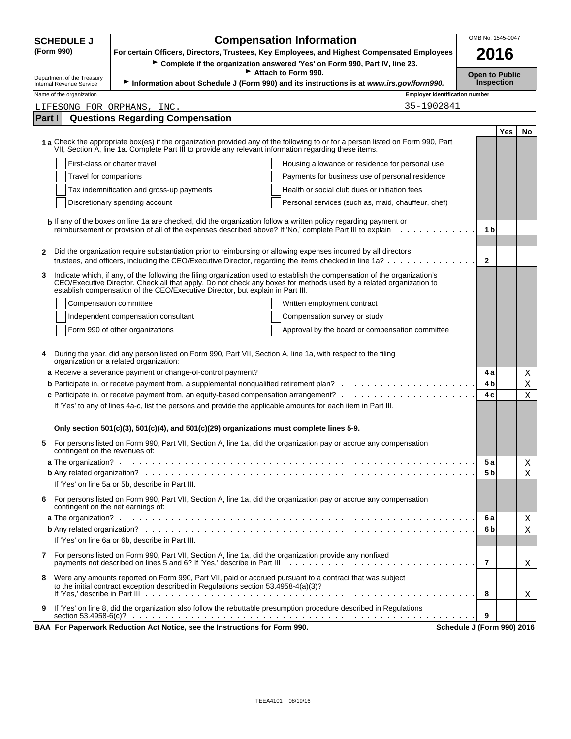| <b>SCHEDULE J</b>         |  |
|---------------------------|--|
| $\mathbf{r}$ $\mathbf{r}$ |  |

LIFESONG FOR ORPHANS, INC.

**COMPENSAtion Information**<br>(Form 990) For certain Officers, Directors, Trustees, Key Employees, and Highest Compensated Employees **2016** 

For certain Officers, Directors, Trustees, Key Employees, and Highest Compensated Employees<br> **EXECUTE:**<br> **EXECUTE:**<br> **EXECUTE:**<br> **EXECUTE:**<br> **EXECUTE:**<br> **EXECUTE:**<br> **EXECUTE:**<br> **EXECUTE:**<br> **EXECUTE:**<br> **EXECUTE:**<br> **EXECUTE:** Attach to Form 990.

| Department of the Treasury<br>Internal Revenue Service | Allach lu Furni 990.                                                                    |
|--------------------------------------------------------|-----------------------------------------------------------------------------------------|
|                                                        | Information about Schedule J (Form 990) and its instructions is at www.irs.gov/form990. |
|                                                        |                                                                                         |

| Name of the organization                    |      | <b>Employer identification number</b> |  |
|---------------------------------------------|------|---------------------------------------|--|
| ORPHANS<br><b>FOR</b><br>LIFESONG<br>.<br>. | TNC. | $\alpha$<br>$\sqrt{ }$<br>$\times 4$  |  |

| Part I | <b>Questions Regarding Compensation</b>                                                                                                                                                                                                                                                                                           |                |            |    |
|--------|-----------------------------------------------------------------------------------------------------------------------------------------------------------------------------------------------------------------------------------------------------------------------------------------------------------------------------------|----------------|------------|----|
|        |                                                                                                                                                                                                                                                                                                                                   |                | <b>Yes</b> | No |
|        | 1 a Check the appropriate box(es) if the organization provided any of the following to or for a person listed on Form 990, Part<br>VII, Section A, line 1a. Complete Part III to provide any relevant information regarding these items.                                                                                          |                |            |    |
|        | First-class or charter travel<br>Housing allowance or residence for personal use                                                                                                                                                                                                                                                  |                |            |    |
|        | Travel for companions<br>Payments for business use of personal residence                                                                                                                                                                                                                                                          |                |            |    |
|        | Tax indemnification and gross-up payments<br>Health or social club dues or initiation fees                                                                                                                                                                                                                                        |                |            |    |
|        | Discretionary spending account<br>Personal services (such as, maid, chauffeur, chef)                                                                                                                                                                                                                                              |                |            |    |
|        | <b>b</b> If any of the boxes on line 1a are checked, did the organization follow a written policy regarding payment or<br>reimbursement or provision of all of the expenses described above? If 'No,' complete Part III to explain                                                                                                | 1 b            |            |    |
| 2      | Did the organization require substantiation prior to reimbursing or allowing expenses incurred by all directors,<br>trustees, and officers, including the CEO/Executive Director, regarding the items checked in line 1a?                                                                                                         | $\mathbf{2}$   |            |    |
| 3      | Indicate which, if any, of the following the filing organization used to establish the compensation of the organization's<br>CEO/Executive Director. Check all that apply. Do not check any boxes for methods used by a related organization to<br>establish compensation of the CEO/Executive Director, but explain in Part III. |                |            |    |
|        | Compensation committee<br>Written employment contract                                                                                                                                                                                                                                                                             |                |            |    |
|        | Independent compensation consultant<br>Compensation survey or study                                                                                                                                                                                                                                                               |                |            |    |
|        | Form 990 of other organizations<br>Approval by the board or compensation committee                                                                                                                                                                                                                                                |                |            |    |
| 4      | During the year, did any person listed on Form 990, Part VII, Section A, line 1a, with respect to the filing<br>organization or a related organization.                                                                                                                                                                           |                |            |    |
|        |                                                                                                                                                                                                                                                                                                                                   | 4 a            |            | Χ  |
|        |                                                                                                                                                                                                                                                                                                                                   | 4 <sub>b</sub> |            | Χ  |
|        |                                                                                                                                                                                                                                                                                                                                   | 4 c            |            | Χ  |
|        | If 'Yes' to any of lines 4a-c, list the persons and provide the applicable amounts for each item in Part III.                                                                                                                                                                                                                     |                |            |    |
|        | Only section 501(c)(3), 501(c)(4), and 501(c)(29) organizations must complete lines 5-9.                                                                                                                                                                                                                                          |                |            |    |
| 5      | For persons listed on Form 990, Part VII, Section A, line 1a, did the organization pay or accrue any compensation<br>contingent on the revenues of:                                                                                                                                                                               |                |            |    |
|        |                                                                                                                                                                                                                                                                                                                                   | 5 a            |            | Χ  |
|        |                                                                                                                                                                                                                                                                                                                                   | 5 <sub>b</sub> |            | X  |
|        | If 'Yes' on line 5a or 5b, describe in Part III.                                                                                                                                                                                                                                                                                  |                |            |    |
| 6      | For persons listed on Form 990, Part VII, Section A, line 1a, did the organization pay or accrue any compensation<br>contingent on the net earnings of:                                                                                                                                                                           |                |            |    |
|        |                                                                                                                                                                                                                                                                                                                                   | 6а             |            | Χ  |
|        |                                                                                                                                                                                                                                                                                                                                   | 6 <sub>b</sub> |            | X  |
|        | If 'Yes' on line 6a or 6b, describe in Part III.                                                                                                                                                                                                                                                                                  |                |            |    |
|        | 7 For persons listed on Form 990, Part VII, Section A, line 1a, did the organization provide any nonfixed                                                                                                                                                                                                                         | $\overline{7}$ |            | Χ  |
| 8      | Were any amounts reported on Form 990, Part VII, paid or accrued pursuant to a contract that was subject<br>to the initial contract exception described in Regulations section 53.4958-4(a)(3)?                                                                                                                                   | 8              |            | X  |
| 9      | If 'Yes' on line 8, did the organization also follow the rebuttable presumption procedure described in Regulations                                                                                                                                                                                                                | 9              |            |    |
|        | BAA For Paperwork Reduction Act Notice, see the Instructions for Form 990.<br>Schedule J (Form 990) 2016                                                                                                                                                                                                                          |                |            |    |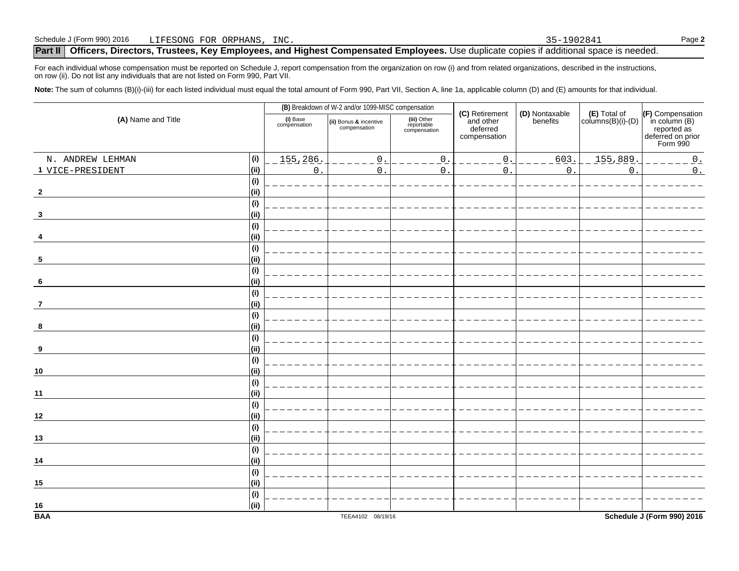### **Part II** | Officers, Directors, Trustees, Key Employees, and Highest Compensated Employees. Use duplicate copies if additional space is needed.

For each individual whose compensation must be reported on Schedule J, report compensation from the organization on row (i) and from related organizations, described in the instructions, on row (ii). Do not list any individuals that are not listed on Form 990, Part VII.

Note: The sum of columns (B)(i)-(iii) for each listed individual must equal the total amount of Form 990, Part VII, Section A, line 1a, applicable column (D) and (E) amounts for that individual.

| (A) Name and Title      |       |                          | (B) Breakdown of W-2 and/or 1099-MISC compensation |                                           |                                                         |                            |                                            |                                                                                   |
|-------------------------|-------|--------------------------|----------------------------------------------------|-------------------------------------------|---------------------------------------------------------|----------------------------|--------------------------------------------|-----------------------------------------------------------------------------------|
|                         |       | (i) Base<br>compensation | (ii) Bonus & incentive<br>compensation             | (iii) Other<br>reportable<br>compensation | (C) Retirement<br>and other<br>deferred<br>compensation | (D) Nontaxable<br>benefits | $(E)$ Total of<br>columns $(B)(i)$ - $(D)$ | (F) Compensation<br>in column (B)<br>reported as<br>deferred on prior<br>Form 990 |
| N. ANDREW LEHMAN        | (i)   | 155, 286.                | $\underline{0}$ .                                  | $0$ .                                     | 0.                                                      | [603.]<br>$- -$            | $-155,889.$                                | $\underline{0}$ .                                                                 |
| 1 VICE-PRESIDENT        | (i)   | 0.                       | $\mathbf{0}$                                       | $0$ .                                     | 0.                                                      | $0$ .                      | $\mathbf{0}$                               | 0.                                                                                |
|                         | (i)   |                          |                                                    |                                           |                                                         |                            |                                            |                                                                                   |
| $\overline{\mathbf{2}}$ | (i)   |                          |                                                    |                                           |                                                         |                            |                                            |                                                                                   |
|                         | (i)   |                          |                                                    |                                           |                                                         |                            |                                            |                                                                                   |
| $\mathbf{3}$            | (i)   |                          |                                                    |                                           |                                                         |                            |                                            |                                                                                   |
|                         | (i)   |                          |                                                    |                                           |                                                         |                            |                                            |                                                                                   |
| 4                       | (iii) |                          |                                                    |                                           |                                                         |                            |                                            |                                                                                   |
|                         | (i)   |                          |                                                    |                                           |                                                         |                            |                                            |                                                                                   |
| ${\bf 5}$               | (iii) |                          |                                                    |                                           |                                                         |                            |                                            |                                                                                   |
|                         | (i)   |                          |                                                    |                                           |                                                         |                            |                                            |                                                                                   |
| 6                       | (iii) |                          |                                                    |                                           |                                                         |                            |                                            |                                                                                   |
|                         | (i)   |                          |                                                    |                                           |                                                         |                            |                                            |                                                                                   |
| $\overline{7}$          | (iii) |                          |                                                    |                                           |                                                         |                            |                                            |                                                                                   |
|                         | (i)   |                          |                                                    |                                           |                                                         |                            |                                            |                                                                                   |
| 8                       | (i)   |                          |                                                    |                                           |                                                         |                            |                                            |                                                                                   |
|                         | (i)   |                          |                                                    |                                           |                                                         |                            |                                            |                                                                                   |
| 9                       | (i)   |                          |                                                    |                                           |                                                         |                            |                                            |                                                                                   |
|                         | (i)   |                          |                                                    |                                           |                                                         |                            |                                            |                                                                                   |
| 10                      | (i)   |                          |                                                    |                                           |                                                         |                            |                                            |                                                                                   |
|                         | (i)   |                          |                                                    |                                           |                                                         |                            |                                            |                                                                                   |
| 11                      | (i)   |                          |                                                    |                                           |                                                         |                            |                                            |                                                                                   |
|                         | (i)   |                          |                                                    |                                           |                                                         |                            |                                            |                                                                                   |
| 12                      | (iii) |                          |                                                    |                                           |                                                         |                            |                                            |                                                                                   |
|                         | (i)   |                          |                                                    |                                           |                                                         |                            |                                            |                                                                                   |
| 13                      | (iii) |                          |                                                    |                                           |                                                         |                            |                                            |                                                                                   |
|                         | (i)   |                          |                                                    |                                           |                                                         |                            |                                            |                                                                                   |
| 14                      | (iii) |                          |                                                    |                                           |                                                         |                            |                                            |                                                                                   |
|                         | (i)   |                          |                                                    |                                           |                                                         |                            |                                            |                                                                                   |
| 15                      | (iii) |                          |                                                    |                                           |                                                         |                            |                                            |                                                                                   |
|                         | (i)   |                          |                                                    |                                           |                                                         |                            |                                            |                                                                                   |
| 16                      | (i)   |                          |                                                    |                                           |                                                         |                            |                                            |                                                                                   |
| <b>BAA</b>              |       |                          | TEEA4102 08/19/16                                  |                                           |                                                         |                            |                                            | Schedule J (Form 990) 2016                                                        |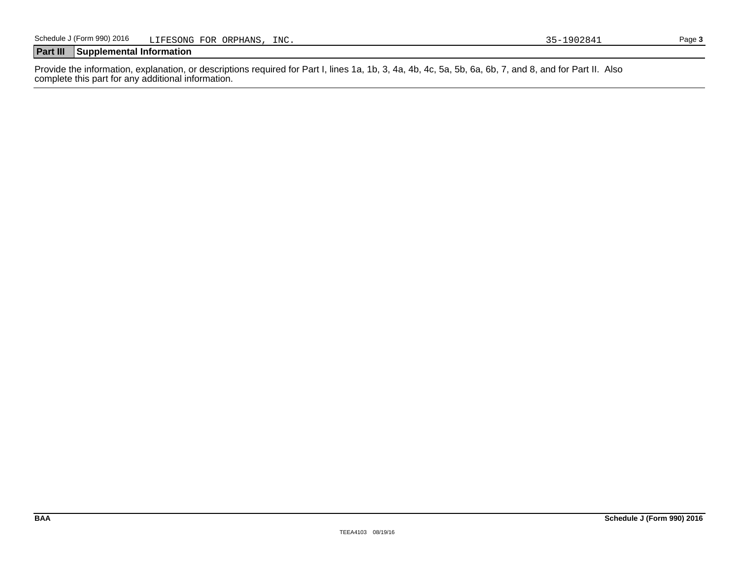### **Part III Supplemental Information**

Provide the information, explanation, or descriptions required for Part I, lines 1a, 1b, 3, 4a, 4b, 4c, 5a, 5b, 6a, 6b, 7, and 8, and for Part II. Also complete this part for any additional information.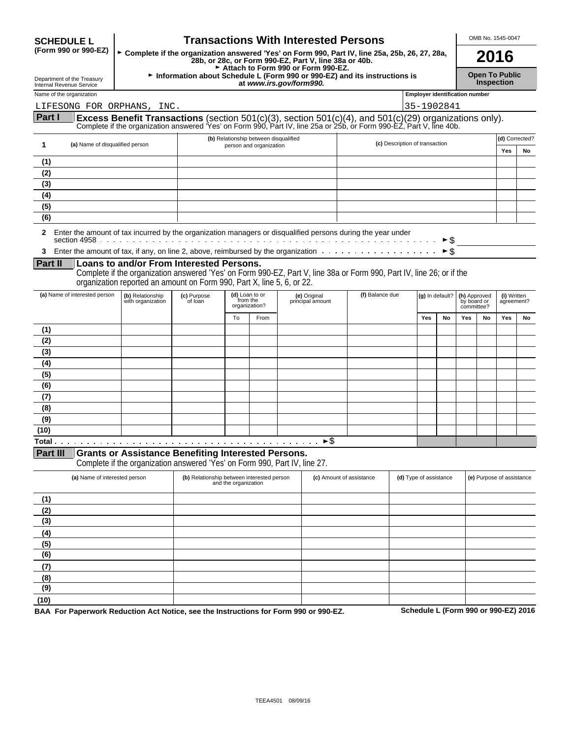|                   |                                                        |                                                                                                                                                                                                                                             |                                                                           |                                                                                                                                                                                                         |                                             |  |                                    |                 |                                |                        |                                           |                                       |                           | OMB No. 1545-0047                   |    |
|-------------------|--------------------------------------------------------|---------------------------------------------------------------------------------------------------------------------------------------------------------------------------------------------------------------------------------------------|---------------------------------------------------------------------------|---------------------------------------------------------------------------------------------------------------------------------------------------------------------------------------------------------|---------------------------------------------|--|------------------------------------|-----------------|--------------------------------|------------------------|-------------------------------------------|---------------------------------------|---------------------------|-------------------------------------|----|
| <b>SCHEDULE L</b> | (Form 990 or 990-EZ)                                   |                                                                                                                                                                                                                                             |                                                                           | <b>Transactions With Interested Persons</b><br>► Complete if the organization answered 'Yes' on Form 990, Part IV, line 25a, 25b, 26, 27, 28a,<br>28b, or 28c, or Form 990-EZ, Part V, line 38a or 40b. |                                             |  |                                    |                 |                                |                        | 2016                                      |                                       |                           |                                     |    |
|                   | Department of the Treasury<br>Internal Revenue Service |                                                                                                                                                                                                                                             | Information about Schedule L (Form 990 or 990-EZ) and its instructions is |                                                                                                                                                                                                         | at www.irs.gov/form990.                     |  | Attach to Form 990 or Form 990-EZ. |                 |                                |                        |                                           |                                       |                           | <b>Open To Public</b><br>Inspection |    |
|                   | Name of the organization                               |                                                                                                                                                                                                                                             |                                                                           |                                                                                                                                                                                                         |                                             |  |                                    |                 |                                |                        |                                           | <b>Employer identification number</b> |                           |                                     |    |
|                   |                                                        | LIFESONG FOR ORPHANS, INC.                                                                                                                                                                                                                  |                                                                           |                                                                                                                                                                                                         |                                             |  |                                    |                 |                                | 35-1902841             |                                           |                                       |                           |                                     |    |
| Part I            |                                                        | Excess Benefit Transactions (section 501(c)(3), section 501(c)(4), and 501(c)(29) organizations only).<br>Complete if the organization answered 'Yes' on Form 990, Part IV, line 25a or 25b, or Form 990-EZ, Part V, line 40b.              |                                                                           |                                                                                                                                                                                                         |                                             |  |                                    |                 |                                |                        |                                           |                                       |                           |                                     |    |
| 1                 | (a) Name of disqualified person                        |                                                                                                                                                                                                                                             |                                                                           | (b) Relationship between disqualified                                                                                                                                                                   | person and organization                     |  |                                    |                 | (c) Description of transaction |                        |                                           |                                       |                           | (d) Corrected?<br>Yes<br>No         |    |
| (1)               |                                                        |                                                                                                                                                                                                                                             |                                                                           |                                                                                                                                                                                                         |                                             |  |                                    |                 |                                |                        |                                           |                                       |                           |                                     |    |
| (2)               |                                                        |                                                                                                                                                                                                                                             |                                                                           |                                                                                                                                                                                                         |                                             |  |                                    |                 |                                |                        |                                           |                                       |                           |                                     |    |
| (3)               |                                                        |                                                                                                                                                                                                                                             |                                                                           |                                                                                                                                                                                                         |                                             |  |                                    |                 |                                |                        |                                           |                                       |                           |                                     |    |
| (4)               |                                                        |                                                                                                                                                                                                                                             |                                                                           |                                                                                                                                                                                                         |                                             |  |                                    |                 |                                |                        |                                           |                                       |                           |                                     |    |
| (5)               |                                                        |                                                                                                                                                                                                                                             |                                                                           |                                                                                                                                                                                                         |                                             |  |                                    |                 |                                |                        |                                           |                                       |                           |                                     |    |
| (6)               |                                                        |                                                                                                                                                                                                                                             |                                                                           |                                                                                                                                                                                                         |                                             |  |                                    |                 |                                |                        |                                           |                                       |                           |                                     |    |
| $\mathbf{2}$      |                                                        | Enter the amount of tax incurred by the organization managers or disqualified persons during the year under<br>3 Enter the amount of tax, if any, on line 2, above, reimbursed by the organization $\ldots$ ,                               |                                                                           |                                                                                                                                                                                                         |                                             |  |                                    |                 |                                |                        | ► \$<br>$\triangleright$ \$               |                                       |                           |                                     |    |
| Part II           |                                                        | Loans to and/or From Interested Persons.<br>Complete if the organization answered 'Yes' on Form 990-EZ, Part V, line 38a or Form 990, Part IV, line 26; or if the<br>organization reported an amount on Form 990, Part X, line 5, 6, or 22. |                                                                           |                                                                                                                                                                                                         |                                             |  |                                    |                 |                                |                        |                                           |                                       |                           |                                     |    |
|                   | (a) Name of interested person                          | (b) Relationship<br>with organization                                                                                                                                                                                                       | (c) Purpose<br>of loan                                                    |                                                                                                                                                                                                         | (d) Loan to or<br>from the<br>organization? |  | (e) Original<br>principal amount   | (f) Balance due | (g) In default?                |                        | (h) Approved<br>by board or<br>committee? |                                       | (i) Written<br>agreement? |                                     |    |
|                   |                                                        |                                                                                                                                                                                                                                             |                                                                           | To                                                                                                                                                                                                      | From                                        |  |                                    |                 |                                | Yes                    | No                                        | Yes                                   | No                        | Yes                                 | No |
| (1)               |                                                        |                                                                                                                                                                                                                                             |                                                                           |                                                                                                                                                                                                         |                                             |  |                                    |                 |                                |                        |                                           |                                       |                           |                                     |    |
| (2)               |                                                        |                                                                                                                                                                                                                                             |                                                                           |                                                                                                                                                                                                         |                                             |  |                                    |                 |                                |                        |                                           |                                       |                           |                                     |    |
| (3)               |                                                        |                                                                                                                                                                                                                                             |                                                                           |                                                                                                                                                                                                         |                                             |  |                                    |                 |                                |                        |                                           |                                       |                           |                                     |    |
| (4)               |                                                        |                                                                                                                                                                                                                                             |                                                                           |                                                                                                                                                                                                         |                                             |  |                                    |                 |                                |                        |                                           |                                       |                           |                                     |    |
| (5)               |                                                        |                                                                                                                                                                                                                                             |                                                                           |                                                                                                                                                                                                         |                                             |  |                                    |                 |                                |                        |                                           |                                       |                           |                                     |    |
| (6)               |                                                        |                                                                                                                                                                                                                                             |                                                                           |                                                                                                                                                                                                         |                                             |  |                                    |                 |                                |                        |                                           |                                       |                           |                                     |    |
| (7)               |                                                        |                                                                                                                                                                                                                                             |                                                                           |                                                                                                                                                                                                         |                                             |  |                                    |                 |                                |                        |                                           |                                       |                           |                                     |    |
| (8)               |                                                        |                                                                                                                                                                                                                                             |                                                                           |                                                                                                                                                                                                         |                                             |  |                                    |                 |                                |                        |                                           |                                       |                           |                                     |    |
| (9)               |                                                        |                                                                                                                                                                                                                                             |                                                                           |                                                                                                                                                                                                         |                                             |  |                                    |                 |                                |                        |                                           |                                       |                           |                                     |    |
| (10)              |                                                        |                                                                                                                                                                                                                                             |                                                                           |                                                                                                                                                                                                         |                                             |  |                                    |                 |                                |                        |                                           |                                       |                           |                                     |    |
| Total.            |                                                        |                                                                                                                                                                                                                                             |                                                                           |                                                                                                                                                                                                         |                                             |  | ►\$                                |                 |                                |                        |                                           |                                       |                           |                                     |    |
| Part III          |                                                        | <b>Grants or Assistance Benefiting Interested Persons.</b><br>Complete if the organization answered 'Yes' on Form 990, Part IV, line 27.                                                                                                    |                                                                           |                                                                                                                                                                                                         |                                             |  |                                    |                 |                                |                        |                                           |                                       |                           |                                     |    |
|                   | (a) Name of interested person                          |                                                                                                                                                                                                                                             | (b) Relationship between interested person                                | and the organization                                                                                                                                                                                    |                                             |  | (c) Amount of assistance           |                 |                                | (d) Type of assistance |                                           |                                       |                           | (e) Purpose of assistance           |    |
| (1)               |                                                        |                                                                                                                                                                                                                                             |                                                                           |                                                                                                                                                                                                         |                                             |  |                                    |                 |                                |                        |                                           |                                       |                           |                                     |    |
| (2)               |                                                        |                                                                                                                                                                                                                                             |                                                                           |                                                                                                                                                                                                         |                                             |  |                                    |                 |                                |                        |                                           |                                       |                           |                                     |    |
| (3)               |                                                        |                                                                                                                                                                                                                                             |                                                                           |                                                                                                                                                                                                         |                                             |  |                                    |                 |                                |                        |                                           |                                       |                           |                                     |    |
| (4)               |                                                        |                                                                                                                                                                                                                                             |                                                                           |                                                                                                                                                                                                         |                                             |  |                                    |                 |                                |                        |                                           |                                       |                           |                                     |    |
| (5)               |                                                        |                                                                                                                                                                                                                                             |                                                                           |                                                                                                                                                                                                         |                                             |  |                                    |                 |                                |                        |                                           |                                       |                           |                                     |    |
| (6)               |                                                        |                                                                                                                                                                                                                                             |                                                                           |                                                                                                                                                                                                         |                                             |  |                                    |                 |                                |                        |                                           |                                       |                           |                                     |    |
| (7)               |                                                        |                                                                                                                                                                                                                                             |                                                                           |                                                                                                                                                                                                         |                                             |  |                                    |                 |                                |                        |                                           |                                       |                           |                                     |    |
| (8)               |                                                        |                                                                                                                                                                                                                                             |                                                                           |                                                                                                                                                                                                         |                                             |  |                                    |                 |                                |                        |                                           |                                       |                           |                                     |    |

**BAA For Paperwork Reduction Act Notice, see the Instructions for Form 990 or 990-EZ. Schedule L (Form 990 or 990-EZ) 2016**

**(9) (10)**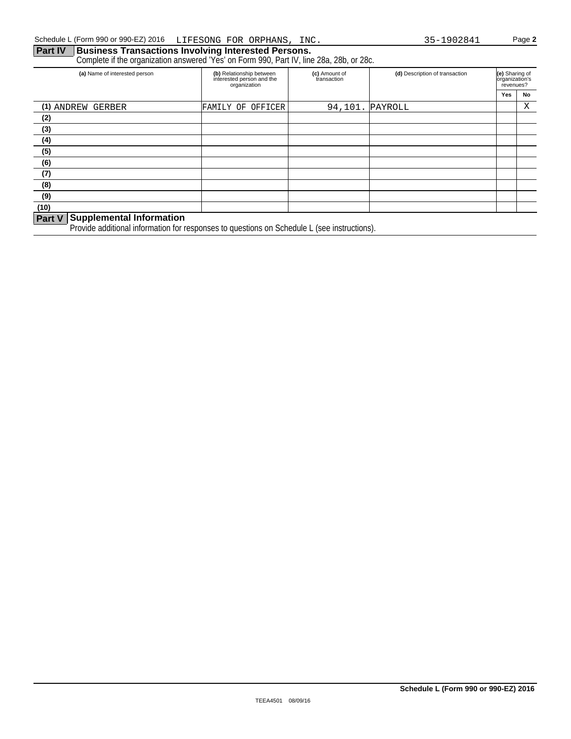### **Part IV | Business Transactions Involving Interested Persons.**

Complete if the organization answered 'Yes' on Form 990, Part IV, line 28a, 28b, or 28c.

| (a) Name of interested person          | (b) Relationship between<br>interested person and the<br>organization | (c) Amount of<br>transaction | (d) Description of transaction | (e) Sharing of<br>organization's<br>revenues? |    |
|----------------------------------------|-----------------------------------------------------------------------|------------------------------|--------------------------------|-----------------------------------------------|----|
|                                        |                                                                       |                              |                                | Yes                                           | No |
| (1) ANDREW GERBER                      | FAMILY OF<br>OFFICER                                                  | 94,101. PAYROLL              |                                |                                               | X  |
| (2)                                    |                                                                       |                              |                                |                                               |    |
| (3)                                    |                                                                       |                              |                                |                                               |    |
| (4)                                    |                                                                       |                              |                                |                                               |    |
| (5)                                    |                                                                       |                              |                                |                                               |    |
| (6)                                    |                                                                       |                              |                                |                                               |    |
| (7)                                    |                                                                       |                              |                                |                                               |    |
| (8)                                    |                                                                       |                              |                                |                                               |    |
| (9)                                    |                                                                       |                              |                                |                                               |    |
| (10)                                   |                                                                       |                              |                                |                                               |    |
| $D_{out}$ $V$ Supplemental Information |                                                                       |                              |                                |                                               |    |

### **Part V Supplemental Information**

Provide additional information for responses to questions on Schedule L (see instructions).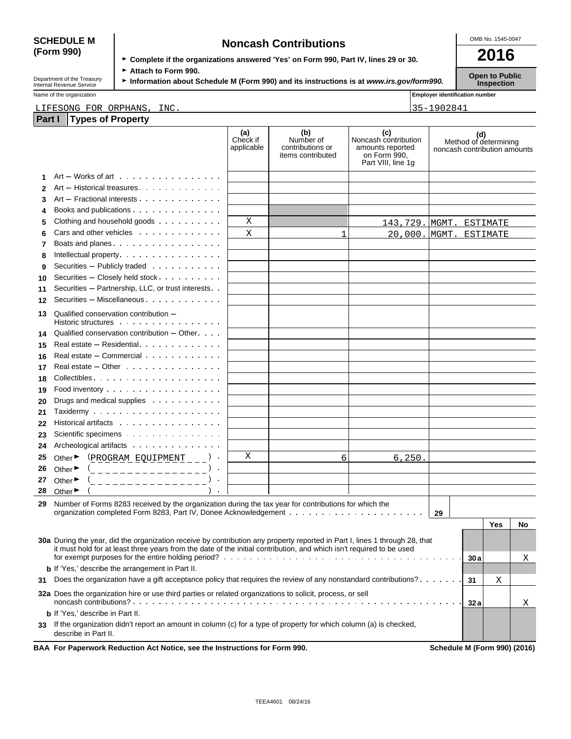## **(Form 990)**

| <b>SCHEDULE M</b> | <b>Noncash Contributions</b>                                                         | OMB No. 1545-0047 |
|-------------------|--------------------------------------------------------------------------------------|-------------------|
| (Form 990)        | ► Complete if the organizations answered 'Yes' on Form 990, Part IV, lines 29 or 30. | 2016              |
|                   |                                                                                      |                   |

Department of the Treasury ▶ Attach to Form 990.<br>Information about Schedule M (Form 990) and its instructions is at *www.irs.gov/form990.* Inspection inspection

### LIFESONG FOR ORPHANS, INC. 35-1902841

| Name of the organization | $-0.001$<br>ı numbel<br>identification<br>l Emplover |
|--------------------------|------------------------------------------------------|
|                          |                                                      |

| Part I | <b>Types of Property</b>                                                                                                                                                                                                       |                               |                                                           |                                                                                       |                              |      |                       |     |
|--------|--------------------------------------------------------------------------------------------------------------------------------------------------------------------------------------------------------------------------------|-------------------------------|-----------------------------------------------------------|---------------------------------------------------------------------------------------|------------------------------|------|-----------------------|-----|
|        |                                                                                                                                                                                                                                | (a)<br>Check if<br>applicable | (b)<br>Number of<br>contributions or<br>items contributed | (c)<br>Noncash contribution<br>amounts reported<br>on Form 990,<br>Part VIII, line 1g | noncash contribution amounts | (d)  | Method of determining |     |
| 1      | $Art - Works$ of art $\ldots$ , $\ldots$ , $\ldots$                                                                                                                                                                            |                               |                                                           |                                                                                       |                              |      |                       |     |
| 2      | Art – Historical treasures                                                                                                                                                                                                     |                               |                                                           |                                                                                       |                              |      |                       |     |
| 3      | Art - Fractional interests                                                                                                                                                                                                     |                               |                                                           |                                                                                       |                              |      |                       |     |
| 4      | Books and publications                                                                                                                                                                                                         |                               |                                                           |                                                                                       |                              |      |                       |     |
| 5      | Clothing and household goods                                                                                                                                                                                                   | Χ                             |                                                           | 143,729. MGMT. ESTIMATE                                                               |                              |      |                       |     |
| 6      | Cars and other vehicles                                                                                                                                                                                                        | Χ                             | 1                                                         | 20,000. MGMT.                                                                         |                              |      | ESTIMATE              |     |
| 7      | Boats and planes                                                                                                                                                                                                               |                               |                                                           |                                                                                       |                              |      |                       |     |
| 8      | Intellectual property.                                                                                                                                                                                                         |                               |                                                           |                                                                                       |                              |      |                       |     |
|        | Securities - Publicly traded                                                                                                                                                                                                   |                               |                                                           |                                                                                       |                              |      |                       |     |
| 9      |                                                                                                                                                                                                                                |                               |                                                           |                                                                                       |                              |      |                       |     |
| 10     | Securities - Closely held stock                                                                                                                                                                                                |                               |                                                           |                                                                                       |                              |      |                       |     |
| 11     | Securities - Partnership, LLC, or trust interests                                                                                                                                                                              |                               |                                                           |                                                                                       |                              |      |                       |     |
| 12     | Securities - Miscellaneous.                                                                                                                                                                                                    |                               |                                                           |                                                                                       |                              |      |                       |     |
| 13     | Qualified conservation contribution -                                                                                                                                                                                          |                               |                                                           |                                                                                       |                              |      |                       |     |
|        | Historic structures experience and the state of the state of the state of the state of the state of the state o                                                                                                                |                               |                                                           |                                                                                       |                              |      |                       |     |
| 14     | Qualified conservation contribution - Other                                                                                                                                                                                    |                               |                                                           |                                                                                       |                              |      |                       |     |
| 15     | Real estate – Residential and a manufactured and response a manufactured and response a manufactured and response a manufactured and response a manufactured and response a manufactured and response a manufactured and respo |                               |                                                           |                                                                                       |                              |      |                       |     |
| 16     | Real estate – Commercial                                                                                                                                                                                                       |                               |                                                           |                                                                                       |                              |      |                       |     |
| 17     | Real estate $-$ Other $\cdots$ $\cdots$ $\cdots$ $\cdots$ $\cdots$                                                                                                                                                             |                               |                                                           |                                                                                       |                              |      |                       |     |
| 18     | Collectibles                                                                                                                                                                                                                   |                               |                                                           |                                                                                       |                              |      |                       |     |
| 19     |                                                                                                                                                                                                                                |                               |                                                           |                                                                                       |                              |      |                       |     |
| 20     | Drugs and medical supplies                                                                                                                                                                                                     |                               |                                                           |                                                                                       |                              |      |                       |     |
| 21     |                                                                                                                                                                                                                                |                               |                                                           |                                                                                       |                              |      |                       |     |
| 22     | Historical artifacts                                                                                                                                                                                                           |                               |                                                           |                                                                                       |                              |      |                       |     |
| 23     | Scientific specimens                                                                                                                                                                                                           |                               |                                                           |                                                                                       |                              |      |                       |     |
| 24     | Archeological artifacts                                                                                                                                                                                                        |                               |                                                           |                                                                                       |                              |      |                       |     |
| 25     | $(p_{ROGRAM}$ EQUIPMENT $_{--}$ )<br>Other $\blacktriangleright$                                                                                                                                                               | Χ                             | 6                                                         | 6, 250.                                                                               |                              |      |                       |     |
| 26     | Other $\blacktriangleright$<br>_______________                                                                                                                                                                                 |                               |                                                           |                                                                                       |                              |      |                       |     |
| 27     | Other $\blacktriangleright$                                                                                                                                                                                                    |                               |                                                           |                                                                                       |                              |      |                       |     |
| 28     | ________________<br>Other $\blacktriangleright$                                                                                                                                                                                |                               |                                                           |                                                                                       |                              |      |                       |     |
|        |                                                                                                                                                                                                                                |                               |                                                           |                                                                                       |                              |      |                       |     |
| 29     | Number of Forms 8283 received by the organization during the tax year for contributions for which the<br>organization completed Form 8283, Part IV, Donee Acknowledgement                                                      |                               |                                                           |                                                                                       | 29                           |      |                       |     |
|        |                                                                                                                                                                                                                                |                               |                                                           |                                                                                       |                              |      | Yes                   |     |
|        |                                                                                                                                                                                                                                |                               |                                                           |                                                                                       |                              |      |                       | No. |
|        | 30a During the year, did the organization receive by contribution any property reported in Part I, lines 1 through 28, that                                                                                                    |                               |                                                           |                                                                                       |                              |      |                       |     |
|        | it must hold for at least three years from the date of the initial contribution, and which isn't required to be used                                                                                                           |                               |                                                           |                                                                                       |                              |      |                       |     |
|        |                                                                                                                                                                                                                                |                               |                                                           |                                                                                       |                              | 30a  |                       | X   |
|        | b If 'Yes,' describe the arrangement in Part II.                                                                                                                                                                               |                               |                                                           |                                                                                       |                              |      |                       |     |
| 31     | Does the organization have a gift acceptance policy that requires the review of any nonstandard contributions?                                                                                                                 |                               |                                                           |                                                                                       |                              | 31   | Χ                     |     |
|        | 32a Does the organization hire or use third parties or related organizations to solicit, process, or sell                                                                                                                      |                               |                                                           |                                                                                       |                              | 32 a |                       | Χ   |
|        | <b>b</b> If 'Yes,' describe in Part II.                                                                                                                                                                                        |                               |                                                           |                                                                                       |                              |      |                       |     |
| 33.    | If the organization didn't report an amount in column (c) for a type of property for which column (a) is checked,<br>describe in Part II.                                                                                      |                               |                                                           |                                                                                       |                              |      |                       |     |

**BAA For Paperwork Reduction Act Notice, see the Instructions for Form 990. Schedule M (Form 990) (2016)**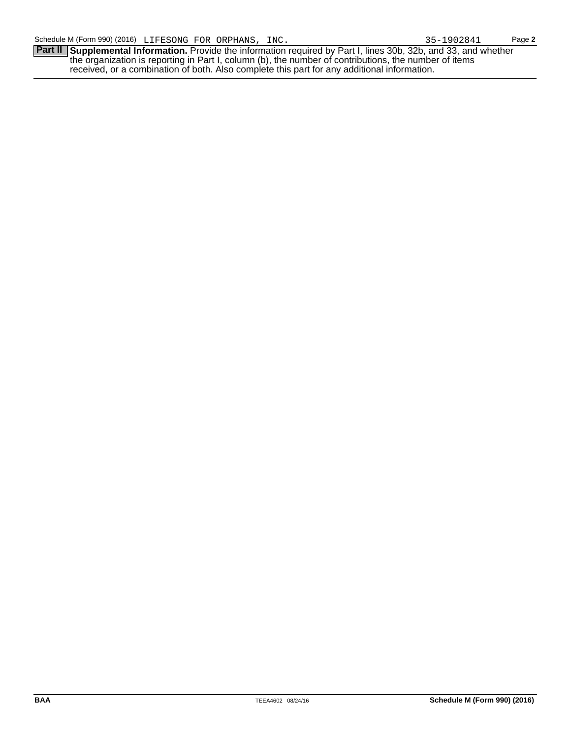**Part II Supplemental Information.** Provide the information required by Part I, lines 30b, 32b, and 33, and whether the organization is reporting in Part I, column (b), the number of contributions, the number of items received, or a combination of both. Also complete this part for any additional information.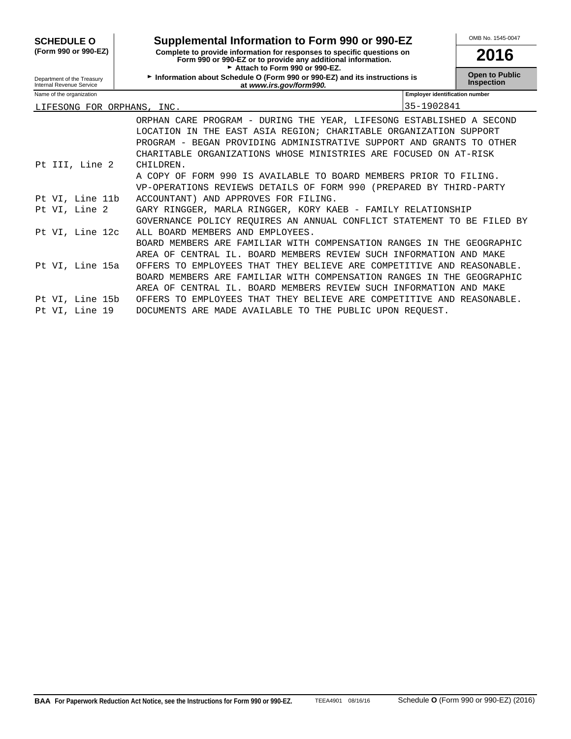| <b>SCHEDULE O</b>                                      | Supplemental Information to Form 990 or 990-EZ                                                                                                                          | OMB No. 1545-0047                          |             |  |
|--------------------------------------------------------|-------------------------------------------------------------------------------------------------------------------------------------------------------------------------|--------------------------------------------|-------------|--|
| (Form 990 or 990-EZ)                                   | Complete to provide information for responses to specific questions on<br>Form 990 or 990-EZ or to provide any additional information.<br>Attach to Form 990 or 990-EZ. |                                            | 2016        |  |
| Department of the Treasury<br>Internal Revenue Service | Information about Schedule O (Form 990 or 990-EZ) and its instructions is                                                                                               | <b>Open to Public</b><br><b>Inspection</b> |             |  |
| Name of the organization                               |                                                                                                                                                                         | <b>Employer identification number</b>      |             |  |
| LIFESONG FOR ORPHANS,                                  | INC.                                                                                                                                                                    | 35-1902841                                 |             |  |
|                                                        | ORPHAN CARE PROGRAM - DURING THE YEAR, LIFESONG ESTABLISHED A SECOND                                                                                                    |                                            |             |  |
|                                                        | LOCATION IN THE EAST ASIA REGION; CHARITABLE ORGANIZATION SUPPORT                                                                                                       |                                            |             |  |
|                                                        | PROGRAM - BEGAN PROVIDING ADMINISTRATIVE SUPPORT AND GRANTS TO OTHER                                                                                                    |                                            |             |  |
|                                                        | CHARITABLE ORGANIZATIONS WHOSE MINISTRIES ARE FOCUSED ON AT-RISK                                                                                                        |                                            |             |  |
| III, Line 2<br>Pt.                                     | CHILDREN.                                                                                                                                                               |                                            |             |  |
|                                                        | A COPY OF FORM 990 IS AVAILABLE TO BOARD MEMBERS PRIOR TO FILING.                                                                                                       |                                            |             |  |
|                                                        | VP-OPERATIONS REVIEWS DETAILS OF FORM 990 (PREPARED BY THIRD-PARTY                                                                                                      |                                            |             |  |
| Pt VI, Line 11b                                        | ACCOUNTANT) AND APPROVES FOR FILING.                                                                                                                                    |                                            |             |  |
| Pt VI, Line 2                                          | GARY RINGGER, MARLA RINGGER, KORY KAEB - FAMILY RELATIONSHIP                                                                                                            |                                            |             |  |
|                                                        | GOVERNANCE POLICY REOUIRES AN ANNUAL CONFLICT STATEMENT TO BE FILED BY                                                                                                  |                                            |             |  |
| Pt VI, Line 12c                                        | ALL BOARD MEMBERS AND EMPLOYEES.                                                                                                                                        |                                            |             |  |
|                                                        | BOARD MEMBERS ARE FAMILIAR WITH COMPENSATION RANGES IN THE                                                                                                              |                                            | GEOGRAPHIC  |  |
|                                                        | CENTRAL IL. BOARD MEMBERS REVIEW SUCH INFORMATION<br>AREA OF                                                                                                            |                                            | AND MAKE    |  |
| Pt VI, Line 15a                                        | TO EMPLOYEES THAT THEY BELIEVE ARE COMPETITIVE AND REASONABLE.<br>OFFERS                                                                                                |                                            |             |  |
|                                                        | MEMBERS ARE FAMILIAR WITH COMPENSATION RANGES IN THE<br><b>BOARD</b>                                                                                                    |                                            | GEOGRAPHIC  |  |
|                                                        | CENTRAL IL. BOARD MEMBERS REVIEW SUCH INFORMATION AND MAKE<br>AREA OF                                                                                                   |                                            |             |  |
| Pt VI, Line 15b                                        | THEY BELIEVE ARE COMPETITIVE AND<br>OFFERS<br>TO<br>EMPLOYEES<br>THAT                                                                                                   |                                            | REASONABLE. |  |
| Pt VI, Line 19                                         | DOCUMENTS ARE MADE AVAILABLE TO THE PUBLIC UPON REOUEST.                                                                                                                |                                            |             |  |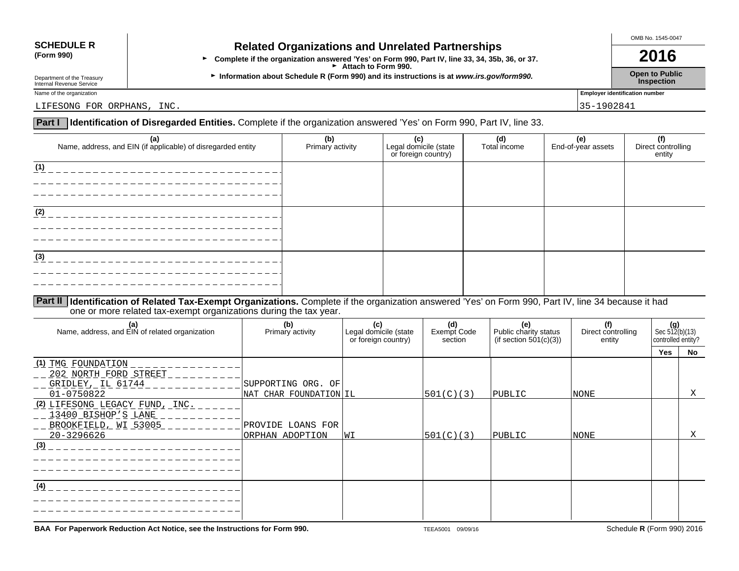## **SCHEDULE R Related Organizations and Unrelated Partnerships**<br>(Form 990) **Related Drawing Complete if the cropsization and world "Xee' on Form 990, Bert IV, line 32, 24, 35b**

**•** Complete if the organization answered 'Yes' on Form 990, Part IV, line 33, 34, 35b, 36, or 37. **2016 ► Attach to Form 990.** 

Department of the Treasury **Information about Schedule R (Form 990) and its instructions is at** *www.irs.gov/form990.* **Open to Public inspection<br>Internal Revenue Service <b>Inspection** Department of the Treasury<br>Internal Revenue Service **Inspection**<br>Internal Revenue Service **Inspection** 

OMB No. 1545-0047

Name of the organization **Employer identification number** 

LIFESONG FOR ORPHANS, INC. 2002/04/12 and 2003/04/2003 15-1902/04/12 and 2004/2004 15-1902/04/12 and 2004/2004

**Part I Identification of Disregarded Entities.** Complete if the organization answered 'Yes' on Form 990, Part IV, line 33.

| (a)<br>Name, address, and EIN (if applicable) of disregarded entity | (b)<br>Primary activity | (c)<br>Legal domicile (state<br>or foreign country) | (d)<br>Total income | (e)<br>End-of-year assets | (f)<br>I Direct controlling<br>entity |
|---------------------------------------------------------------------|-------------------------|-----------------------------------------------------|---------------------|---------------------------|---------------------------------------|
| (1)                                                                 |                         |                                                     |                     |                           |                                       |
| (2)                                                                 |                         |                                                     |                     |                           |                                       |
| (3)                                                                 |                         |                                                     |                     |                           |                                       |
|                                                                     |                         |                                                     |                     |                           |                                       |

**Part II Identification of Related Tax-Exempt Organizations.** Complete if the organization answered 'Yes' on Form 990, Part IV, line 34 because it had one or more related tax-exempt organizations during the tax year.

| (a)<br>Name, address, and EIN of related organization                                              | (b)<br>Primary activity              | (c)<br>Legal domicile (state<br>or foreign country) | (d)<br>Exempt Code<br>section | (e)<br>Public charity status<br>(if section $501(c)(3)$ ) | (f)<br>Direct controlling<br>entity | $(g)$<br>Sec 512(b)(13)<br>controlled entity? |    |
|----------------------------------------------------------------------------------------------------|--------------------------------------|-----------------------------------------------------|-------------------------------|-----------------------------------------------------------|-------------------------------------|-----------------------------------------------|----|
|                                                                                                    |                                      |                                                     |                               |                                                           |                                     | Yes                                           | No |
| (1) TMG FOUNDATION<br>202 NORTH FORD STREET<br>GRIDLEY, IL 61744                                   | SUPPORTING ORG. OF                   |                                                     |                               |                                                           |                                     |                                               |    |
| 01-0750822                                                                                         | NAT CHAR FOUNDATION IL               |                                                     | 501(C)(3)                     | PUBLIC                                                    | NONE                                |                                               | Χ  |
| (2) LIFESONG LEGACY FUND, INC.<br>13400 BISHOP'S LANE<br>BROOKFIELD, WI 53005<br>20-3296626<br>(3) | PROVIDE LOANS FOR<br>ORPHAN ADOPTION | WΙ                                                  | 501(C)(3)                     | PUBLIC                                                    | <b>NONE</b>                         |                                               | Χ  |
|                                                                                                    |                                      |                                                     |                               |                                                           |                                     |                                               |    |
| (4)                                                                                                |                                      |                                                     |                               |                                                           |                                     |                                               |    |

**BAA For Paperwork Reduction Act Notice, see the Instructions for Form 990.** TEEA5001 09/09/16 Schedule **R** (Form 990) 2016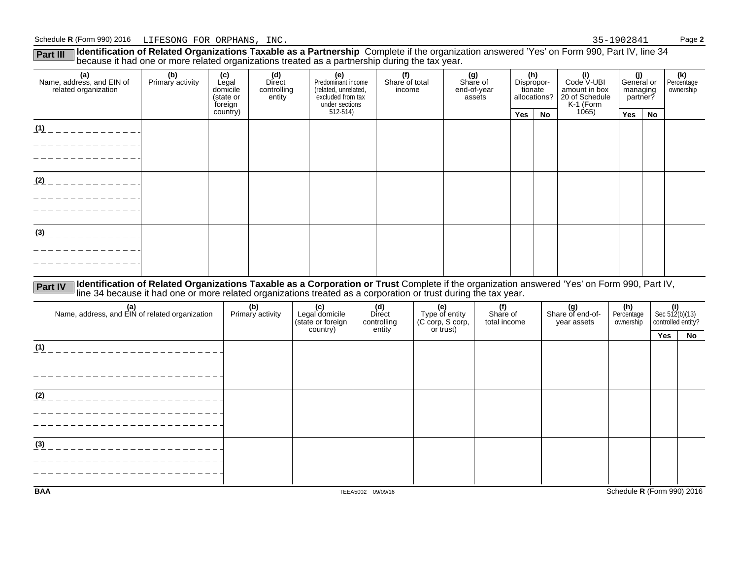Part III Ildentification of Related Organizations Taxable as a Partnership Complete if the organization answered 'Yes' on Form 990, Part IV, line 34<br>because it had one or more related organizations treated as a partnership

| (a)<br>Name, address, and EIN of<br>related organization | (b)<br>Primary activity | (c)<br>Legal<br>domicile<br>(state or<br>foreign | (d)<br>Direct<br>controlling<br>entity | (e)<br>Predominant income<br>(related, unrelated,<br>excluded from tax<br>under sections | (f)<br>(h)<br>Dispropor-<br>(g)<br>Share of total<br>Share of<br>end-of-year<br>income<br>tionate<br>allocations?<br>assets |  |     |    |  |     |    |  | (i)<br>Code V-UBI<br>amount in box<br>20 of Schedule<br>K-1 (Form<br>1065) | (j)<br>General or<br>managing<br>partner? |  | (k)<br>Percentage<br>ownership |
|----------------------------------------------------------|-------------------------|--------------------------------------------------|----------------------------------------|------------------------------------------------------------------------------------------|-----------------------------------------------------------------------------------------------------------------------------|--|-----|----|--|-----|----|--|----------------------------------------------------------------------------|-------------------------------------------|--|--------------------------------|
|                                                          |                         | country)                                         |                                        | 512-514)                                                                                 |                                                                                                                             |  | Yes | No |  | Yes | No |  |                                                                            |                                           |  |                                |
| (1)                                                      |                         |                                                  |                                        |                                                                                          |                                                                                                                             |  |     |    |  |     |    |  |                                                                            |                                           |  |                                |
|                                                          |                         |                                                  |                                        |                                                                                          |                                                                                                                             |  |     |    |  |     |    |  |                                                                            |                                           |  |                                |
| (2)                                                      |                         |                                                  |                                        |                                                                                          |                                                                                                                             |  |     |    |  |     |    |  |                                                                            |                                           |  |                                |
|                                                          |                         |                                                  |                                        |                                                                                          |                                                                                                                             |  |     |    |  |     |    |  |                                                                            |                                           |  |                                |
| (3)                                                      |                         |                                                  |                                        |                                                                                          |                                                                                                                             |  |     |    |  |     |    |  |                                                                            |                                           |  |                                |
|                                                          |                         |                                                  |                                        |                                                                                          |                                                                                                                             |  |     |    |  |     |    |  |                                                                            |                                           |  |                                |

Part IV Identification of Related Organizations Taxable as a Corporation or Trust Complete if the organization answered 'Yes' on Form 990, Part IV,<br>line 34 because it had one or more related organizations treated as a corp

| (a)<br>Name, address, and EIN of related organization | (b)<br>Primary activity | (c)<br>Legal domicile<br>(state or foreign<br>country) | (d)<br>Direct<br>controlling<br>entity | (e)<br>Type of entity<br>(C corp, S corp,<br>or trust) | (f)<br>Share of<br>total income | (g)<br>Share of end-of-<br>year assets | (h)<br>Percentage<br>ownership | $\left\{\n \begin{array}{l}\n \text{(i)} \\  \text{Sec } 512(b)(13) \\  \text{controlled entity?}\n \end{array}\n\right.$ |    |
|-------------------------------------------------------|-------------------------|--------------------------------------------------------|----------------------------------------|--------------------------------------------------------|---------------------------------|----------------------------------------|--------------------------------|---------------------------------------------------------------------------------------------------------------------------|----|
|                                                       |                         |                                                        |                                        |                                                        |                                 |                                        |                                | Yes                                                                                                                       | No |
| (1)                                                   |                         |                                                        |                                        |                                                        |                                 |                                        |                                |                                                                                                                           |    |
|                                                       |                         |                                                        |                                        |                                                        |                                 |                                        |                                |                                                                                                                           |    |
|                                                       |                         |                                                        |                                        |                                                        |                                 |                                        |                                |                                                                                                                           |    |
| (2)                                                   |                         |                                                        |                                        |                                                        |                                 |                                        |                                |                                                                                                                           |    |
|                                                       |                         |                                                        |                                        |                                                        |                                 |                                        |                                |                                                                                                                           |    |
|                                                       |                         |                                                        |                                        |                                                        |                                 |                                        |                                |                                                                                                                           |    |
| (3)                                                   |                         |                                                        |                                        |                                                        |                                 |                                        |                                |                                                                                                                           |    |
|                                                       |                         |                                                        |                                        |                                                        |                                 |                                        |                                |                                                                                                                           |    |
|                                                       |                         |                                                        |                                        |                                                        |                                 |                                        |                                |                                                                                                                           |    |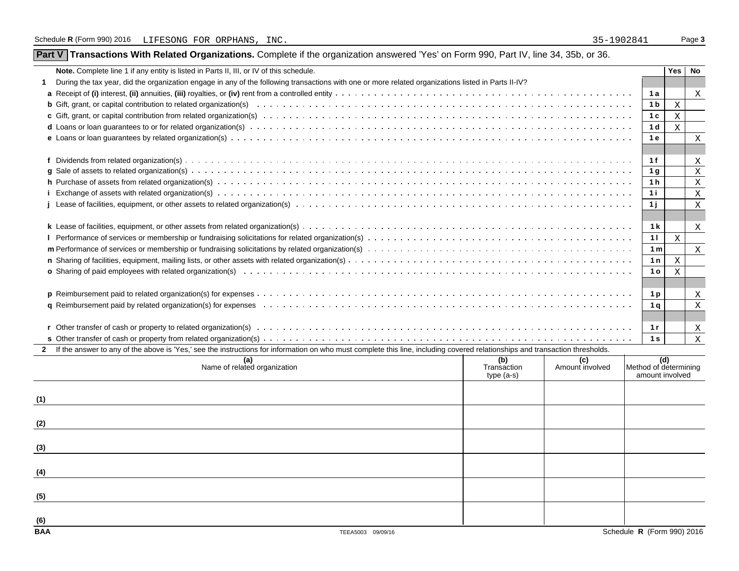### **Part V Transactions With Related Organizations.** Complete if the organization answered 'Yes' on Form 990, Part IV, line 34, 35b, or 36.

| Note. Complete line 1 if any entity is listed in Parts II, III, or IV of this schedule.                                                                                                                                        |  |  |                | Yes         | No           |  |  |  |
|--------------------------------------------------------------------------------------------------------------------------------------------------------------------------------------------------------------------------------|--|--|----------------|-------------|--------------|--|--|--|
| During the tax year, did the organization engage in any of the following transactions with one or more related organizations listed in Parts II-IV?                                                                            |  |  |                |             |              |  |  |  |
|                                                                                                                                                                                                                                |  |  | 1 a            |             | Χ            |  |  |  |
|                                                                                                                                                                                                                                |  |  | 1 <sub>b</sub> | X           |              |  |  |  |
|                                                                                                                                                                                                                                |  |  | 1 <sub>c</sub> | X           |              |  |  |  |
|                                                                                                                                                                                                                                |  |  |                |             |              |  |  |  |
|                                                                                                                                                                                                                                |  |  | 1 e            |             | $\mathbf X$  |  |  |  |
|                                                                                                                                                                                                                                |  |  |                |             |              |  |  |  |
|                                                                                                                                                                                                                                |  |  | 1f             |             | X            |  |  |  |
|                                                                                                                                                                                                                                |  |  | 1 g            |             | X            |  |  |  |
|                                                                                                                                                                                                                                |  |  | 1 <sub>h</sub> |             | X            |  |  |  |
|                                                                                                                                                                                                                                |  |  | 1i             |             | X            |  |  |  |
|                                                                                                                                                                                                                                |  |  | 1j             |             | X            |  |  |  |
|                                                                                                                                                                                                                                |  |  |                |             |              |  |  |  |
|                                                                                                                                                                                                                                |  |  | 1 k            |             | $\mathbf{X}$ |  |  |  |
|                                                                                                                                                                                                                                |  |  |                |             |              |  |  |  |
|                                                                                                                                                                                                                                |  |  | 1 <sub>m</sub> |             | X            |  |  |  |
|                                                                                                                                                                                                                                |  |  | 1n             | $\mathbf X$ |              |  |  |  |
|                                                                                                                                                                                                                                |  |  | 1 <sub>o</sub> | X           |              |  |  |  |
|                                                                                                                                                                                                                                |  |  |                |             |              |  |  |  |
|                                                                                                                                                                                                                                |  |  | 1 p            |             | X            |  |  |  |
| q Reimbursement paid by related organization(s) for expenses enterprised and contained and contained and contained and contained and contained and contained and contained and contained and contained and contained and conta |  |  | 1 <sub>q</sub> |             | X            |  |  |  |
|                                                                                                                                                                                                                                |  |  |                |             |              |  |  |  |
|                                                                                                                                                                                                                                |  |  | 1r             |             | X            |  |  |  |
|                                                                                                                                                                                                                                |  |  | 1 <sub>s</sub> |             | $\mathbf{X}$ |  |  |  |
| If the answer to any of the above is 'Yes,' see the instructions for information on who must complete this line, including covered relationships and transaction thresholds.                                                   |  |  |                |             |              |  |  |  |
| (b)<br>(a)<br>(c)<br>Method of determining<br>Name of related organization<br>Amount involved<br>Transaction<br>amount involved<br>$type(a-s)$                                                                                 |  |  |                |             |              |  |  |  |
|                                                                                                                                                                                                                                |  |  |                |             |              |  |  |  |
|                                                                                                                                                                                                                                |  |  |                |             |              |  |  |  |
|                                                                                                                                                                                                                                |  |  |                |             |              |  |  |  |

| <b>BAA</b> | TEEA5003 09/09/16 |  | Schedule R (Form 990) 2016 |
|------------|-------------------|--|----------------------------|
| (6)        |                   |  |                            |
|            |                   |  |                            |
| (5)        |                   |  |                            |
|            |                   |  |                            |
| (4)        |                   |  |                            |
|            |                   |  |                            |
| (3)        |                   |  |                            |
|            |                   |  |                            |
| (2)        |                   |  |                            |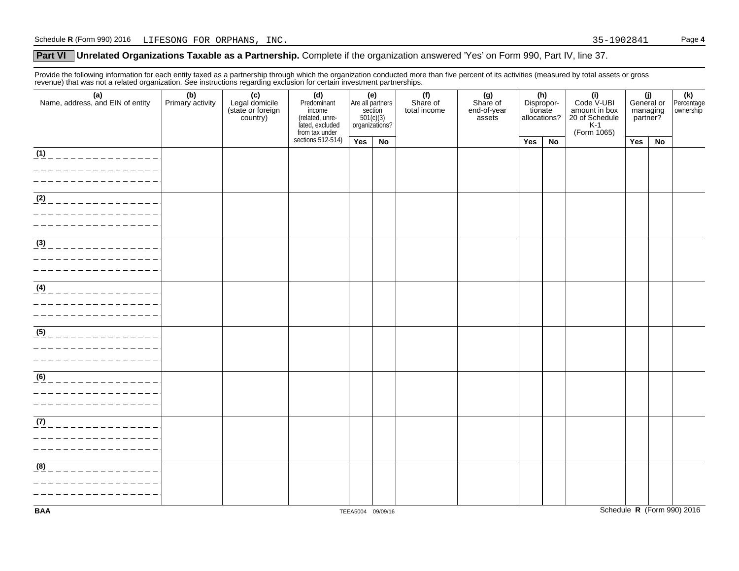### **Part VI** Unrelated Organizations Taxable as a Partnership. Complete if the organization answered 'Yes' on Form 990, Part IV, line 37.

Provide the following information for each entity taxed as a partnership through which the organization conducted more than five percent of its activities (measured by total assets or gross revenue) that was not a related organization. See instructions regarding exclusion for certain investment partnerships.

| $\sim$ $\sim$<br>(a)<br>Name, address, and EIN of entity                             | (b)<br>(c)<br>Legal domicile<br>(state or foreign<br>Primary activity<br>country) |  | (d)<br>Predominant<br>income<br>(related, unre-<br>lated, excluded | (e)<br>Are all partners<br>section<br>501(c)(3)<br>organizations? |    | (f)<br>(g)<br>Share of<br>Share of<br>total income<br>end-of-year<br>assets |  | (h)<br>Dispropor-<br>tionate<br>allocations? |    | (i)<br>Code V-UBI<br>amount in box<br>20 of Schedule<br>K <sub>1</sub><br>(Form 1065) | (j)<br>General or<br>managing<br>partner? |    | (k)<br>Percentage<br>ownership |
|--------------------------------------------------------------------------------------|-----------------------------------------------------------------------------------|--|--------------------------------------------------------------------|-------------------------------------------------------------------|----|-----------------------------------------------------------------------------|--|----------------------------------------------|----|---------------------------------------------------------------------------------------|-------------------------------------------|----|--------------------------------|
|                                                                                      |                                                                                   |  | from tax under<br>sections 512-514)                                | Yes                                                               | No |                                                                             |  | Yes                                          | No |                                                                                       | Yes                                       | No |                                |
| (1)<br>______________<br>_________________<br>_ _ _ _ _ _ _ _ _ _ _ _ _ _ _ _ _      |                                                                                   |  |                                                                    |                                                                   |    |                                                                             |  |                                              |    |                                                                                       |                                           |    |                                |
| $(2)$ _ _ _ _ _ _ _ _ _ _ _ _ _ _ _ _                                                |                                                                                   |  |                                                                    |                                                                   |    |                                                                             |  |                                              |    |                                                                                       |                                           |    |                                |
| (3)<br>_______________                                                               |                                                                                   |  |                                                                    |                                                                   |    |                                                                             |  |                                              |    |                                                                                       |                                           |    |                                |
| $(4)$ _ _ _ _ _ _ _ _ _ _ _ _ _ _ _ _ _<br>_________________<br>_________________    |                                                                                   |  |                                                                    |                                                                   |    |                                                                             |  |                                              |    |                                                                                       |                                           |    |                                |
| $\frac{(5)}{2}$ _ _ _ _ _ _ _ _ _ _ _ _ _ _ _ _<br>_ _ _ _ _ _ _ _ _ _ _ _ _ _ _ _ _ |                                                                                   |  |                                                                    |                                                                   |    |                                                                             |  |                                              |    |                                                                                       |                                           |    |                                |
| (6)<br>______________                                                                |                                                                                   |  |                                                                    |                                                                   |    |                                                                             |  |                                              |    |                                                                                       |                                           |    |                                |
| $(7)$ _ _ _ _ _ _ _ _ _ _ _ _ _ _ _ _ _<br>_________________<br>_________________    |                                                                                   |  |                                                                    |                                                                   |    |                                                                             |  |                                              |    |                                                                                       |                                           |    |                                |
| (8)<br>. _ _ _ _ _ _ _ _ _ _ _ _ _ _ _                                               |                                                                                   |  |                                                                    |                                                                   |    |                                                                             |  |                                              |    |                                                                                       |                                           |    |                                |
| <b>BAA</b>                                                                           |                                                                                   |  |                                                                    | TEEA5004 09/09/16                                                 |    |                                                                             |  |                                              |    |                                                                                       |                                           |    | Schedule R (Form 990) 2016     |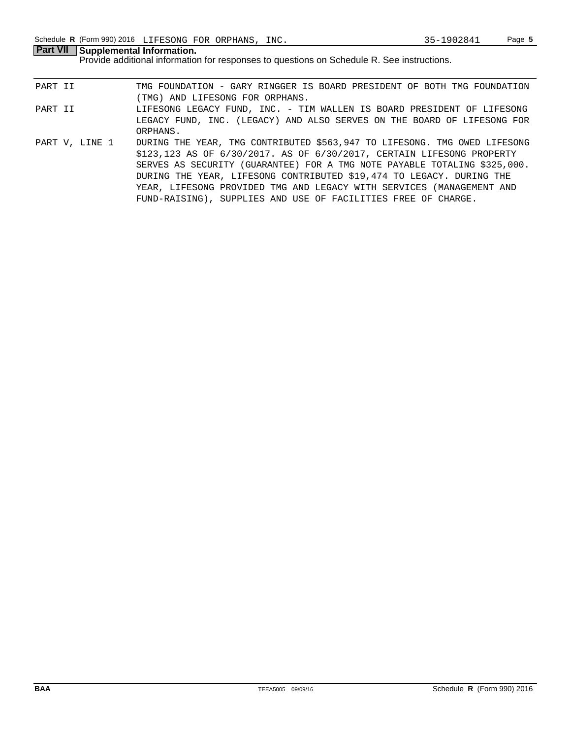| ________________________________                                                           |  |
|--------------------------------------------------------------------------------------------|--|
| <b>Part VII</b> Supplemental Information.                                                  |  |
| Provide additional information for responses to questions on Schedule R. See instructions. |  |

| PART II | TMG FOUNDATION - GARY RINGGER IS BOARD PRESIDENT OF BOTH TMG FOUNDATION |
|---------|-------------------------------------------------------------------------|
|         | (TMG) AND LIFESONG FOR ORPHANS.                                         |
| PART TT | LIFESONG LEGACY FUND, INC. - TIM WALLEN IS BOARD PRESIDENT OF LIFESONG  |
|         | LEGACY FUND, INC. (LEGACY) AND ALSO SERVES ON THE BOARD OF LIFESONG FOR |
|         | ORPHANS.                                                                |

PART V, LINE 1 DURING THE YEAR, TMG CONTRIBUTED \$563,947 TO LIFESONG. TMG OWED LIFESONG \$123,123 AS OF 6/30/2017. AS OF 6/30/2017, CERTAIN LIFESONG PROPERTY SERVES AS SECURITY (GUARANTEE) FOR A TMG NOTE PAYABLE TOTALING \$325,000. DURING THE YEAR, LIFESONG CONTRIBUTED \$19,474 TO LEGACY. DURING THE YEAR, LIFESONG PROVIDED TMG AND LEGACY WITH SERVICES (MANAGEMENT AND FUND-RAISING), SUPPLIES AND USE OF FACILITIES FREE OF CHARGE.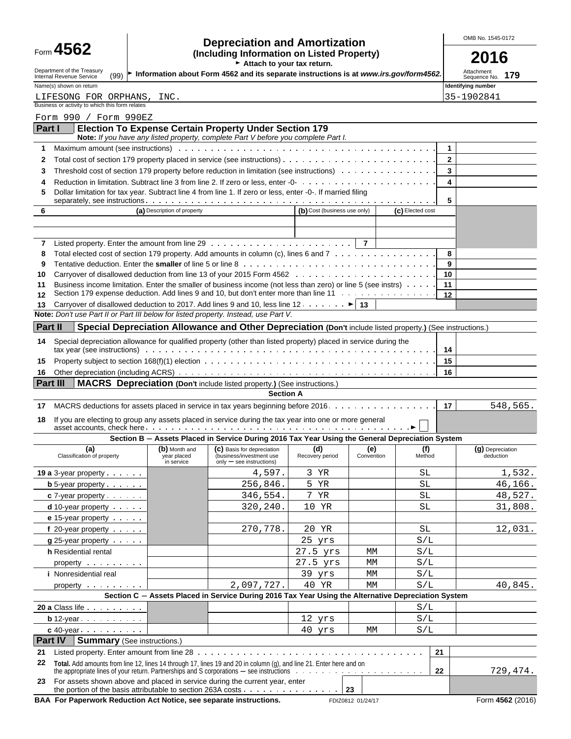| Form 4562 |  |  |
|-----------|--|--|
|-----------|--|--|

# Form **4562 Depreciation and Amortization COMB No. 1545-0172**<br>
(Including Information on Listed Property) **COLE**

| ⊦orm 号J∪∠                                                                           | (Including Information on Listed Property)<br>Attach to your tax return.                                                                                                                           |                                                                                                                                                                                                                                                                                                                                                   |                              |                |                  |              | 6<br>201                           |  |  |  |
|-------------------------------------------------------------------------------------|----------------------------------------------------------------------------------------------------------------------------------------------------------------------------------------------------|---------------------------------------------------------------------------------------------------------------------------------------------------------------------------------------------------------------------------------------------------------------------------------------------------------------------------------------------------|------------------------------|----------------|------------------|--------------|------------------------------------|--|--|--|
| Department of the Treasury                                                          | Information about Form 4562 and its separate instructions is at www.irs.gov/form4562.<br>(99)                                                                                                      |                                                                                                                                                                                                                                                                                                                                                   |                              |                |                  |              | Attachment<br>179                  |  |  |  |
| Internal Revenue Service<br>Name(s) shown on return                                 |                                                                                                                                                                                                    |                                                                                                                                                                                                                                                                                                                                                   |                              |                |                  |              | Sequence No.<br>Identifying number |  |  |  |
|                                                                                     | LIFESONG FOR ORPHANS, INC.<br>Business or activity to which this form relates                                                                                                                      |                                                                                                                                                                                                                                                                                                                                                   |                              |                |                  |              | 35-1902841                         |  |  |  |
| Form 990 / Form 990EZ                                                               |                                                                                                                                                                                                    |                                                                                                                                                                                                                                                                                                                                                   |                              |                |                  |              |                                    |  |  |  |
| Part I                                                                              |                                                                                                                                                                                                    | <b>Election To Expense Certain Property Under Section 179</b><br>Note: If you have any listed property, complete Part V before you complete Part I.                                                                                                                                                                                               |                              |                |                  |              |                                    |  |  |  |
| 1                                                                                   |                                                                                                                                                                                                    | Maximum amount (see instructions) with the content of the content of the content of the content of the content of the content of the content of the content of the content of the content of the content of the content of the                                                                                                                    |                              |                |                  | $\mathbf{1}$ |                                    |  |  |  |
| 2                                                                                   |                                                                                                                                                                                                    |                                                                                                                                                                                                                                                                                                                                                   |                              |                |                  | $\mathbf{2}$ |                                    |  |  |  |
| 3                                                                                   | Total cost of section 179 property placed in service (see instructions).<br>Threshold cost of section 179 property before reduction in limitation (see instructions) $\ldots \ldots \ldots \ldots$ |                                                                                                                                                                                                                                                                                                                                                   |                              |                |                  |              |                                    |  |  |  |
| 4                                                                                   |                                                                                                                                                                                                    |                                                                                                                                                                                                                                                                                                                                                   |                              |                |                  |              |                                    |  |  |  |
| 5                                                                                   |                                                                                                                                                                                                    | Dollar limitation for tax year. Subtract line 4 from line 1. If zero or less, enter -0-. If married filing                                                                                                                                                                                                                                        |                              |                |                  | 5            |                                    |  |  |  |
| 6                                                                                   | (a) Description of property                                                                                                                                                                        |                                                                                                                                                                                                                                                                                                                                                   | (b) Cost (business use only) |                | (c) Elected cost |              |                                    |  |  |  |
|                                                                                     |                                                                                                                                                                                                    |                                                                                                                                                                                                                                                                                                                                                   |                              |                |                  |              |                                    |  |  |  |
|                                                                                     |                                                                                                                                                                                                    |                                                                                                                                                                                                                                                                                                                                                   |                              |                |                  |              |                                    |  |  |  |
| 7                                                                                   |                                                                                                                                                                                                    |                                                                                                                                                                                                                                                                                                                                                   |                              | $\overline{7}$ |                  |              |                                    |  |  |  |
| 8                                                                                   |                                                                                                                                                                                                    | Total elected cost of section 179 property. Add amounts in column (c), lines 6 and 7                                                                                                                                                                                                                                                              |                              |                |                  | 8            |                                    |  |  |  |
| 9                                                                                   |                                                                                                                                                                                                    |                                                                                                                                                                                                                                                                                                                                                   |                              |                |                  | 9<br>10      |                                    |  |  |  |
| 10<br>11                                                                            |                                                                                                                                                                                                    | Business income limitation. Enter the smaller of business income (not less than zero) or line 5 (see instrs)                                                                                                                                                                                                                                      |                              |                |                  | 11           |                                    |  |  |  |
| 12                                                                                  |                                                                                                                                                                                                    | Section 179 expense deduction. Add lines 9 and 10, but don't enter more than line 11                                                                                                                                                                                                                                                              |                              |                |                  | 12           |                                    |  |  |  |
| 13                                                                                  |                                                                                                                                                                                                    | Carryover of disallowed deduction to 2017. Add lines 9 and 10, less line 12. $\dots$ . $\dots$                                                                                                                                                                                                                                                    |                              |                |                  |              |                                    |  |  |  |
| Note: Don't use Part II or Part III below for listed property. Instead, use Part V. |                                                                                                                                                                                                    |                                                                                                                                                                                                                                                                                                                                                   |                              |                |                  |              |                                    |  |  |  |
| <b>Part II</b>                                                                      |                                                                                                                                                                                                    | Special Depreciation Allowance and Other Depreciation (Don't include listed property.) (See instructions.)                                                                                                                                                                                                                                        |                              |                |                  |              |                                    |  |  |  |
| 14                                                                                  |                                                                                                                                                                                                    | Special depreciation allowance for qualified property (other than listed property) placed in service during the<br>tax year (see instructions) with the content of the content of the content of the content of the content of the content of the content of the content of the content of the content of the content of the content of the conte |                              |                |                  | 14           |                                    |  |  |  |
| 15                                                                                  |                                                                                                                                                                                                    |                                                                                                                                                                                                                                                                                                                                                   |                              |                |                  | 15           |                                    |  |  |  |
| 16                                                                                  |                                                                                                                                                                                                    |                                                                                                                                                                                                                                                                                                                                                   |                              |                |                  | 16           |                                    |  |  |  |
| <b>Part III</b>                                                                     |                                                                                                                                                                                                    | MACRS Depreciation (Don't include listed property.) (See instructions.)                                                                                                                                                                                                                                                                           |                              |                |                  |              |                                    |  |  |  |
|                                                                                     |                                                                                                                                                                                                    | <b>Section A</b>                                                                                                                                                                                                                                                                                                                                  |                              |                |                  |              |                                    |  |  |  |
| 17                                                                                  |                                                                                                                                                                                                    | MACRS deductions for assets placed in service in tax years beginning before 2016.                                                                                                                                                                                                                                                                 |                              |                |                  | 17           | 548,565.                           |  |  |  |
| 18                                                                                  |                                                                                                                                                                                                    | If you are electing to group any assets placed in service during the tax year into one or more general                                                                                                                                                                                                                                            |                              |                |                  |              |                                    |  |  |  |
|                                                                                     |                                                                                                                                                                                                    | Section B - Assets Placed in Service During 2016 Tax Year Using the General Depreciation System                                                                                                                                                                                                                                                   |                              |                |                  |              |                                    |  |  |  |
| (a)                                                                                 | (b) Month and                                                                                                                                                                                      | (C) Basis for depreciation                                                                                                                                                                                                                                                                                                                        | (d)                          | (e)            | (f)              |              | (g) Depreciation                   |  |  |  |
| Classification of property                                                          | year placed<br>in service                                                                                                                                                                          | (business/investment use<br>only - see instructions)                                                                                                                                                                                                                                                                                              | Recovery period              | Convention     | Method           |              | deduction                          |  |  |  |
| <b>19 a</b> 3-year property                                                         |                                                                                                                                                                                                    | 4,597.                                                                                                                                                                                                                                                                                                                                            | 3<br>YR                      |                | SL               |              | 1,532.                             |  |  |  |
| <b>b</b> 5-year property $\cdot$                                                    |                                                                                                                                                                                                    | 256,846.                                                                                                                                                                                                                                                                                                                                          | 5<br>YR                      |                | SL               |              | 46,166.                            |  |  |  |
| $c$ 7-year property $\cdots$                                                        |                                                                                                                                                                                                    | 346,554.                                                                                                                                                                                                                                                                                                                                          | 7<br>ΥR                      |                | SL               |              | 48,527.                            |  |  |  |
| $d$ 10-year property $\cdots$                                                       |                                                                                                                                                                                                    | 320,240.                                                                                                                                                                                                                                                                                                                                          | 10 YR                        |                | SL               |              | 31,808.                            |  |  |  |
| <b>e</b> 15-year property $\cdots$                                                  |                                                                                                                                                                                                    |                                                                                                                                                                                                                                                                                                                                                   |                              |                |                  |              |                                    |  |  |  |
| f 20-year property                                                                  |                                                                                                                                                                                                    | 270,778.                                                                                                                                                                                                                                                                                                                                          | 20 YR                        |                | SL               |              | 12,031.                            |  |  |  |
| $g$ 25-year property $\cdots$                                                       |                                                                                                                                                                                                    |                                                                                                                                                                                                                                                                                                                                                   | 25 yrs                       |                | S/L              |              |                                    |  |  |  |
| h Residential rental                                                                |                                                                                                                                                                                                    |                                                                                                                                                                                                                                                                                                                                                   | $27.5$ $yrs$                 | МM             | S/L              |              |                                    |  |  |  |
| property                                                                            |                                                                                                                                                                                                    |                                                                                                                                                                                                                                                                                                                                                   | 27.5 yrs                     | МM             | S/L              |              |                                    |  |  |  |
| <i>i</i> Nonresidential real                                                        |                                                                                                                                                                                                    |                                                                                                                                                                                                                                                                                                                                                   | 39 yrs                       | МM             | S/L              |              |                                    |  |  |  |
| property $\cdots$                                                                   |                                                                                                                                                                                                    | 2,097,727.                                                                                                                                                                                                                                                                                                                                        | 40 YR                        | МM             | S/L              |              | 40,845.                            |  |  |  |
|                                                                                     |                                                                                                                                                                                                    | Section C - Assets Placed in Service During 2016 Tax Year Using the Alternative Depreciation System                                                                                                                                                                                                                                               |                              |                |                  |              |                                    |  |  |  |
| 20 a Class life                                                                     |                                                                                                                                                                                                    |                                                                                                                                                                                                                                                                                                                                                   |                              |                | S/L              |              |                                    |  |  |  |
| $\mathbf{b}$ 12-year $\cdots$                                                       |                                                                                                                                                                                                    |                                                                                                                                                                                                                                                                                                                                                   | 12 yrs                       |                | S/L              |              |                                    |  |  |  |
| $\mathbf{c}$ 40-year $\cdots$                                                       |                                                                                                                                                                                                    |                                                                                                                                                                                                                                                                                                                                                   | 40 yrs                       | МM             | S/L              |              |                                    |  |  |  |
| <b>Part IV</b><br><b>Summary</b> (See instructions.)                                |                                                                                                                                                                                                    |                                                                                                                                                                                                                                                                                                                                                   |                              |                |                  |              |                                    |  |  |  |
| Listed property. Enter amount from line 28<br>21                                    |                                                                                                                                                                                                    |                                                                                                                                                                                                                                                                                                                                                   |                              |                | 21               |              |                                    |  |  |  |

**22 Total.** Add amounts from line 12, lines 14 through 17, lines 19 and 20 in column (g), and line 21. Enter here and on the appropriate lines of your return. Partnerships and S corporations - see instructions **because to construct on 23** For assets shown above and placed in service during the current year, enter the portion of the basis attributable to section 263A costs **2001 23 23** 729,474.

**BAA For Paperwork Reduction Act Notice, see separate instructions.** FDIZ0812 01/24/17 FORM 4562 (2016)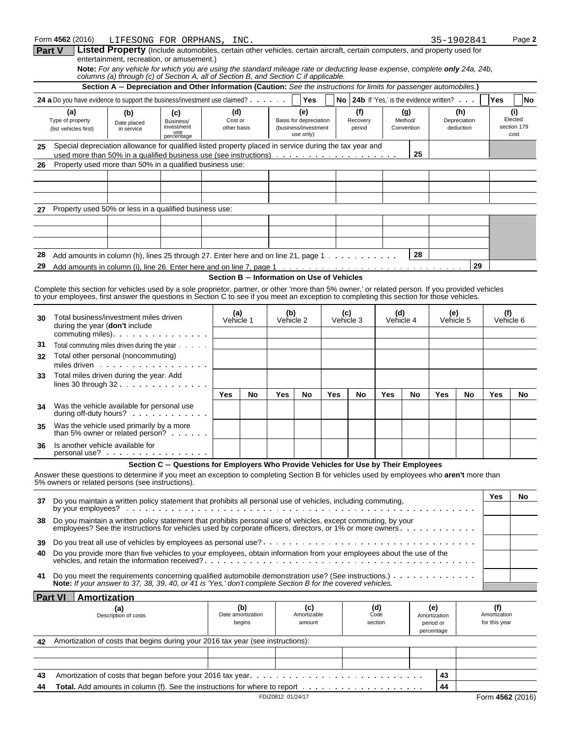|          | Form 4562 (2016)                                                                                                                                                                                                                         |                      | LIFESONG FOR ORPHANS, INC.                                                                                                                                                                                   |             |                             |                                                |                       |     |           |                 |                                                         |                           | 35-1902841 |                               | Page 2                 |
|----------|------------------------------------------------------------------------------------------------------------------------------------------------------------------------------------------------------------------------------------------|----------------------|--------------------------------------------------------------------------------------------------------------------------------------------------------------------------------------------------------------|-------------|-----------------------------|------------------------------------------------|-----------------------|-----|-----------|-----------------|---------------------------------------------------------|---------------------------|------------|-------------------------------|------------------------|
|          | <b>Part V</b>                                                                                                                                                                                                                            |                      | <b>Listed Property</b> (Include automobiles, certain other vehicles, certain aircraft, certain computers, and property used for<br>entertainment, recreation, or amusement.)                                 |             |                             |                                                |                       |     |           |                 |                                                         |                           |            |                               |                        |
|          |                                                                                                                                                                                                                                          |                      | Note: For any vehicle for which you are using the standard mileage rate or deducting lease expense, complete only 24a, 24b,                                                                                  |             |                             |                                                |                       |     |           |                 |                                                         |                           |            |                               |                        |
|          |                                                                                                                                                                                                                                          |                      | columns (a) through (c) of Section A, all of Section B, and Section C if applicable.<br>Section A - Depreciation and Other Information (Caution: See the instructions for limits for passenger automobiles.) |             |                             |                                                |                       |     |           |                 |                                                         |                           |            |                               |                        |
|          | 24 a Do you have evidence to support the business/investment use claimed?                                                                                                                                                                |                      |                                                                                                                                                                                                              |             |                             |                                                | <b>Yes</b>            |     |           |                 |                                                         |                           |            | Yes                           | No                     |
|          | (a)                                                                                                                                                                                                                                      | (b)                  | (c)                                                                                                                                                                                                          | (d)         |                             |                                                | (e)                   |     | (f)       |                 | No 24b If 'Yes,' is the evidence written?<br>(h)<br>(g) |                           |            |                               | (i)                    |
|          | Type of property                                                                                                                                                                                                                         | Date placed          | Business/<br>investment                                                                                                                                                                                      | Cost or     |                             | Basis for depreciation<br>(business/investment |                       |     | Recovery  |                 | Method/                                                 | Depreciation<br>deduction |            |                               | Elected<br>section 179 |
|          | (list vehicles first)                                                                                                                                                                                                                    | in service           | use<br>percentage                                                                                                                                                                                            | other basis |                             |                                                | use only)             |     | period    |                 | Convention                                              |                           |            |                               | cost                   |
| 25       | Special depreciation allowance for qualified listed property placed in service during the tax year and                                                                                                                                   |                      |                                                                                                                                                                                                              |             |                             |                                                |                       |     |           |                 |                                                         |                           |            |                               |                        |
|          | Property used more than 50% in a qualified business use:                                                                                                                                                                                 |                      |                                                                                                                                                                                                              |             |                             |                                                |                       |     |           |                 | 25                                                      |                           |            |                               |                        |
| 26       |                                                                                                                                                                                                                                          |                      |                                                                                                                                                                                                              |             |                             |                                                |                       |     |           |                 |                                                         |                           |            |                               |                        |
|          |                                                                                                                                                                                                                                          |                      |                                                                                                                                                                                                              |             |                             |                                                |                       |     |           |                 |                                                         |                           |            |                               |                        |
|          |                                                                                                                                                                                                                                          |                      |                                                                                                                                                                                                              |             |                             |                                                |                       |     |           |                 |                                                         |                           |            |                               |                        |
| 27       | Property used 50% or less in a qualified business use:                                                                                                                                                                                   |                      |                                                                                                                                                                                                              |             |                             |                                                |                       |     |           |                 |                                                         |                           |            |                               |                        |
|          |                                                                                                                                                                                                                                          |                      |                                                                                                                                                                                                              |             |                             |                                                |                       |     |           |                 |                                                         |                           |            |                               |                        |
|          |                                                                                                                                                                                                                                          |                      |                                                                                                                                                                                                              |             |                             |                                                |                       |     |           |                 |                                                         |                           |            |                               |                        |
|          |                                                                                                                                                                                                                                          |                      |                                                                                                                                                                                                              |             |                             |                                                |                       |     |           |                 | 28                                                      |                           |            |                               |                        |
| 28<br>29 | Add amounts in column (h), lines 25 through 27. Enter here and on line 21, page $1 \ldots \ldots \ldots$                                                                                                                                 |                      |                                                                                                                                                                                                              |             |                             |                                                |                       |     |           |                 |                                                         |                           | 29         |                               |                        |
|          |                                                                                                                                                                                                                                          |                      |                                                                                                                                                                                                              |             |                             | Section B - Information on Use of Vehicles     |                       |     |           |                 |                                                         |                           |            |                               |                        |
|          | Complete this section for vehicles used by a sole proprietor, partner, or other 'more than 5% owner,' or related person. If you provided vehicles                                                                                        |                      |                                                                                                                                                                                                              |             |                             |                                                |                       |     |           |                 |                                                         |                           |            |                               |                        |
|          | to your employees, first answer the questions in Section C to see if you meet an exception to completing this section for those vehicles.                                                                                                |                      |                                                                                                                                                                                                              |             |                             |                                                |                       |     |           |                 |                                                         |                           |            |                               |                        |
| 30       | Total business/investment miles driven                                                                                                                                                                                                   |                      |                                                                                                                                                                                                              | (a)         |                             | (b)                                            |                       | (c) |           | (d)             |                                                         |                           | (e)        | (f)                           |                        |
|          | during the year (don't include                                                                                                                                                                                                           |                      |                                                                                                                                                                                                              | Vehicle 1   |                             | Vehicle 2                                      |                       |     | Vehicle 3 |                 | Vehicle 4                                               |                           | Vehicle 5  | Vehicle 6                     |                        |
|          | commuting miles). $\ldots$                                                                                                                                                                                                               |                      |                                                                                                                                                                                                              |             |                             |                                                |                       |     |           |                 |                                                         |                           |            |                               |                        |
| 31<br>32 | Total commuting miles driven during the year<br>Total other personal (noncommuting)                                                                                                                                                      |                      |                                                                                                                                                                                                              |             |                             |                                                |                       |     |           |                 |                                                         |                           |            |                               |                        |
|          | miles driven                                                                                                                                                                                                                             |                      |                                                                                                                                                                                                              |             |                             |                                                |                       |     |           |                 |                                                         |                           |            |                               |                        |
| 33       | Total miles driven during the year. Add                                                                                                                                                                                                  |                      |                                                                                                                                                                                                              |             |                             |                                                |                       |     |           |                 |                                                         |                           |            |                               |                        |
|          | lines 30 through $32 \cdot \cdot \cdot \cdot \cdot \cdot \cdot \cdot \cdot \cdot \cdot$                                                                                                                                                  |                      |                                                                                                                                                                                                              | Yes         | No                          | Yes                                            | No                    | Yes | No        | Yes             | No                                                      | Yes                       | No         | Yes                           | No                     |
| 34       | Was the vehicle available for personal use                                                                                                                                                                                               |                      |                                                                                                                                                                                                              |             |                             |                                                |                       |     |           |                 |                                                         |                           |            |                               |                        |
|          | during off-duty hours? $\cdots$                                                                                                                                                                                                          |                      |                                                                                                                                                                                                              |             |                             |                                                |                       |     |           |                 |                                                         |                           |            |                               |                        |
| 35       | Was the vehicle used primarily by a more<br>than 5% owner or related person? $\ldots$                                                                                                                                                    |                      |                                                                                                                                                                                                              |             |                             |                                                |                       |     |           |                 |                                                         |                           |            |                               |                        |
| 36       | Is another vehicle available for                                                                                                                                                                                                         |                      |                                                                                                                                                                                                              |             |                             |                                                |                       |     |           |                 |                                                         |                           |            |                               |                        |
|          |                                                                                                                                                                                                                                          |                      | Section C - Questions for Employers Who Provide Vehicles for Use by Their Employees                                                                                                                          |             |                             |                                                |                       |     |           |                 |                                                         |                           |            |                               |                        |
|          | Answer these questions to determine if you meet an exception to completing Section B for vehicles used by employees who aren't more than                                                                                                 |                      |                                                                                                                                                                                                              |             |                             |                                                |                       |     |           |                 |                                                         |                           |            |                               |                        |
|          | 5% owners or related persons (see instructions).                                                                                                                                                                                         |                      |                                                                                                                                                                                                              |             |                             |                                                |                       |     |           |                 |                                                         |                           |            |                               |                        |
|          | 37 Do you maintain a written policy statement that prohibits all personal use of vehicles, including commuting,                                                                                                                          |                      |                                                                                                                                                                                                              |             |                             |                                                |                       |     |           |                 |                                                         |                           |            | Yes                           | No                     |
| 38       | Do you maintain a written policy statement that prohibits personal use of vehicles, except commuting, by your                                                                                                                            |                      |                                                                                                                                                                                                              |             |                             |                                                |                       |     |           |                 |                                                         |                           |            |                               |                        |
|          |                                                                                                                                                                                                                                          |                      |                                                                                                                                                                                                              |             |                             |                                                |                       |     |           |                 |                                                         |                           |            |                               |                        |
| 39       |                                                                                                                                                                                                                                          |                      |                                                                                                                                                                                                              |             |                             |                                                |                       |     |           |                 |                                                         |                           |            |                               |                        |
| 40       | Do you provide more than five vehicles to your employees, obtain information from your employees about the use of the                                                                                                                    |                      |                                                                                                                                                                                                              |             |                             |                                                |                       |     |           |                 |                                                         |                           |            |                               |                        |
| 41       | Do you meet the requirements concerning qualified automobile demonstration use? (See instructions.) $\ldots \ldots \ldots$<br>Note: If your answer to 37, 38, 39, 40, or 41 is 'Yes,' don't complete Section B for the covered vehicles. |                      |                                                                                                                                                                                                              |             |                             |                                                |                       |     |           |                 |                                                         |                           |            |                               |                        |
|          | <b>Part VI</b><br>Amortization                                                                                                                                                                                                           |                      |                                                                                                                                                                                                              |             |                             |                                                |                       |     |           |                 |                                                         |                           |            |                               |                        |
|          |                                                                                                                                                                                                                                          | (a)                  |                                                                                                                                                                                                              |             | (b)                         |                                                | (c)                   |     |           | (d)             |                                                         | (e)                       |            | (f)                           |                        |
|          |                                                                                                                                                                                                                                          | Description of costs |                                                                                                                                                                                                              |             | Date amortization<br>begins |                                                | Amortizable<br>amount |     |           | Code<br>section |                                                         | Amortization              |            | Amortization<br>for this year |                        |
|          |                                                                                                                                                                                                                                          |                      |                                                                                                                                                                                                              |             |                             |                                                |                       |     |           |                 |                                                         | period or<br>percentage   |            |                               |                        |
| 42       | Amortization of costs that begins during your 2016 tax year (see instructions):                                                                                                                                                          |                      |                                                                                                                                                                                                              |             |                             |                                                |                       |     |           |                 |                                                         |                           |            |                               |                        |
|          |                                                                                                                                                                                                                                          |                      |                                                                                                                                                                                                              |             |                             |                                                |                       |     |           |                 |                                                         |                           |            |                               |                        |
|          |                                                                                                                                                                                                                                          |                      |                                                                                                                                                                                                              |             |                             |                                                |                       |     |           |                 |                                                         |                           |            |                               |                        |
| 43       |                                                                                                                                                                                                                                          |                      |                                                                                                                                                                                                              |             |                             |                                                |                       |     |           |                 |                                                         | 43                        |            |                               |                        |
| 44       |                                                                                                                                                                                                                                          |                      |                                                                                                                                                                                                              |             |                             | FDIZ0812 01/24/17                              |                       |     |           |                 |                                                         | 44                        |            | Form 4562 (2016)              |                        |
|          |                                                                                                                                                                                                                                          |                      |                                                                                                                                                                                                              |             |                             |                                                |                       |     |           |                 |                                                         |                           |            |                               |                        |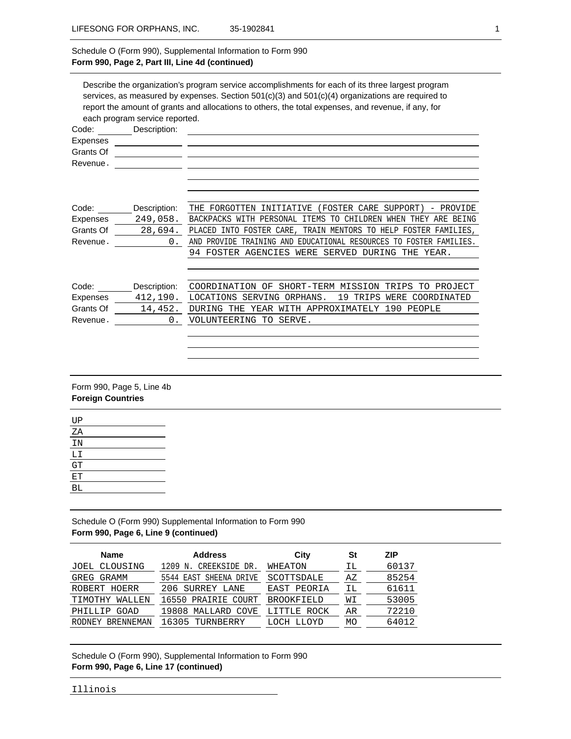### Schedule O (Form 990), Supplemental Information to Form 990 **Form 990, Page 2, Part III, Line 4d (continued)**

Describe the organization's program service accomplishments for each of its three largest program services, as measured by expenses. Section  $501(c)(3)$  and  $501(c)(4)$  organizations are required to report the amount of grants and allocations to others, the total expenses, and revenue, if any, for each program service reported. Code: Description: **Expenses** Grants Of Revenue Code: Description: THE FORGOTTEN INITIATIVE (FOSTER CARE SUPPORT) - PROVIDE Expenses Grants Of Revenue. 0. Code: Description: COORDINATION OF SHORT-TERM MISSION TRIPS TO PROJECT Expenses Grants Of Revenue. 249,058. BACKPACKS WITH PERSONAL ITEMS TO CHILDREN WHEN THEY ARE BEING 412,190. LOCATIONS SERVING ORPHANS. 19 TRIPS WERE COORDINATED 28,694. PLACED INTO FOSTER CARE, TRAIN MENTORS TO HELP FOSTER FAMILIES, 14,452. DURING THE YEAR WITH APPROXIMATELY 190 PEOPLE  $0.$ AND PROVIDE TRAINING AND EDUCATIONAL RESOURCES TO FOSTER FAMILIES. VOLUNTEERING TO SERVE. 94 FOSTER AGENCIES WERE SERVED DURING THE YEAR.

### Form 990, Page 5, Line 4b **Foreign Countries**

| UP        |  |
|-----------|--|
| ΖA        |  |
| ΙN        |  |
| LI        |  |
| GT        |  |
| ЕT        |  |
| <b>BL</b> |  |
|           |  |

### Schedule O (Form 990) Supplemental Information to Form 990 **Form 990, Page 6, Line 9 (continued)**

| <b>Address</b>                     | City              | St          | <b>ZIP</b> |
|------------------------------------|-------------------|-------------|------------|
| CREEKSIDE DR.<br>1209 N.           | WHEATON           | ΙL          | 60137      |
| 5544 EAST SHEENA DRIVE             | SCOTTSDALE        | ΑZ          | 85254      |
| 206 SURREY<br>ROBERT HOERR<br>LANE |                   | ΙL          | 61611      |
| PRAIRIE<br>16550<br>COURT          | <b>BROOKFIELD</b> | WΙ          | 53005      |
| 19808<br>MALLARD<br>COVE           | LITTLE ROCK       | AR          | 72210      |
| TURNBERRY<br>16305                 | LOCH.<br>LLOYD    | МO          | 64012      |
|                                    |                   | EAST PEORIA |            |

Schedule O (Form 990), Supplemental Information to Form 990 **Form 990, Page 6, Line 17 (continued)**